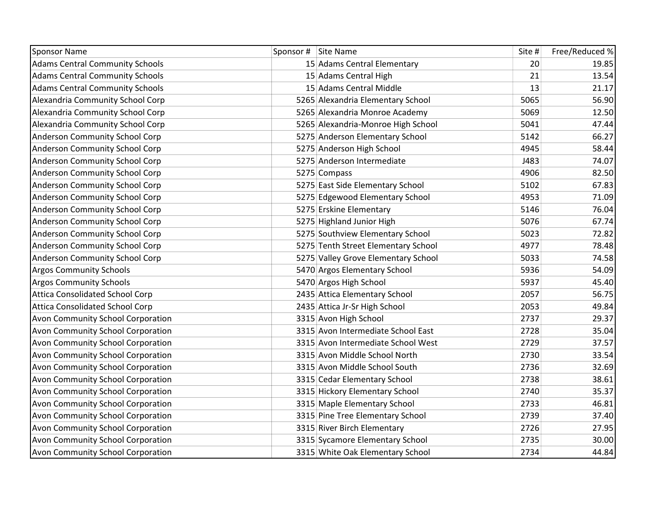| <b>Sponsor Name</b>                      | Sponsor # Site Name                 | Site # | Free/Reduced % |
|------------------------------------------|-------------------------------------|--------|----------------|
| <b>Adams Central Community Schools</b>   | 15 Adams Central Elementary         | 20     | 19.85          |
| <b>Adams Central Community Schools</b>   | 15 Adams Central High               | 21     | 13.54          |
| <b>Adams Central Community Schools</b>   | 15 Adams Central Middle             | 13     | 21.17          |
| Alexandria Community School Corp         | 5265 Alexandria Elementary School   | 5065   | 56.90          |
| Alexandria Community School Corp         | 5265 Alexandria Monroe Academy      | 5069   | 12.50          |
| Alexandria Community School Corp         | 5265 Alexandria-Monroe High School  | 5041   | 47.44          |
| Anderson Community School Corp           | 5275 Anderson Elementary School     | 5142   | 66.27          |
| Anderson Community School Corp           | 5275 Anderson High School           | 4945   | 58.44          |
| Anderson Community School Corp           | 5275 Anderson Intermediate          | J483   | 74.07          |
| Anderson Community School Corp           | 5275 Compass                        | 4906   | 82.50          |
| <b>Anderson Community School Corp</b>    | 5275 East Side Elementary School    | 5102   | 67.83          |
| <b>Anderson Community School Corp</b>    | 5275 Edgewood Elementary School     | 4953   | 71.09          |
| <b>Anderson Community School Corp</b>    | 5275 Erskine Elementary             | 5146   | 76.04          |
| <b>Anderson Community School Corp</b>    | 5275 Highland Junior High           | 5076   | 67.74          |
| Anderson Community School Corp           | 5275 Southview Elementary School    | 5023   | 72.82          |
| <b>Anderson Community School Corp</b>    | 5275 Tenth Street Elementary School | 4977   | 78.48          |
| Anderson Community School Corp           | 5275 Valley Grove Elementary School | 5033   | 74.58          |
| <b>Argos Community Schools</b>           | 5470 Argos Elementary School        | 5936   | 54.09          |
| <b>Argos Community Schools</b>           | 5470 Argos High School              | 5937   | 45.40          |
| <b>Attica Consolidated School Corp</b>   | 2435 Attica Elementary School       | 2057   | 56.75          |
| <b>Attica Consolidated School Corp</b>   | 2435 Attica Jr-Sr High School       | 2053   | 49.84          |
| <b>Avon Community School Corporation</b> | 3315 Avon High School               | 2737   | 29.37          |
| <b>Avon Community School Corporation</b> | 3315 Avon Intermediate School East  | 2728   | 35.04          |
| <b>Avon Community School Corporation</b> | 3315 Avon Intermediate School West  | 2729   | 37.57          |
| Avon Community School Corporation        | 3315 Avon Middle School North       | 2730   | 33.54          |
| <b>Avon Community School Corporation</b> | 3315 Avon Middle School South       | 2736   | 32.69          |
| <b>Avon Community School Corporation</b> | 3315 Cedar Elementary School        | 2738   | 38.61          |
| <b>Avon Community School Corporation</b> | 3315 Hickory Elementary School      | 2740   | 35.37          |
| Avon Community School Corporation        | 3315 Maple Elementary School        | 2733   | 46.81          |
| Avon Community School Corporation        | 3315 Pine Tree Elementary School    | 2739   | 37.40          |
| Avon Community School Corporation        | 3315 River Birch Elementary         | 2726   | 27.95          |
| <b>Avon Community School Corporation</b> | 3315 Sycamore Elementary School     | 2735   | 30.00          |
| <b>Avon Community School Corporation</b> | 3315 White Oak Elementary School    | 2734   | 44.84          |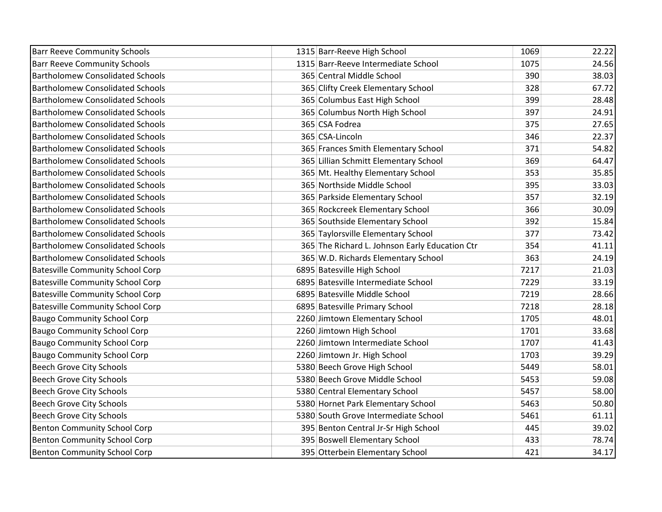| <b>Barr Reeve Community Schools</b>     | 1315 Barr-Reeve High School                    | 1069 | 22.22 |
|-----------------------------------------|------------------------------------------------|------|-------|
| <b>Barr Reeve Community Schools</b>     | 1315 Barr-Reeve Intermediate School            | 1075 | 24.56 |
| <b>Bartholomew Consolidated Schools</b> | 365 Central Middle School                      | 390  | 38.03 |
| <b>Bartholomew Consolidated Schools</b> | 365 Clifty Creek Elementary School             | 328  | 67.72 |
| <b>Bartholomew Consolidated Schools</b> | 365 Columbus East High School                  | 399  | 28.48 |
| <b>Bartholomew Consolidated Schools</b> | 365 Columbus North High School                 | 397  | 24.91 |
| <b>Bartholomew Consolidated Schools</b> | 365 CSA Fodrea                                 | 375  | 27.65 |
| <b>Bartholomew Consolidated Schools</b> | 365 CSA-Lincoln                                | 346  | 22.37 |
| <b>Bartholomew Consolidated Schools</b> | 365 Frances Smith Elementary School            | 371  | 54.82 |
| <b>Bartholomew Consolidated Schools</b> | 365 Lillian Schmitt Elementary School          | 369  | 64.47 |
| <b>Bartholomew Consolidated Schools</b> | 365 Mt. Healthy Elementary School              | 353  | 35.85 |
| <b>Bartholomew Consolidated Schools</b> | 365 Northside Middle School                    | 395  | 33.03 |
| <b>Bartholomew Consolidated Schools</b> | 365 Parkside Elementary School                 | 357  | 32.19 |
| <b>Bartholomew Consolidated Schools</b> | 365 Rockcreek Elementary School                | 366  | 30.09 |
| <b>Bartholomew Consolidated Schools</b> | 365 Southside Elementary School                | 392  | 15.84 |
| <b>Bartholomew Consolidated Schools</b> | 365 Taylorsville Elementary School             | 377  | 73.42 |
| <b>Bartholomew Consolidated Schools</b> | 365 The Richard L. Johnson Early Education Ctr | 354  | 41.11 |
| <b>Bartholomew Consolidated Schools</b> | 365 W.D. Richards Elementary School            | 363  | 24.19 |
| <b>Batesville Community School Corp</b> | 6895 Batesville High School                    | 7217 | 21.03 |
| <b>Batesville Community School Corp</b> | 6895 Batesville Intermediate School            | 7229 | 33.19 |
| <b>Batesville Community School Corp</b> | 6895 Batesville Middle School                  | 7219 | 28.66 |
| <b>Batesville Community School Corp</b> | 6895 Batesville Primary School                 | 7218 | 28.18 |
| <b>Baugo Community School Corp</b>      | 2260 Jimtown Elementary School                 | 1705 | 48.01 |
| <b>Baugo Community School Corp</b>      | 2260 Jimtown High School                       | 1701 | 33.68 |
| <b>Baugo Community School Corp</b>      | 2260 Jimtown Intermediate School               | 1707 | 41.43 |
| <b>Baugo Community School Corp</b>      | 2260 Jimtown Jr. High School                   | 1703 | 39.29 |
| Beech Grove City Schools                | 5380 Beech Grove High School                   | 5449 | 58.01 |
| <b>Beech Grove City Schools</b>         | 5380 Beech Grove Middle School                 | 5453 | 59.08 |
| <b>Beech Grove City Schools</b>         | 5380 Central Elementary School                 | 5457 | 58.00 |
| <b>Beech Grove City Schools</b>         | 5380 Hornet Park Elementary School             | 5463 | 50.80 |
| <b>Beech Grove City Schools</b>         | 5380 South Grove Intermediate School           | 5461 | 61.11 |
| <b>Benton Community School Corp</b>     | 395 Benton Central Jr-Sr High School           | 445  | 39.02 |
| <b>Benton Community School Corp</b>     | 395 Boswell Elementary School                  | 433  | 78.74 |
| <b>Benton Community School Corp</b>     | 395 Otterbein Elementary School                | 421  | 34.17 |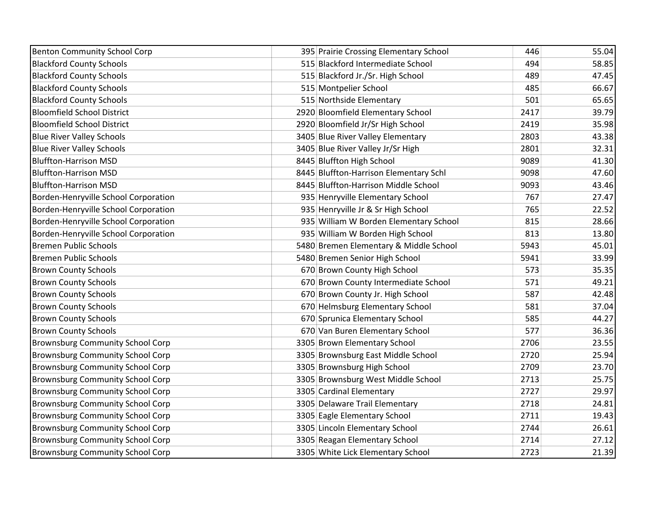| <b>Benton Community School Corp</b>     | 395 Prairie Crossing Elementary School | 446  | 55.04 |
|-----------------------------------------|----------------------------------------|------|-------|
| <b>Blackford County Schools</b>         | 515 Blackford Intermediate School      | 494  | 58.85 |
| <b>Blackford County Schools</b>         | 515 Blackford Jr./Sr. High School      | 489  | 47.45 |
| <b>Blackford County Schools</b>         | 515 Montpelier School                  | 485  | 66.67 |
| <b>Blackford County Schools</b>         | 515 Northside Elementary               | 501  | 65.65 |
| <b>Bloomfield School District</b>       | 2920 Bloomfield Elementary School      | 2417 | 39.79 |
| <b>Bloomfield School District</b>       | 2920 Bloomfield Jr/Sr High School      | 2419 | 35.98 |
| <b>Blue River Valley Schools</b>        | 3405 Blue River Valley Elementary      | 2803 | 43.38 |
| <b>Blue River Valley Schools</b>        | 3405 Blue River Valley Jr/Sr High      | 2801 | 32.31 |
| <b>Bluffton-Harrison MSD</b>            | 8445 Bluffton High School              | 9089 | 41.30 |
| <b>Bluffton-Harrison MSD</b>            | 8445 Bluffton-Harrison Elementary Schl | 9098 | 47.60 |
| <b>Bluffton-Harrison MSD</b>            | 8445 Bluffton-Harrison Middle School   | 9093 | 43.46 |
| Borden-Henryville School Corporation    | 935 Henryville Elementary School       | 767  | 27.47 |
| Borden-Henryville School Corporation    | 935 Henryville Jr & Sr High School     | 765  | 22.52 |
| Borden-Henryville School Corporation    | 935 William W Borden Elementary School | 815  | 28.66 |
| Borden-Henryville School Corporation    | 935 William W Borden High School       | 813  | 13.80 |
| <b>Bremen Public Schools</b>            | 5480 Bremen Elementary & Middle School | 5943 | 45.01 |
| <b>Bremen Public Schools</b>            | 5480 Bremen Senior High School         | 5941 | 33.99 |
| <b>Brown County Schools</b>             | 670 Brown County High School           | 573  | 35.35 |
| <b>Brown County Schools</b>             | 670 Brown County Intermediate School   | 571  | 49.21 |
| <b>Brown County Schools</b>             | 670 Brown County Jr. High School       | 587  | 42.48 |
| <b>Brown County Schools</b>             | 670 Helmsburg Elementary School        | 581  | 37.04 |
| <b>Brown County Schools</b>             | 670 Sprunica Elementary School         | 585  | 44.27 |
| <b>Brown County Schools</b>             | 670 Van Buren Elementary School        | 577  | 36.36 |
| <b>Brownsburg Community School Corp</b> | 3305 Brown Elementary School           | 2706 | 23.55 |
| <b>Brownsburg Community School Corp</b> | 3305 Brownsburg East Middle School     | 2720 | 25.94 |
| <b>Brownsburg Community School Corp</b> | 3305 Brownsburg High School            | 2709 | 23.70 |
| <b>Brownsburg Community School Corp</b> | 3305 Brownsburg West Middle School     | 2713 | 25.75 |
| <b>Brownsburg Community School Corp</b> | 3305 Cardinal Elementary               | 2727 | 29.97 |
| <b>Brownsburg Community School Corp</b> | 3305 Delaware Trail Elementary         | 2718 | 24.81 |
| <b>Brownsburg Community School Corp</b> | 3305 Eagle Elementary School           | 2711 | 19.43 |
| <b>Brownsburg Community School Corp</b> | 3305 Lincoln Elementary School         | 2744 | 26.61 |
| <b>Brownsburg Community School Corp</b> | 3305 Reagan Elementary School          | 2714 | 27.12 |
| <b>Brownsburg Community School Corp</b> | 3305 White Lick Elementary School      | 2723 | 21.39 |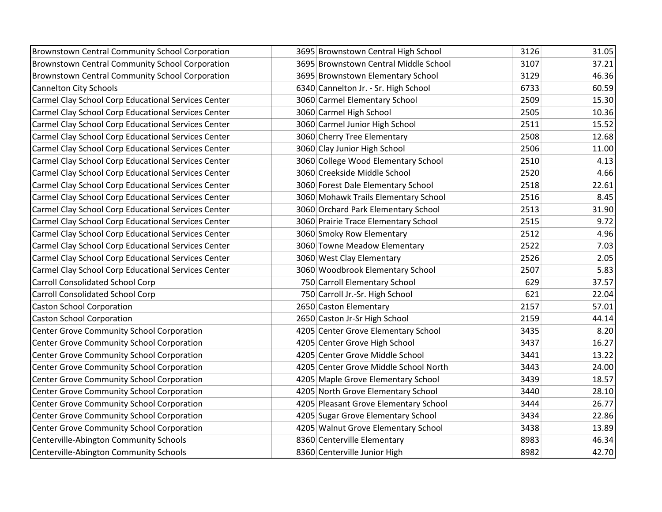| <b>Brownstown Central Community School Corporation</b> | 3695 Brownstown Central High School   | 3126 | 31.05 |
|--------------------------------------------------------|---------------------------------------|------|-------|
| Brownstown Central Community School Corporation        | 3695 Brownstown Central Middle School | 3107 | 37.21 |
| <b>Brownstown Central Community School Corporation</b> | 3695 Brownstown Elementary School     | 3129 | 46.36 |
| <b>Cannelton City Schools</b>                          | 6340 Cannelton Jr. - Sr. High School  | 6733 | 60.59 |
| Carmel Clay School Corp Educational Services Center    | 3060 Carmel Elementary School         | 2509 | 15.30 |
| Carmel Clay School Corp Educational Services Center    | 3060 Carmel High School               | 2505 | 10.36 |
| Carmel Clay School Corp Educational Services Center    | 3060 Carmel Junior High School        | 2511 | 15.52 |
| Carmel Clay School Corp Educational Services Center    | 3060 Cherry Tree Elementary           | 2508 | 12.68 |
| Carmel Clay School Corp Educational Services Center    | 3060 Clay Junior High School          | 2506 | 11.00 |
| Carmel Clay School Corp Educational Services Center    | 3060 College Wood Elementary School   | 2510 | 4.13  |
| Carmel Clay School Corp Educational Services Center    | 3060 Creekside Middle School          | 2520 | 4.66  |
| Carmel Clay School Corp Educational Services Center    | 3060 Forest Dale Elementary School    | 2518 | 22.61 |
| Carmel Clay School Corp Educational Services Center    | 3060 Mohawk Trails Elementary School  | 2516 | 8.45  |
| Carmel Clay School Corp Educational Services Center    | 3060 Orchard Park Elementary School   | 2513 | 31.90 |
| Carmel Clay School Corp Educational Services Center    | 3060 Prairie Trace Elementary School  | 2515 | 9.72  |
| Carmel Clay School Corp Educational Services Center    | 3060 Smoky Row Elementary             | 2512 | 4.96  |
| Carmel Clay School Corp Educational Services Center    | 3060 Towne Meadow Elementary          | 2522 | 7.03  |
| Carmel Clay School Corp Educational Services Center    | 3060 West Clay Elementary             | 2526 | 2.05  |
| Carmel Clay School Corp Educational Services Center    | 3060 Woodbrook Elementary School      | 2507 | 5.83  |
| <b>Carroll Consolidated School Corp</b>                | 750 Carroll Elementary School         | 629  | 37.57 |
| <b>Carroll Consolidated School Corp</b>                | 750 Carroll Jr.-Sr. High School       | 621  | 22.04 |
| <b>Caston School Corporation</b>                       | 2650 Caston Elementary                | 2157 | 57.01 |
| <b>Caston School Corporation</b>                       | 2650 Caston Jr-Sr High School         | 2159 | 44.14 |
| Center Grove Community School Corporation              | 4205 Center Grove Elementary School   | 3435 | 8.20  |
| Center Grove Community School Corporation              | 4205 Center Grove High School         | 3437 | 16.27 |
| Center Grove Community School Corporation              | 4205 Center Grove Middle School       | 3441 | 13.22 |
| <b>Center Grove Community School Corporation</b>       | 4205 Center Grove Middle School North | 3443 | 24.00 |
| Center Grove Community School Corporation              | 4205 Maple Grove Elementary School    | 3439 | 18.57 |
| Center Grove Community School Corporation              | 4205 North Grove Elementary School    | 3440 | 28.10 |
| Center Grove Community School Corporation              | 4205 Pleasant Grove Elementary School | 3444 | 26.77 |
| Center Grove Community School Corporation              | 4205 Sugar Grove Elementary School    | 3434 | 22.86 |
| <b>Center Grove Community School Corporation</b>       | 4205 Walnut Grove Elementary School   | 3438 | 13.89 |
| Centerville-Abington Community Schools                 | 8360 Centerville Elementary           | 8983 | 46.34 |
| Centerville-Abington Community Schools                 | 8360 Centerville Junior High          | 8982 | 42.70 |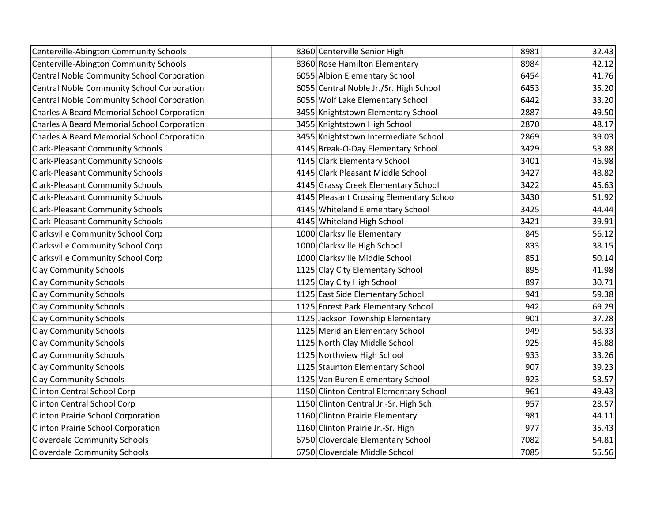| Centerville-Abington Community Schools            | 8360 Centerville Senior High             | 8981 | 32.43 |
|---------------------------------------------------|------------------------------------------|------|-------|
| Centerville-Abington Community Schools            | 8360 Rose Hamilton Elementary            | 8984 | 42.12 |
| <b>Central Noble Community School Corporation</b> | 6055 Albion Elementary School            | 6454 | 41.76 |
| Central Noble Community School Corporation        | 6055 Central Noble Jr./Sr. High School   | 6453 | 35.20 |
| Central Noble Community School Corporation        | 6055 Wolf Lake Elementary School         | 6442 | 33.20 |
| Charles A Beard Memorial School Corporation       | 3455 Knightstown Elementary School       | 2887 | 49.50 |
| Charles A Beard Memorial School Corporation       | 3455 Knightstown High School             | 2870 | 48.17 |
| Charles A Beard Memorial School Corporation       | 3455 Knightstown Intermediate School     | 2869 | 39.03 |
| <b>Clark-Pleasant Community Schools</b>           | 4145 Break-O-Day Elementary School       | 3429 | 53.88 |
| <b>Clark-Pleasant Community Schools</b>           | 4145 Clark Elementary School             | 3401 | 46.98 |
| <b>Clark-Pleasant Community Schools</b>           | 4145 Clark Pleasant Middle School        | 3427 | 48.82 |
| <b>Clark-Pleasant Community Schools</b>           | 4145 Grassy Creek Elementary School      | 3422 | 45.63 |
| <b>Clark-Pleasant Community Schools</b>           | 4145 Pleasant Crossing Elementary School | 3430 | 51.92 |
| <b>Clark-Pleasant Community Schools</b>           | 4145 Whiteland Elementary School         | 3425 | 44.44 |
| <b>Clark-Pleasant Community Schools</b>           | 4145 Whiteland High School               | 3421 | 39.91 |
| <b>Clarksville Community School Corp</b>          | 1000 Clarksville Elementary              | 845  | 56.12 |
| <b>Clarksville Community School Corp</b>          | 1000 Clarksville High School             | 833  | 38.15 |
| <b>Clarksville Community School Corp</b>          | 1000 Clarksville Middle School           | 851  | 50.14 |
| <b>Clay Community Schools</b>                     | 1125 Clay City Elementary School         | 895  | 41.98 |
| <b>Clay Community Schools</b>                     | 1125 Clay City High School               | 897  | 30.71 |
| <b>Clay Community Schools</b>                     | 1125 East Side Elementary School         | 941  | 59.38 |
| <b>Clay Community Schools</b>                     | 1125 Forest Park Elementary School       | 942  | 69.29 |
| <b>Clay Community Schools</b>                     | 1125 Jackson Township Elementary         | 901  | 37.28 |
| <b>Clay Community Schools</b>                     | 1125 Meridian Elementary School          | 949  | 58.33 |
| <b>Clay Community Schools</b>                     | 1125 North Clay Middle School            | 925  | 46.88 |
| <b>Clay Community Schools</b>                     | 1125 Northview High School               | 933  | 33.26 |
| <b>Clay Community Schools</b>                     | 1125 Staunton Elementary School          | 907  | 39.23 |
| <b>Clay Community Schools</b>                     | 1125 Van Buren Elementary School         | 923  | 53.57 |
| Clinton Central School Corp                       | 1150 Clinton Central Elementary School   | 961  | 49.43 |
| <b>Clinton Central School Corp</b>                | 1150 Clinton Central Jr.-Sr. High Sch.   | 957  | 28.57 |
| Clinton Prairie School Corporation                | 1160 Clinton Prairie Elementary          | 981  | 44.11 |
| <b>Clinton Prairie School Corporation</b>         | 1160 Clinton Prairie Jr.-Sr. High        | 977  | 35.43 |
| <b>Cloverdale Community Schools</b>               | 6750 Cloverdale Elementary School        | 7082 | 54.81 |
| <b>Cloverdale Community Schools</b>               | 6750 Cloverdale Middle School            | 7085 | 55.56 |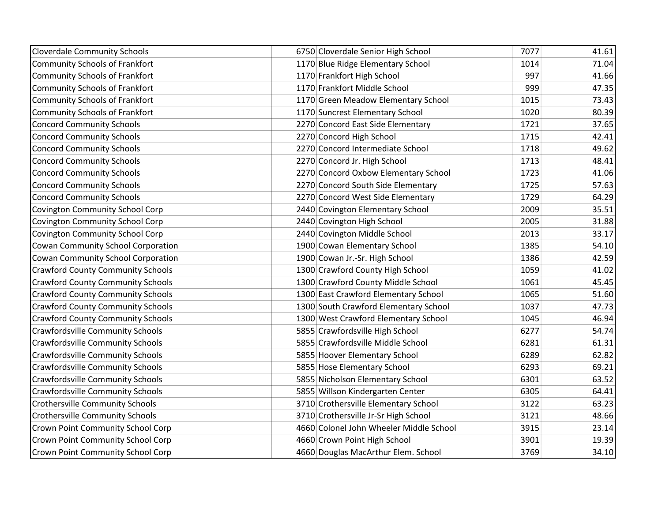| <b>Cloverdale Community Schools</b>      | 6750 Cloverdale Senior High School      | 7077 | 41.61 |
|------------------------------------------|-----------------------------------------|------|-------|
| Community Schools of Frankfort           | 1170 Blue Ridge Elementary School       | 1014 | 71.04 |
| Community Schools of Frankfort           | 1170 Frankfort High School              | 997  | 41.66 |
| Community Schools of Frankfort           | 1170 Frankfort Middle School            | 999  | 47.35 |
| Community Schools of Frankfort           | 1170 Green Meadow Elementary School     | 1015 | 73.43 |
| Community Schools of Frankfort           | 1170 Suncrest Elementary School         | 1020 | 80.39 |
| <b>Concord Community Schools</b>         | 2270 Concord East Side Elementary       | 1721 | 37.65 |
| <b>Concord Community Schools</b>         | 2270 Concord High School                | 1715 | 42.41 |
| <b>Concord Community Schools</b>         | 2270 Concord Intermediate School        | 1718 | 49.62 |
| <b>Concord Community Schools</b>         | 2270 Concord Jr. High School            | 1713 | 48.41 |
| <b>Concord Community Schools</b>         | 2270 Concord Oxbow Elementary School    | 1723 | 41.06 |
| <b>Concord Community Schools</b>         | 2270 Concord South Side Elementary      | 1725 | 57.63 |
| <b>Concord Community Schools</b>         | 2270 Concord West Side Elementary       | 1729 | 64.29 |
| Covington Community School Corp          | 2440 Covington Elementary School        | 2009 | 35.51 |
| Covington Community School Corp          | 2440 Covington High School              | 2005 | 31.88 |
| Covington Community School Corp          | 2440 Covington Middle School            | 2013 | 33.17 |
| Cowan Community School Corporation       | 1900 Cowan Elementary School            | 1385 | 54.10 |
| Cowan Community School Corporation       | 1900 Cowan Jr.-Sr. High School          | 1386 | 42.59 |
| <b>Crawford County Community Schools</b> | 1300 Crawford County High School        | 1059 | 41.02 |
| <b>Crawford County Community Schools</b> | 1300 Crawford County Middle School      | 1061 | 45.45 |
| <b>Crawford County Community Schools</b> | 1300 East Crawford Elementary School    | 1065 | 51.60 |
| <b>Crawford County Community Schools</b> | 1300 South Crawford Elementary School   | 1037 | 47.73 |
| <b>Crawford County Community Schools</b> | 1300 West Crawford Elementary School    | 1045 | 46.94 |
| <b>Crawfordsville Community Schools</b>  | 5855 Crawfordsville High School         | 6277 | 54.74 |
| Crawfordsville Community Schools         | 5855 Crawfordsville Middle School       | 6281 | 61.31 |
| <b>Crawfordsville Community Schools</b>  | 5855 Hoover Elementary School           | 6289 | 62.82 |
| <b>Crawfordsville Community Schools</b>  | 5855 Hose Elementary School             | 6293 | 69.21 |
| <b>Crawfordsville Community Schools</b>  | 5855 Nicholson Elementary School        | 6301 | 63.52 |
| <b>Crawfordsville Community Schools</b>  | 5855 Willson Kindergarten Center        | 6305 | 64.41 |
| <b>Crothersville Community Schools</b>   | 3710 Crothersville Elementary School    | 3122 | 63.23 |
| <b>Crothersville Community Schools</b>   | 3710 Crothersville Jr-Sr High School    | 3121 | 48.66 |
| Crown Point Community School Corp        | 4660 Colonel John Wheeler Middle School | 3915 | 23.14 |
| <b>Crown Point Community School Corp</b> | 4660 Crown Point High School            | 3901 | 19.39 |
| <b>Crown Point Community School Corp</b> | 4660 Douglas MacArthur Elem. School     | 3769 | 34.10 |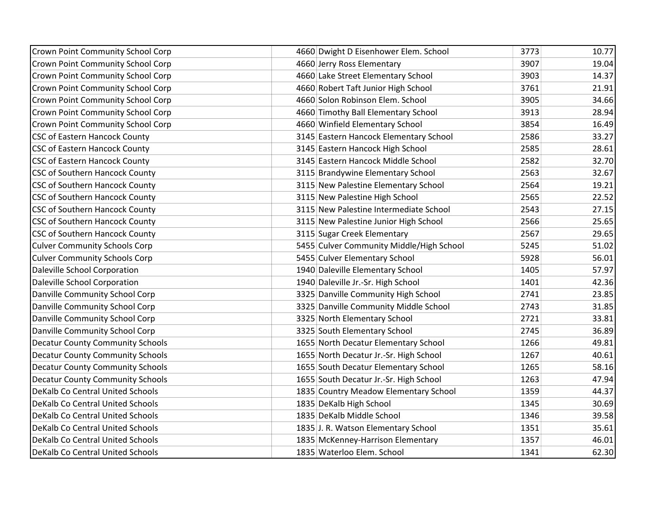| <b>Crown Point Community School Corp</b> | 4660 Dwight D Eisenhower Elem. School    | 3773 | 10.77 |
|------------------------------------------|------------------------------------------|------|-------|
| <b>Crown Point Community School Corp</b> | 4660 Jerry Ross Elementary               | 3907 | 19.04 |
| Crown Point Community School Corp        | 4660 Lake Street Elementary School       | 3903 | 14.37 |
| <b>Crown Point Community School Corp</b> | 4660 Robert Taft Junior High School      | 3761 | 21.91 |
| <b>Crown Point Community School Corp</b> | 4660 Solon Robinson Elem. School         | 3905 | 34.66 |
| <b>Crown Point Community School Corp</b> | 4660 Timothy Ball Elementary School      | 3913 | 28.94 |
| Crown Point Community School Corp        | 4660 Winfield Elementary School          | 3854 | 16.49 |
| <b>CSC of Eastern Hancock County</b>     | 3145 Eastern Hancock Elementary School   | 2586 | 33.27 |
| <b>CSC of Eastern Hancock County</b>     | 3145 Eastern Hancock High School         | 2585 | 28.61 |
| <b>CSC of Eastern Hancock County</b>     | 3145 Eastern Hancock Middle School       | 2582 | 32.70 |
| <b>CSC of Southern Hancock County</b>    | 3115 Brandywine Elementary School        | 2563 | 32.67 |
| <b>CSC of Southern Hancock County</b>    | 3115 New Palestine Elementary School     | 2564 | 19.21 |
| <b>CSC of Southern Hancock County</b>    | 3115 New Palestine High School           | 2565 | 22.52 |
| <b>CSC of Southern Hancock County</b>    | 3115 New Palestine Intermediate School   | 2543 | 27.15 |
| <b>CSC of Southern Hancock County</b>    | 3115 New Palestine Junior High School    | 2566 | 25.65 |
| <b>CSC of Southern Hancock County</b>    | 3115 Sugar Creek Elementary              | 2567 | 29.65 |
| <b>Culver Community Schools Corp</b>     | 5455 Culver Community Middle/High School | 5245 | 51.02 |
| <b>Culver Community Schools Corp</b>     | 5455 Culver Elementary School            | 5928 | 56.01 |
| Daleville School Corporation             | 1940 Daleville Elementary School         | 1405 | 57.97 |
| Daleville School Corporation             | 1940 Daleville Jr.-Sr. High School       | 1401 | 42.36 |
| Danville Community School Corp           | 3325 Danville Community High School      | 2741 | 23.85 |
| Danville Community School Corp           | 3325 Danville Community Middle School    | 2743 | 31.85 |
| Danville Community School Corp           | 3325 North Elementary School             | 2721 | 33.81 |
| Danville Community School Corp           | 3325 South Elementary School             | 2745 | 36.89 |
| <b>Decatur County Community Schools</b>  | 1655 North Decatur Elementary School     | 1266 | 49.81 |
| <b>Decatur County Community Schools</b>  | 1655 North Decatur Jr.-Sr. High School   | 1267 | 40.61 |
| <b>Decatur County Community Schools</b>  | 1655 South Decatur Elementary School     | 1265 | 58.16 |
| <b>Decatur County Community Schools</b>  | 1655 South Decatur Jr.-Sr. High School   | 1263 | 47.94 |
| DeKalb Co Central United Schools         | 1835 Country Meadow Elementary School    | 1359 | 44.37 |
| <b>DeKalb Co Central United Schools</b>  | 1835 DeKalb High School                  | 1345 | 30.69 |
| DeKalb Co Central United Schools         | 1835 DeKalb Middle School                | 1346 | 39.58 |
| <b>DeKalb Co Central United Schools</b>  | 1835 J. R. Watson Elementary School      | 1351 | 35.61 |
| <b>DeKalb Co Central United Schools</b>  | 1835 McKenney-Harrison Elementary        | 1357 | 46.01 |
| DeKalb Co Central United Schools         | 1835 Waterloo Elem. School               | 1341 | 62.30 |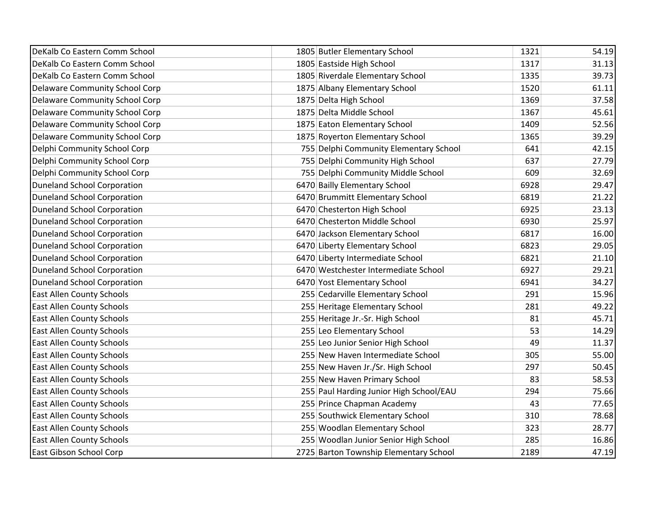| DeKalb Co Eastern Comm School         | 1805 Butler Elementary School           | 1321 | 54.19 |
|---------------------------------------|-----------------------------------------|------|-------|
| DeKalb Co Eastern Comm School         | 1805 Eastside High School               | 1317 | 31.13 |
| DeKalb Co Eastern Comm School         | 1805 Riverdale Elementary School        | 1335 | 39.73 |
| <b>Delaware Community School Corp</b> | 1875 Albany Elementary School           | 1520 | 61.11 |
| <b>Delaware Community School Corp</b> | 1875 Delta High School                  | 1369 | 37.58 |
| <b>Delaware Community School Corp</b> | 1875 Delta Middle School                | 1367 | 45.61 |
| <b>Delaware Community School Corp</b> | 1875 Eaton Elementary School            | 1409 | 52.56 |
| <b>Delaware Community School Corp</b> | 1875 Royerton Elementary School         | 1365 | 39.29 |
| Delphi Community School Corp          | 755 Delphi Community Elementary School  | 641  | 42.15 |
| Delphi Community School Corp          | 755 Delphi Community High School        | 637  | 27.79 |
| Delphi Community School Corp          | 755 Delphi Community Middle School      | 609  | 32.69 |
| <b>Duneland School Corporation</b>    | 6470 Bailly Elementary School           | 6928 | 29.47 |
| <b>Duneland School Corporation</b>    | 6470 Brummitt Elementary School         | 6819 | 21.22 |
| <b>Duneland School Corporation</b>    | 6470 Chesterton High School             | 6925 | 23.13 |
| <b>Duneland School Corporation</b>    | 6470 Chesterton Middle School           | 6930 | 25.97 |
| <b>Duneland School Corporation</b>    | 6470 Jackson Elementary School          | 6817 | 16.00 |
| <b>Duneland School Corporation</b>    | 6470 Liberty Elementary School          | 6823 | 29.05 |
| <b>Duneland School Corporation</b>    | 6470 Liberty Intermediate School        | 6821 | 21.10 |
| <b>Duneland School Corporation</b>    | 6470 Westchester Intermediate School    | 6927 | 29.21 |
| <b>Duneland School Corporation</b>    | 6470 Yost Elementary School             | 6941 | 34.27 |
| <b>East Allen County Schools</b>      | 255 Cedarville Elementary School        | 291  | 15.96 |
| <b>East Allen County Schools</b>      | 255 Heritage Elementary School          | 281  | 49.22 |
| <b>East Allen County Schools</b>      | 255 Heritage Jr.-Sr. High School        | 81   | 45.71 |
| <b>East Allen County Schools</b>      | 255 Leo Elementary School               | 53   | 14.29 |
| <b>East Allen County Schools</b>      | 255 Leo Junior Senior High School       | 49   | 11.37 |
| <b>East Allen County Schools</b>      | 255 New Haven Intermediate School       | 305  | 55.00 |
| <b>East Allen County Schools</b>      | 255 New Haven Jr./Sr. High School       | 297  | 50.45 |
| <b>East Allen County Schools</b>      | 255 New Haven Primary School            | 83   | 58.53 |
| <b>East Allen County Schools</b>      | 255 Paul Harding Junior High School/EAU | 294  | 75.66 |
| <b>East Allen County Schools</b>      | 255 Prince Chapman Academy              | 43   | 77.65 |
| <b>East Allen County Schools</b>      | 255 Southwick Elementary School         | 310  | 78.68 |
| <b>East Allen County Schools</b>      | 255 Woodlan Elementary School           | 323  | 28.77 |
| <b>East Allen County Schools</b>      | 255 Woodlan Junior Senior High School   | 285  | 16.86 |
| East Gibson School Corp               | 2725 Barton Township Elementary School  | 2189 | 47.19 |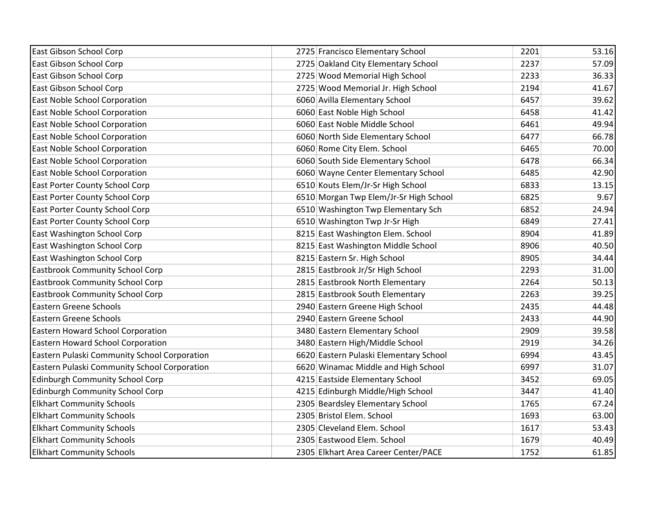| East Gibson School Corp                      | 2725 Francisco Elementary School       | 2201 | 53.16 |
|----------------------------------------------|----------------------------------------|------|-------|
| East Gibson School Corp                      | 2725 Oakland City Elementary School    | 2237 | 57.09 |
| East Gibson School Corp                      | 2725 Wood Memorial High School         | 2233 | 36.33 |
| East Gibson School Corp                      | 2725 Wood Memorial Jr. High School     | 2194 | 41.67 |
| East Noble School Corporation                | 6060 Avilla Elementary School          | 6457 | 39.62 |
| East Noble School Corporation                | 6060 East Noble High School            | 6458 | 41.42 |
| East Noble School Corporation                | 6060 East Noble Middle School          | 6461 | 49.94 |
| East Noble School Corporation                | 6060 North Side Elementary School      | 6477 | 66.78 |
| East Noble School Corporation                | 6060 Rome City Elem. School            | 6465 | 70.00 |
| East Noble School Corporation                | 6060 South Side Elementary School      | 6478 | 66.34 |
| East Noble School Corporation                | 6060 Wayne Center Elementary School    | 6485 | 42.90 |
| East Porter County School Corp               | 6510 Kouts Elem/Jr-Sr High School      | 6833 | 13.15 |
| East Porter County School Corp               | 6510 Morgan Twp Elem/Jr-Sr High School | 6825 | 9.67  |
| East Porter County School Corp               | 6510 Washington Twp Elementary Sch     | 6852 | 24.94 |
| East Porter County School Corp               | 6510 Washington Twp Jr-Sr High         | 6849 | 27.41 |
| East Washington School Corp                  | 8215 East Washington Elem. School      | 8904 | 41.89 |
| East Washington School Corp                  | 8215 East Washington Middle School     | 8906 | 40.50 |
| East Washington School Corp                  | 8215 Eastern Sr. High School           | 8905 | 34.44 |
| <b>Eastbrook Community School Corp</b>       | 2815 Eastbrook Jr/Sr High School       | 2293 | 31.00 |
| <b>Eastbrook Community School Corp</b>       | 2815 Eastbrook North Elementary        | 2264 | 50.13 |
| <b>Eastbrook Community School Corp</b>       | 2815 Eastbrook South Elementary        | 2263 | 39.25 |
| <b>Eastern Greene Schools</b>                | 2940 Eastern Greene High School        | 2435 | 44.48 |
| <b>Eastern Greene Schools</b>                | 2940 Eastern Greene School             | 2433 | 44.90 |
| Eastern Howard School Corporation            | 3480 Eastern Elementary School         | 2909 | 39.58 |
| Eastern Howard School Corporation            | 3480 Eastern High/Middle School        | 2919 | 34.26 |
| Eastern Pulaski Community School Corporation | 6620 Eastern Pulaski Elementary School | 6994 | 43.45 |
| Eastern Pulaski Community School Corporation | 6620 Winamac Middle and High School    | 6997 | 31.07 |
| <b>Edinburgh Community School Corp</b>       | 4215 Eastside Elementary School        | 3452 | 69.05 |
| Edinburgh Community School Corp              | 4215 Edinburgh Middle/High School      | 3447 | 41.40 |
| <b>Elkhart Community Schools</b>             | 2305 Beardsley Elementary School       | 1765 | 67.24 |
| <b>Elkhart Community Schools</b>             | 2305 Bristol Elem. School              | 1693 | 63.00 |
| <b>Elkhart Community Schools</b>             | 2305 Cleveland Elem. School            | 1617 | 53.43 |
| <b>Elkhart Community Schools</b>             | 2305 Eastwood Elem. School             | 1679 | 40.49 |
| <b>Elkhart Community Schools</b>             | 2305 Elkhart Area Career Center/PACE   | 1752 | 61.85 |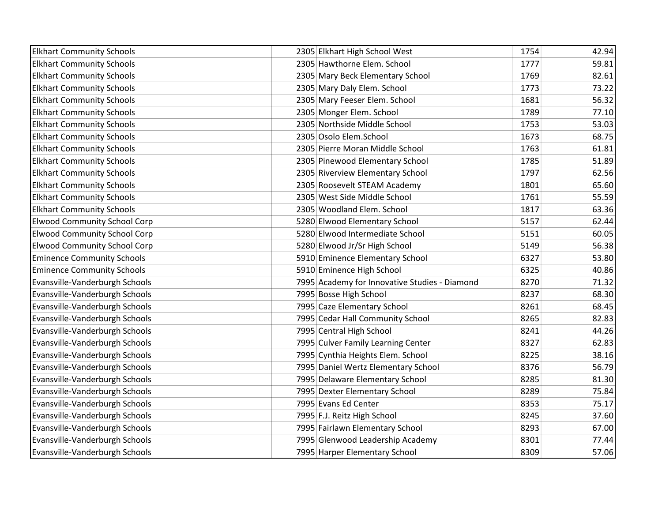| <b>Elkhart Community Schools</b>    | 2305 Elkhart High School West                 | 1754 | 42.94 |
|-------------------------------------|-----------------------------------------------|------|-------|
| <b>Elkhart Community Schools</b>    | 2305 Hawthorne Elem. School                   | 1777 | 59.81 |
| <b>Elkhart Community Schools</b>    | 2305 Mary Beck Elementary School              | 1769 | 82.61 |
| <b>Elkhart Community Schools</b>    | 2305 Mary Daly Elem. School                   | 1773 | 73.22 |
| <b>Elkhart Community Schools</b>    | 2305 Mary Feeser Elem. School                 | 1681 | 56.32 |
| <b>Elkhart Community Schools</b>    | 2305 Monger Elem. School                      | 1789 | 77.10 |
| <b>Elkhart Community Schools</b>    | 2305 Northside Middle School                  | 1753 | 53.03 |
| <b>Elkhart Community Schools</b>    | 2305 Osolo Elem.School                        | 1673 | 68.75 |
| <b>Elkhart Community Schools</b>    | 2305 Pierre Moran Middle School               | 1763 | 61.81 |
| <b>Elkhart Community Schools</b>    | 2305 Pinewood Elementary School               | 1785 | 51.89 |
| <b>Elkhart Community Schools</b>    | 2305 Riverview Elementary School              | 1797 | 62.56 |
| <b>Elkhart Community Schools</b>    | 2305 Roosevelt STEAM Academy                  | 1801 | 65.60 |
| <b>Elkhart Community Schools</b>    | 2305 West Side Middle School                  | 1761 | 55.59 |
| <b>Elkhart Community Schools</b>    | 2305 Woodland Elem. School                    | 1817 | 63.36 |
| <b>Elwood Community School Corp</b> | 5280 Elwood Elementary School                 | 5157 | 62.44 |
| <b>Elwood Community School Corp</b> | 5280 Elwood Intermediate School               | 5151 | 60.05 |
| <b>Elwood Community School Corp</b> | 5280 Elwood Jr/Sr High School                 | 5149 | 56.38 |
| <b>Eminence Community Schools</b>   | 5910 Eminence Elementary School               | 6327 | 53.80 |
| <b>Eminence Community Schools</b>   | 5910 Eminence High School                     | 6325 | 40.86 |
| Evansville-Vanderburgh Schools      | 7995 Academy for Innovative Studies - Diamond | 8270 | 71.32 |
| Evansville-Vanderburgh Schools      | 7995 Bosse High School                        | 8237 | 68.30 |
| Evansville-Vanderburgh Schools      | 7995 Caze Elementary School                   | 8261 | 68.45 |
| Evansville-Vanderburgh Schools      | 7995 Cedar Hall Community School              | 8265 | 82.83 |
| Evansville-Vanderburgh Schools      | 7995 Central High School                      | 8241 | 44.26 |
| Evansville-Vanderburgh Schools      | 7995 Culver Family Learning Center            | 8327 | 62.83 |
| Evansville-Vanderburgh Schools      | 7995 Cynthia Heights Elem. School             | 8225 | 38.16 |
| Evansville-Vanderburgh Schools      | 7995 Daniel Wertz Elementary School           | 8376 | 56.79 |
| Evansville-Vanderburgh Schools      | 7995 Delaware Elementary School               | 8285 | 81.30 |
| Evansville-Vanderburgh Schools      | 7995 Dexter Elementary School                 | 8289 | 75.84 |
| Evansville-Vanderburgh Schools      | 7995 Evans Ed Center                          | 8353 | 75.17 |
| Evansville-Vanderburgh Schools      | 7995 F.J. Reitz High School                   | 8245 | 37.60 |
| Evansville-Vanderburgh Schools      | 7995 Fairlawn Elementary School               | 8293 | 67.00 |
| Evansville-Vanderburgh Schools      | 7995 Glenwood Leadership Academy              | 8301 | 77.44 |
| Evansville-Vanderburgh Schools      | 7995 Harper Elementary School                 | 8309 | 57.06 |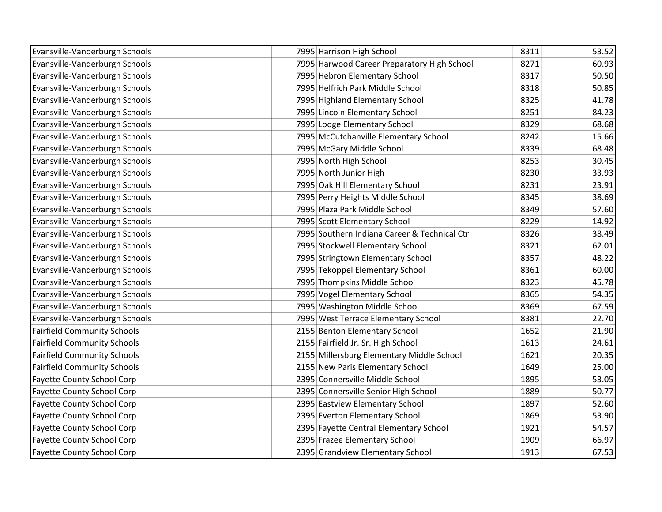| Evansville-Vanderburgh Schools     | 7995 Harrison High School                    | 8311 | 53.52 |
|------------------------------------|----------------------------------------------|------|-------|
| Evansville-Vanderburgh Schools     | 7995 Harwood Career Preparatory High School  | 8271 | 60.93 |
| Evansville-Vanderburgh Schools     | 7995 Hebron Elementary School                | 8317 | 50.50 |
| Evansville-Vanderburgh Schools     | 7995 Helfrich Park Middle School             | 8318 | 50.85 |
| Evansville-Vanderburgh Schools     | 7995 Highland Elementary School              | 8325 | 41.78 |
| Evansville-Vanderburgh Schools     | 7995 Lincoln Elementary School               | 8251 | 84.23 |
| Evansville-Vanderburgh Schools     | 7995 Lodge Elementary School                 | 8329 | 68.68 |
| Evansville-Vanderburgh Schools     | 7995 McCutchanville Elementary School        | 8242 | 15.66 |
| Evansville-Vanderburgh Schools     | 7995 McGary Middle School                    | 8339 | 68.48 |
| Evansville-Vanderburgh Schools     | 7995 North High School                       | 8253 | 30.45 |
| Evansville-Vanderburgh Schools     | 7995 North Junior High                       | 8230 | 33.93 |
| Evansville-Vanderburgh Schools     | 7995 Oak Hill Elementary School              | 8231 | 23.91 |
| Evansville-Vanderburgh Schools     | 7995 Perry Heights Middle School             | 8345 | 38.69 |
| Evansville-Vanderburgh Schools     | 7995 Plaza Park Middle School                | 8349 | 57.60 |
| Evansville-Vanderburgh Schools     | 7995 Scott Elementary School                 | 8229 | 14.92 |
| Evansville-Vanderburgh Schools     | 7995 Southern Indiana Career & Technical Ctr | 8326 | 38.49 |
| Evansville-Vanderburgh Schools     | 7995 Stockwell Elementary School             | 8321 | 62.01 |
| Evansville-Vanderburgh Schools     | 7995 Stringtown Elementary School            | 8357 | 48.22 |
| Evansville-Vanderburgh Schools     | 7995 Tekoppel Elementary School              | 8361 | 60.00 |
| Evansville-Vanderburgh Schools     | 7995 Thompkins Middle School                 | 8323 | 45.78 |
| Evansville-Vanderburgh Schools     | 7995 Vogel Elementary School                 | 8365 | 54.35 |
| Evansville-Vanderburgh Schools     | 7995 Washington Middle School                | 8369 | 67.59 |
| Evansville-Vanderburgh Schools     | 7995 West Terrace Elementary School          | 8381 | 22.70 |
| <b>Fairfield Community Schools</b> | 2155 Benton Elementary School                | 1652 | 21.90 |
| <b>Fairfield Community Schools</b> | 2155 Fairfield Jr. Sr. High School           | 1613 | 24.61 |
| <b>Fairfield Community Schools</b> | 2155 Millersburg Elementary Middle School    | 1621 | 20.35 |
| <b>Fairfield Community Schools</b> | 2155 New Paris Elementary School             | 1649 | 25.00 |
| <b>Fayette County School Corp</b>  | 2395 Connersville Middle School              | 1895 | 53.05 |
| <b>Fayette County School Corp</b>  | 2395 Connersville Senior High School         | 1889 | 50.77 |
| <b>Fayette County School Corp</b>  | 2395 Eastview Elementary School              | 1897 | 52.60 |
| <b>Fayette County School Corp</b>  | 2395 Everton Elementary School               | 1869 | 53.90 |
| <b>Fayette County School Corp</b>  | 2395 Fayette Central Elementary School       | 1921 | 54.57 |
| <b>Fayette County School Corp</b>  | 2395 Frazee Elementary School                | 1909 | 66.97 |
| <b>Fayette County School Corp</b>  | 2395 Grandview Elementary School             | 1913 | 67.53 |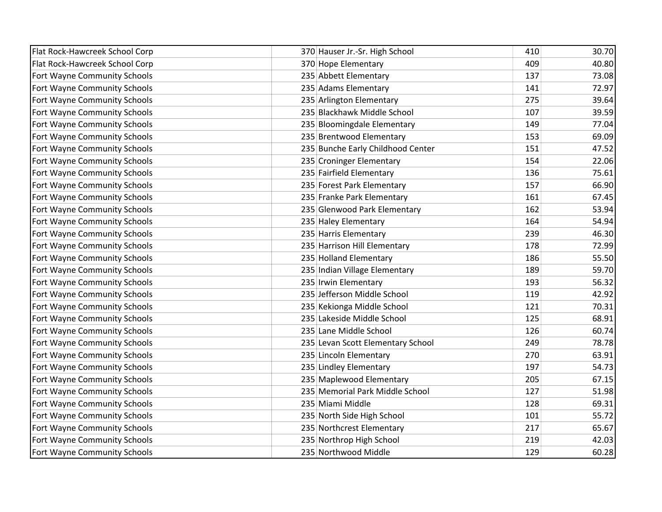| Flat Rock-Hawcreek School Corp | 370 Hauser Jr.-Sr. High School    | 410 | 30.70 |
|--------------------------------|-----------------------------------|-----|-------|
| Flat Rock-Hawcreek School Corp | 370 Hope Elementary               | 409 | 40.80 |
| Fort Wayne Community Schools   | 235 Abbett Elementary             | 137 | 73.08 |
| Fort Wayne Community Schools   | 235 Adams Elementary              | 141 | 72.97 |
| Fort Wayne Community Schools   | 235 Arlington Elementary          | 275 | 39.64 |
| Fort Wayne Community Schools   | 235 Blackhawk Middle School       | 107 | 39.59 |
| Fort Wayne Community Schools   | 235 Bloomingdale Elementary       | 149 | 77.04 |
| Fort Wayne Community Schools   | 235 Brentwood Elementary          | 153 | 69.09 |
| Fort Wayne Community Schools   | 235 Bunche Early Childhood Center | 151 | 47.52 |
| Fort Wayne Community Schools   | 235 Croninger Elementary          | 154 | 22.06 |
| Fort Wayne Community Schools   | 235 Fairfield Elementary          | 136 | 75.61 |
| Fort Wayne Community Schools   | 235 Forest Park Elementary        | 157 | 66.90 |
| Fort Wayne Community Schools   | 235 Franke Park Elementary        | 161 | 67.45 |
| Fort Wayne Community Schools   | 235 Glenwood Park Elementary      | 162 | 53.94 |
| Fort Wayne Community Schools   | 235 Haley Elementary              | 164 | 54.94 |
| Fort Wayne Community Schools   | 235 Harris Elementary             | 239 | 46.30 |
| Fort Wayne Community Schools   | 235 Harrison Hill Elementary      | 178 | 72.99 |
| Fort Wayne Community Schools   | 235 Holland Elementary            | 186 | 55.50 |
| Fort Wayne Community Schools   | 235 Indian Village Elementary     | 189 | 59.70 |
| Fort Wayne Community Schools   | 235 Irwin Elementary              | 193 | 56.32 |
| Fort Wayne Community Schools   | 235 Jefferson Middle School       | 119 | 42.92 |
| Fort Wayne Community Schools   | 235 Kekionga Middle School        | 121 | 70.31 |
| Fort Wayne Community Schools   | 235 Lakeside Middle School        | 125 | 68.91 |
| Fort Wayne Community Schools   | 235 Lane Middle School            | 126 | 60.74 |
| Fort Wayne Community Schools   | 235 Levan Scott Elementary School | 249 | 78.78 |
| Fort Wayne Community Schools   | 235 Lincoln Elementary            | 270 | 63.91 |
| Fort Wayne Community Schools   | 235 Lindley Elementary            | 197 | 54.73 |
| Fort Wayne Community Schools   | 235 Maplewood Elementary          | 205 | 67.15 |
| Fort Wayne Community Schools   | 235 Memorial Park Middle School   | 127 | 51.98 |
| Fort Wayne Community Schools   | 235 Miami Middle                  | 128 | 69.31 |
| Fort Wayne Community Schools   | 235 North Side High School        | 101 | 55.72 |
| Fort Wayne Community Schools   | 235 Northcrest Elementary         | 217 | 65.67 |
| Fort Wayne Community Schools   | 235 Northrop High School          | 219 | 42.03 |
| Fort Wayne Community Schools   | 235 Northwood Middle              | 129 | 60.28 |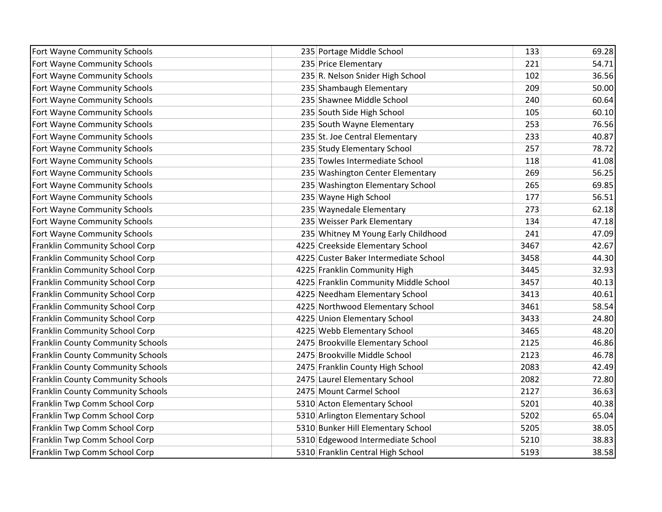| Fort Wayne Community Schools             | 235 Portage Middle School             | 133  | 69.28 |
|------------------------------------------|---------------------------------------|------|-------|
| Fort Wayne Community Schools             | 235 Price Elementary                  | 221  | 54.71 |
| Fort Wayne Community Schools             | 235 R. Nelson Snider High School      | 102  | 36.56 |
| Fort Wayne Community Schools             | 235 Shambaugh Elementary              | 209  | 50.00 |
| Fort Wayne Community Schools             | 235 Shawnee Middle School             | 240  | 60.64 |
| Fort Wayne Community Schools             | 235 South Side High School            | 105  | 60.10 |
| Fort Wayne Community Schools             | 235 South Wayne Elementary            | 253  | 76.56 |
| Fort Wayne Community Schools             | 235 St. Joe Central Elementary        | 233  | 40.87 |
| Fort Wayne Community Schools             | 235 Study Elementary School           | 257  | 78.72 |
| Fort Wayne Community Schools             | 235 Towles Intermediate School        | 118  | 41.08 |
| Fort Wayne Community Schools             | 235 Washington Center Elementary      | 269  | 56.25 |
| Fort Wayne Community Schools             | 235 Washington Elementary School      | 265  | 69.85 |
| Fort Wayne Community Schools             | 235 Wayne High School                 | 177  | 56.51 |
| Fort Wayne Community Schools             | 235 Waynedale Elementary              | 273  | 62.18 |
| Fort Wayne Community Schools             | 235 Weisser Park Elementary           | 134  | 47.18 |
| Fort Wayne Community Schools             | 235 Whitney M Young Early Childhood   | 241  | 47.09 |
| <b>Franklin Community School Corp</b>    | 4225 Creekside Elementary School      | 3467 | 42.67 |
| Franklin Community School Corp           | 4225 Custer Baker Intermediate School | 3458 | 44.30 |
| Franklin Community School Corp           | 4225 Franklin Community High          | 3445 | 32.93 |
| Franklin Community School Corp           | 4225 Franklin Community Middle School | 3457 | 40.13 |
| Franklin Community School Corp           | 4225 Needham Elementary School        | 3413 | 40.61 |
| <b>Franklin Community School Corp</b>    | 4225 Northwood Elementary School      | 3461 | 58.54 |
| Franklin Community School Corp           | 4225 Union Elementary School          | 3433 | 24.80 |
| Franklin Community School Corp           | 4225 Webb Elementary School           | 3465 | 48.20 |
| <b>Franklin County Community Schools</b> | 2475 Brookville Elementary School     | 2125 | 46.86 |
| <b>Franklin County Community Schools</b> | 2475 Brookville Middle School         | 2123 | 46.78 |
| <b>Franklin County Community Schools</b> | 2475 Franklin County High School      | 2083 | 42.49 |
| Franklin County Community Schools        | 2475 Laurel Elementary School         | 2082 | 72.80 |
| <b>Franklin County Community Schools</b> | 2475 Mount Carmel School              | 2127 | 36.63 |
| Franklin Twp Comm School Corp            | 5310 Acton Elementary School          | 5201 | 40.38 |
| Franklin Twp Comm School Corp            | 5310 Arlington Elementary School      | 5202 | 65.04 |
| Franklin Twp Comm School Corp            | 5310 Bunker Hill Elementary School    | 5205 | 38.05 |
| Franklin Twp Comm School Corp            | 5310 Edgewood Intermediate School     | 5210 | 38.83 |
| Franklin Twp Comm School Corp            | 5310 Franklin Central High School     | 5193 | 38.58 |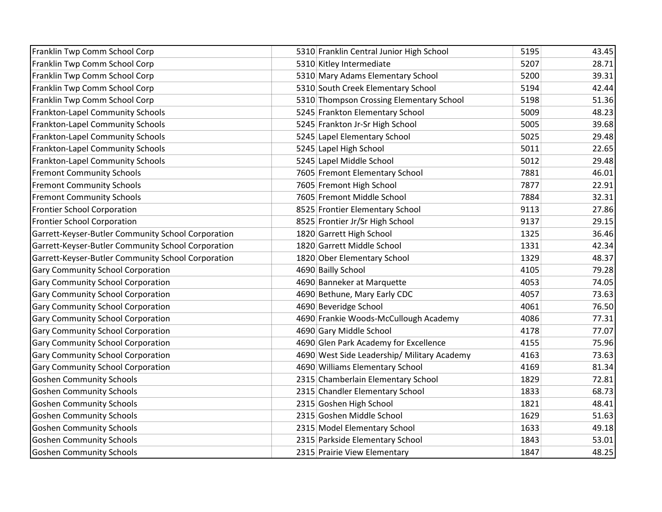| Franklin Twp Comm School Corp                      | 5310 Franklin Central Junior High School    | 5195 | 43.45 |
|----------------------------------------------------|---------------------------------------------|------|-------|
| Franklin Twp Comm School Corp                      | 5310 Kitley Intermediate                    | 5207 | 28.71 |
| Franklin Twp Comm School Corp                      | 5310 Mary Adams Elementary School           | 5200 | 39.31 |
| Franklin Twp Comm School Corp                      | 5310 South Creek Elementary School          | 5194 | 42.44 |
| Franklin Twp Comm School Corp                      | 5310 Thompson Crossing Elementary School    | 5198 | 51.36 |
| Frankton-Lapel Community Schools                   | 5245 Frankton Elementary School             | 5009 | 48.23 |
| <b>Frankton-Lapel Community Schools</b>            | 5245 Frankton Jr-Sr High School             | 5005 | 39.68 |
| <b>Frankton-Lapel Community Schools</b>            | 5245 Lapel Elementary School                | 5025 | 29.48 |
| Frankton-Lapel Community Schools                   | 5245 Lapel High School                      | 5011 | 22.65 |
| <b>Frankton-Lapel Community Schools</b>            | 5245 Lapel Middle School                    | 5012 | 29.48 |
| <b>Fremont Community Schools</b>                   | 7605 Fremont Elementary School              | 7881 | 46.01 |
| <b>Fremont Community Schools</b>                   | 7605 Fremont High School                    | 7877 | 22.91 |
| <b>Fremont Community Schools</b>                   | 7605 Fremont Middle School                  | 7884 | 32.31 |
| <b>Frontier School Corporation</b>                 | 8525 Frontier Elementary School             | 9113 | 27.86 |
| <b>Frontier School Corporation</b>                 | 8525 Frontier Jr/Sr High School             | 9137 | 29.15 |
| Garrett-Keyser-Butler Community School Corporation | 1820 Garrett High School                    | 1325 | 36.46 |
| Garrett-Keyser-Butler Community School Corporation | 1820 Garrett Middle School                  | 1331 | 42.34 |
| Garrett-Keyser-Butler Community School Corporation | 1820 Ober Elementary School                 | 1329 | 48.37 |
| <b>Gary Community School Corporation</b>           | 4690 Bailly School                          | 4105 | 79.28 |
| <b>Gary Community School Corporation</b>           | 4690 Banneker at Marquette                  | 4053 | 74.05 |
| <b>Gary Community School Corporation</b>           | 4690 Bethune, Mary Early CDC                | 4057 | 73.63 |
| <b>Gary Community School Corporation</b>           | 4690 Beveridge School                       | 4061 | 76.50 |
| <b>Gary Community School Corporation</b>           | 4690 Frankie Woods-McCullough Academy       | 4086 | 77.31 |
| <b>Gary Community School Corporation</b>           | 4690 Gary Middle School                     | 4178 | 77.07 |
| <b>Gary Community School Corporation</b>           | 4690 Glen Park Academy for Excellence       | 4155 | 75.96 |
| <b>Gary Community School Corporation</b>           | 4690 West Side Leadership/ Military Academy | 4163 | 73.63 |
| <b>Gary Community School Corporation</b>           | 4690 Williams Elementary School             | 4169 | 81.34 |
| <b>Goshen Community Schools</b>                    | 2315 Chamberlain Elementary School          | 1829 | 72.81 |
| <b>Goshen Community Schools</b>                    | 2315 Chandler Elementary School             | 1833 | 68.73 |
| <b>Goshen Community Schools</b>                    | 2315 Goshen High School                     | 1821 | 48.41 |
| <b>Goshen Community Schools</b>                    | 2315 Goshen Middle School                   | 1629 | 51.63 |
| <b>Goshen Community Schools</b>                    | 2315 Model Elementary School                | 1633 | 49.18 |
| <b>Goshen Community Schools</b>                    | 2315 Parkside Elementary School             | 1843 | 53.01 |
| <b>Goshen Community Schools</b>                    | 2315 Prairie View Elementary                | 1847 | 48.25 |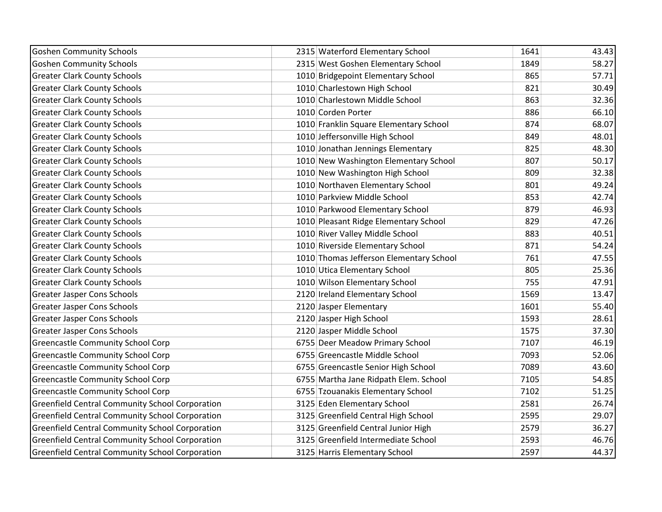| <b>Goshen Community Schools</b>                        | 2315 Waterford Elementary School        | 1641 | 43.43 |
|--------------------------------------------------------|-----------------------------------------|------|-------|
| <b>Goshen Community Schools</b>                        | 2315 West Goshen Elementary School      | 1849 | 58.27 |
| <b>Greater Clark County Schools</b>                    | 1010 Bridgepoint Elementary School      | 865  | 57.71 |
| <b>Greater Clark County Schools</b>                    | 1010 Charlestown High School            | 821  | 30.49 |
| <b>Greater Clark County Schools</b>                    | 1010 Charlestown Middle School          | 863  | 32.36 |
| <b>Greater Clark County Schools</b>                    | 1010 Corden Porter                      | 886  | 66.10 |
| <b>Greater Clark County Schools</b>                    | 1010 Franklin Square Elementary School  | 874  | 68.07 |
| <b>Greater Clark County Schools</b>                    | 1010 Jeffersonville High School         | 849  | 48.01 |
| <b>Greater Clark County Schools</b>                    | 1010 Jonathan Jennings Elementary       | 825  | 48.30 |
| <b>Greater Clark County Schools</b>                    | 1010 New Washington Elementary School   | 807  | 50.17 |
| <b>Greater Clark County Schools</b>                    | 1010 New Washington High School         | 809  | 32.38 |
| <b>Greater Clark County Schools</b>                    | 1010 Northaven Elementary School        | 801  | 49.24 |
| <b>Greater Clark County Schools</b>                    | 1010 Parkview Middle School             | 853  | 42.74 |
| <b>Greater Clark County Schools</b>                    | 1010 Parkwood Elementary School         | 879  | 46.93 |
| <b>Greater Clark County Schools</b>                    | 1010 Pleasant Ridge Elementary School   | 829  | 47.26 |
| <b>Greater Clark County Schools</b>                    | 1010 River Valley Middle School         | 883  | 40.51 |
| <b>Greater Clark County Schools</b>                    | 1010 Riverside Elementary School        | 871  | 54.24 |
| <b>Greater Clark County Schools</b>                    | 1010 Thomas Jefferson Elementary School | 761  | 47.55 |
| <b>Greater Clark County Schools</b>                    | 1010 Utica Elementary School            | 805  | 25.36 |
| <b>Greater Clark County Schools</b>                    | 1010 Wilson Elementary School           | 755  | 47.91 |
| <b>Greater Jasper Cons Schools</b>                     | 2120 Ireland Elementary School          | 1569 | 13.47 |
| <b>Greater Jasper Cons Schools</b>                     | 2120 Jasper Elementary                  | 1601 | 55.40 |
| <b>Greater Jasper Cons Schools</b>                     | 2120 Jasper High School                 | 1593 | 28.61 |
| <b>Greater Jasper Cons Schools</b>                     | 2120 Jasper Middle School               | 1575 | 37.30 |
| <b>Greencastle Community School Corp</b>               | 6755 Deer Meadow Primary School         | 7107 | 46.19 |
| <b>Greencastle Community School Corp</b>               | 6755 Greencastle Middle School          | 7093 | 52.06 |
| <b>Greencastle Community School Corp</b>               | 6755 Greencastle Senior High School     | 7089 | 43.60 |
| <b>Greencastle Community School Corp</b>               | 6755 Martha Jane Ridpath Elem. School   | 7105 | 54.85 |
| <b>Greencastle Community School Corp</b>               | 6755 Tzouanakis Elementary School       | 7102 | 51.25 |
| <b>Greenfield Central Community School Corporation</b> | 3125 Eden Elementary School             | 2581 | 26.74 |
| <b>Greenfield Central Community School Corporation</b> | 3125 Greenfield Central High School     | 2595 | 29.07 |
| <b>Greenfield Central Community School Corporation</b> | 3125 Greenfield Central Junior High     | 2579 | 36.27 |
| <b>Greenfield Central Community School Corporation</b> | 3125 Greenfield Intermediate School     | 2593 | 46.76 |
| <b>Greenfield Central Community School Corporation</b> | 3125 Harris Elementary School           | 2597 | 44.37 |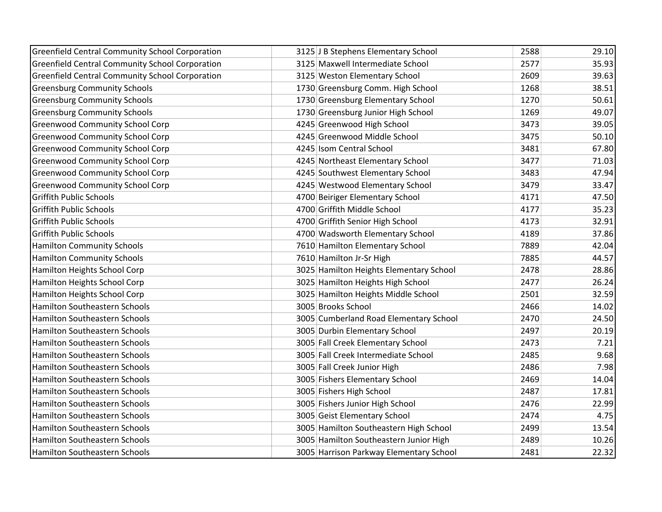| <b>Greenfield Central Community School Corporation</b> | 3125 J B Stephens Elementary School     | 2588 | 29.10 |
|--------------------------------------------------------|-----------------------------------------|------|-------|
| <b>Greenfield Central Community School Corporation</b> | 3125 Maxwell Intermediate School        | 2577 | 35.93 |
| <b>Greenfield Central Community School Corporation</b> | 3125 Weston Elementary School           | 2609 | 39.63 |
| <b>Greensburg Community Schools</b>                    | 1730 Greensburg Comm. High School       | 1268 | 38.51 |
| <b>Greensburg Community Schools</b>                    | 1730 Greensburg Elementary School       | 1270 | 50.61 |
| <b>Greensburg Community Schools</b>                    | 1730 Greensburg Junior High School      | 1269 | 49.07 |
| <b>Greenwood Community School Corp</b>                 | 4245 Greenwood High School              | 3473 | 39.05 |
| <b>Greenwood Community School Corp</b>                 | 4245 Greenwood Middle School            | 3475 | 50.10 |
| <b>Greenwood Community School Corp</b>                 | 4245 Isom Central School                | 3481 | 67.80 |
| <b>Greenwood Community School Corp</b>                 | 4245 Northeast Elementary School        | 3477 | 71.03 |
| <b>Greenwood Community School Corp</b>                 | 4245 Southwest Elementary School        | 3483 | 47.94 |
| <b>Greenwood Community School Corp</b>                 | 4245 Westwood Elementary School         | 3479 | 33.47 |
| <b>Griffith Public Schools</b>                         | 4700 Beiriger Elementary School         | 4171 | 47.50 |
| <b>Griffith Public Schools</b>                         | 4700 Griffith Middle School             | 4177 | 35.23 |
| <b>Griffith Public Schools</b>                         | 4700 Griffith Senior High School        | 4173 | 32.91 |
| <b>Griffith Public Schools</b>                         | 4700 Wadsworth Elementary School        | 4189 | 37.86 |
| <b>Hamilton Community Schools</b>                      | 7610 Hamilton Elementary School         | 7889 | 42.04 |
| <b>Hamilton Community Schools</b>                      | 7610 Hamilton Jr-Sr High                | 7885 | 44.57 |
| Hamilton Heights School Corp                           | 3025 Hamilton Heights Elementary School | 2478 | 28.86 |
| Hamilton Heights School Corp                           | 3025 Hamilton Heights High School       | 2477 | 26.24 |
| Hamilton Heights School Corp                           | 3025 Hamilton Heights Middle School     | 2501 | 32.59 |
| Hamilton Southeastern Schools                          | 3005 Brooks School                      | 2466 | 14.02 |
| Hamilton Southeastern Schools                          | 3005 Cumberland Road Elementary School  | 2470 | 24.50 |
| Hamilton Southeastern Schools                          | 3005 Durbin Elementary School           | 2497 | 20.19 |
| Hamilton Southeastern Schools                          | 3005 Fall Creek Elementary School       | 2473 | 7.21  |
| Hamilton Southeastern Schools                          | 3005 Fall Creek Intermediate School     | 2485 | 9.68  |
| Hamilton Southeastern Schools                          | 3005 Fall Creek Junior High             | 2486 | 7.98  |
| Hamilton Southeastern Schools                          | 3005 Fishers Elementary School          | 2469 | 14.04 |
| Hamilton Southeastern Schools                          | 3005 Fishers High School                | 2487 | 17.81 |
| Hamilton Southeastern Schools                          | 3005 Fishers Junior High School         | 2476 | 22.99 |
| Hamilton Southeastern Schools                          | 3005 Geist Elementary School            | 2474 | 4.75  |
| Hamilton Southeastern Schools                          | 3005 Hamilton Southeastern High School  | 2499 | 13.54 |
| Hamilton Southeastern Schools                          | 3005 Hamilton Southeastern Junior High  | 2489 | 10.26 |
| Hamilton Southeastern Schools                          | 3005 Harrison Parkway Elementary School | 2481 | 22.32 |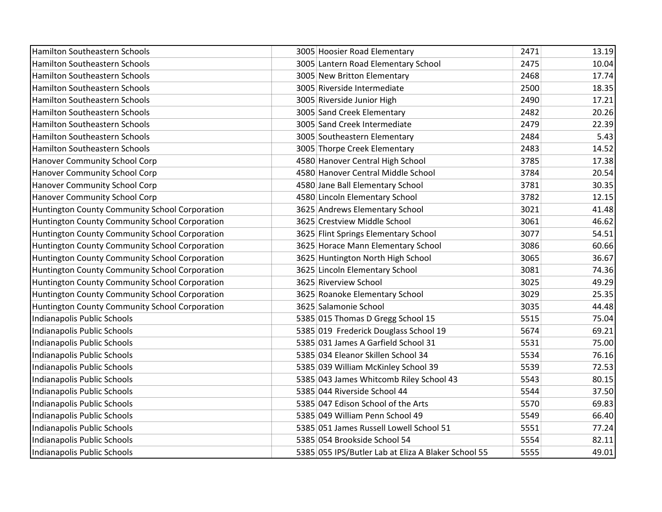| <b>Hamilton Southeastern Schools</b>           | 3005 Hoosier Road Elementary                        | 2471 | 13.19 |
|------------------------------------------------|-----------------------------------------------------|------|-------|
| Hamilton Southeastern Schools                  | 3005 Lantern Road Elementary School                 | 2475 | 10.04 |
| Hamilton Southeastern Schools                  | 3005 New Britton Elementary                         | 2468 | 17.74 |
| <b>Hamilton Southeastern Schools</b>           | 3005 Riverside Intermediate                         | 2500 | 18.35 |
| Hamilton Southeastern Schools                  | 3005 Riverside Junior High                          | 2490 | 17.21 |
| <b>Hamilton Southeastern Schools</b>           | 3005 Sand Creek Elementary                          | 2482 | 20.26 |
| Hamilton Southeastern Schools                  | 3005 Sand Creek Intermediate                        | 2479 | 22.39 |
| Hamilton Southeastern Schools                  | 3005 Southeastern Elementary                        | 2484 | 5.43  |
| Hamilton Southeastern Schools                  | 3005 Thorpe Creek Elementary                        | 2483 | 14.52 |
| Hanover Community School Corp                  | 4580 Hanover Central High School                    | 3785 | 17.38 |
| Hanover Community School Corp                  | 4580 Hanover Central Middle School                  | 3784 | 20.54 |
| Hanover Community School Corp                  | 4580 Jane Ball Elementary School                    | 3781 | 30.35 |
| Hanover Community School Corp                  | 4580 Lincoln Elementary School                      | 3782 | 12.15 |
| Huntington County Community School Corporation | 3625 Andrews Elementary School                      | 3021 | 41.48 |
| Huntington County Community School Corporation | 3625 Crestview Middle School                        | 3061 | 46.62 |
| Huntington County Community School Corporation | 3625 Flint Springs Elementary School                | 3077 | 54.51 |
| Huntington County Community School Corporation | 3625 Horace Mann Elementary School                  | 3086 | 60.66 |
| Huntington County Community School Corporation | 3625 Huntington North High School                   | 3065 | 36.67 |
| Huntington County Community School Corporation | 3625 Lincoln Elementary School                      | 3081 | 74.36 |
| Huntington County Community School Corporation | 3625 Riverview School                               | 3025 | 49.29 |
| Huntington County Community School Corporation | 3625 Roanoke Elementary School                      | 3029 | 25.35 |
| Huntington County Community School Corporation | 3625 Salamonie School                               | 3035 | 44.48 |
| Indianapolis Public Schools                    | 5385 015 Thomas D Gregg School 15                   | 5515 | 75.04 |
| Indianapolis Public Schools                    | 5385 019 Frederick Douglass School 19               | 5674 | 69.21 |
| Indianapolis Public Schools                    | 5385 031 James A Garfield School 31                 | 5531 | 75.00 |
| Indianapolis Public Schools                    | 5385 034 Eleanor Skillen School 34                  | 5534 | 76.16 |
| Indianapolis Public Schools                    | 5385 039 William McKinley School 39                 | 5539 | 72.53 |
| Indianapolis Public Schools                    | 5385 043 James Whitcomb Riley School 43             | 5543 | 80.15 |
| Indianapolis Public Schools                    | 5385 044 Riverside School 44                        | 5544 | 37.50 |
| Indianapolis Public Schools                    | 5385 047 Edison School of the Arts                  | 5570 | 69.83 |
| Indianapolis Public Schools                    | 5385 049 William Penn School 49                     | 5549 | 66.40 |
| Indianapolis Public Schools                    | 5385 051 James Russell Lowell School 51             | 5551 | 77.24 |
| Indianapolis Public Schools                    | 5385 054 Brookside School 54                        | 5554 | 82.11 |
| Indianapolis Public Schools                    | 5385 055 IPS/Butler Lab at Eliza A Blaker School 55 | 5555 | 49.01 |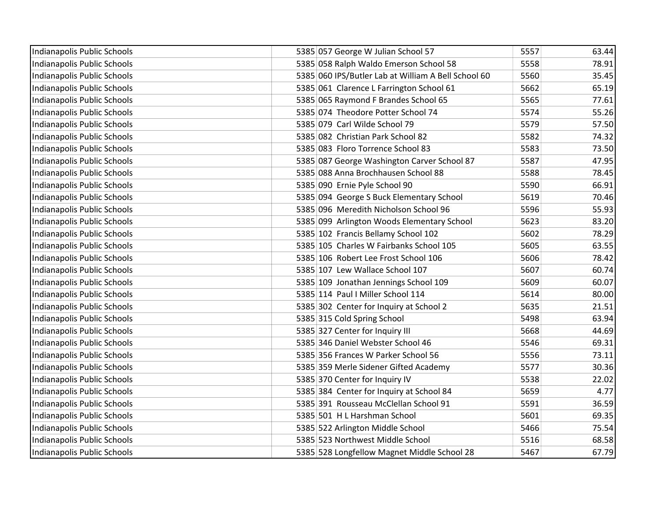| Indianapolis Public Schools | 5385 057 George W Julian School 57                  | 5557 | 63.44 |
|-----------------------------|-----------------------------------------------------|------|-------|
| Indianapolis Public Schools | 5385 058 Ralph Waldo Emerson School 58              | 5558 | 78.91 |
| Indianapolis Public Schools | 5385 060 IPS/Butler Lab at William A Bell School 60 | 5560 | 35.45 |
| Indianapolis Public Schools | 5385 061 Clarence L Farrington School 61            | 5662 | 65.19 |
| Indianapolis Public Schools | 5385 065 Raymond F Brandes School 65                | 5565 | 77.61 |
| Indianapolis Public Schools | 5385 074 Theodore Potter School 74                  | 5574 | 55.26 |
| Indianapolis Public Schools | 5385 079 Carl Wilde School 79                       | 5579 | 57.50 |
| Indianapolis Public Schools | 5385 082 Christian Park School 82                   | 5582 | 74.32 |
| Indianapolis Public Schools | 5385 083 Floro Torrence School 83                   | 5583 | 73.50 |
| Indianapolis Public Schools | 5385 087 George Washington Carver School 87         | 5587 | 47.95 |
| Indianapolis Public Schools | 5385 088 Anna Brochhausen School 88                 | 5588 | 78.45 |
| Indianapolis Public Schools | 5385 090 Ernie Pyle School 90                       | 5590 | 66.91 |
| Indianapolis Public Schools | 5385 094 George S Buck Elementary School            | 5619 | 70.46 |
| Indianapolis Public Schools | 5385 096 Meredith Nicholson School 96               | 5596 | 55.93 |
| Indianapolis Public Schools | 5385 099 Arlington Woods Elementary School          | 5623 | 83.20 |
| Indianapolis Public Schools | 5385 102 Francis Bellamy School 102                 | 5602 | 78.29 |
| Indianapolis Public Schools | 5385 105 Charles W Fairbanks School 105             | 5605 | 63.55 |
| Indianapolis Public Schools | 5385 106 Robert Lee Frost School 106                | 5606 | 78.42 |
| Indianapolis Public Schools | 5385 107 Lew Wallace School 107                     | 5607 | 60.74 |
| Indianapolis Public Schools | 5385 109 Jonathan Jennings School 109               | 5609 | 60.07 |
| Indianapolis Public Schools | 5385 114 Paul I Miller School 114                   | 5614 | 80.00 |
| Indianapolis Public Schools | 5385 302 Center for Inquiry at School 2             | 5635 | 21.51 |
| Indianapolis Public Schools | 5385 315 Cold Spring School                         | 5498 | 63.94 |
| Indianapolis Public Schools | 5385 327 Center for Inquiry III                     | 5668 | 44.69 |
| Indianapolis Public Schools | 5385 346 Daniel Webster School 46                   | 5546 | 69.31 |
| Indianapolis Public Schools | 5385 356 Frances W Parker School 56                 | 5556 | 73.11 |
| Indianapolis Public Schools | 5385 359 Merle Sidener Gifted Academy               | 5577 | 30.36 |
| Indianapolis Public Schools | 5385 370 Center for Inquiry IV                      | 5538 | 22.02 |
| Indianapolis Public Schools | 5385 384 Center for Inquiry at School 84            | 5659 | 4.77  |
| Indianapolis Public Schools | 5385 391 Rousseau McClellan School 91               | 5591 | 36.59 |
| Indianapolis Public Schools | 5385 501 H L Harshman School                        | 5601 | 69.35 |
| Indianapolis Public Schools | 5385 522 Arlington Middle School                    | 5466 | 75.54 |
| Indianapolis Public Schools | 5385 523 Northwest Middle School                    | 5516 | 68.58 |
| Indianapolis Public Schools | 5385 528 Longfellow Magnet Middle School 28         | 5467 | 67.79 |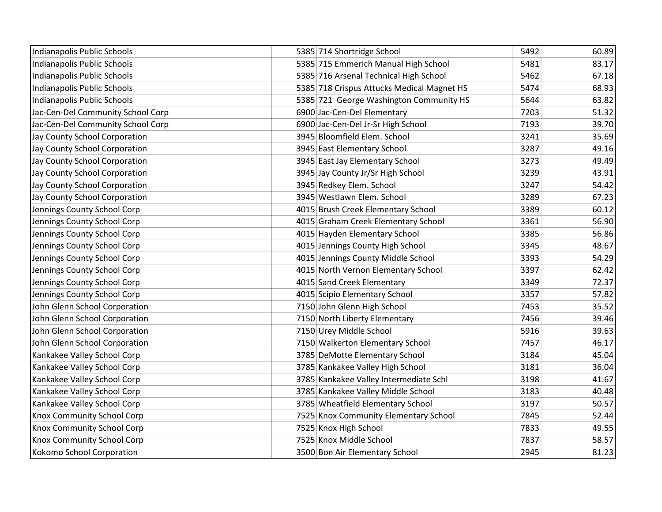| Indianapolis Public Schools       | 5385 714 Shortridge School                 | 5492 | 60.89 |
|-----------------------------------|--------------------------------------------|------|-------|
| Indianapolis Public Schools       | 5385 715 Emmerich Manual High School       | 5481 | 83.17 |
| Indianapolis Public Schools       | 5385 716 Arsenal Technical High School     | 5462 | 67.18 |
| Indianapolis Public Schools       | 5385 718 Crispus Attucks Medical Magnet HS | 5474 | 68.93 |
| Indianapolis Public Schools       | 5385 721 George Washington Community HS    | 5644 | 63.82 |
| Jac-Cen-Del Community School Corp | 6900 Jac-Cen-Del Elementary                | 7203 | 51.32 |
| Jac-Cen-Del Community School Corp | 6900 Jac-Cen-Del Jr-Sr High School         | 7193 | 39.70 |
| Jay County School Corporation     | 3945 Bloomfield Elem. School               | 3241 | 35.69 |
| Jay County School Corporation     | 3945 East Elementary School                | 3287 | 49.16 |
| Jay County School Corporation     | 3945 East Jay Elementary School            | 3273 | 49.49 |
| Jay County School Corporation     | 3945 Jay County Jr/Sr High School          | 3239 | 43.91 |
| Jay County School Corporation     | 3945 Redkey Elem. School                   | 3247 | 54.42 |
| Jay County School Corporation     | 3945 Westlawn Elem. School                 | 3289 | 67.23 |
| Jennings County School Corp       | 4015 Brush Creek Elementary School         | 3389 | 60.12 |
| Jennings County School Corp       | 4015 Graham Creek Elementary School        | 3361 | 56.90 |
| Jennings County School Corp       | 4015 Hayden Elementary School              | 3385 | 56.86 |
| Jennings County School Corp       | 4015 Jennings County High School           | 3345 | 48.67 |
| Jennings County School Corp       | 4015 Jennings County Middle School         | 3393 | 54.29 |
| Jennings County School Corp       | 4015 North Vernon Elementary School        | 3397 | 62.42 |
| Jennings County School Corp       | 4015 Sand Creek Elementary                 | 3349 | 72.37 |
| Jennings County School Corp       | 4015 Scipio Elementary School              | 3357 | 57.82 |
| John Glenn School Corporation     | 7150 John Glenn High School                | 7453 | 35.52 |
| John Glenn School Corporation     | 7150 North Liberty Elementary              | 7456 | 39.46 |
| John Glenn School Corporation     | 7150 Urey Middle School                    | 5916 | 39.63 |
| John Glenn School Corporation     | 7150 Walkerton Elementary School           | 7457 | 46.17 |
| Kankakee Valley School Corp       | 3785 DeMotte Elementary School             | 3184 | 45.04 |
| Kankakee Valley School Corp       | 3785 Kankakee Valley High School           | 3181 | 36.04 |
| Kankakee Valley School Corp       | 3785 Kankakee Valley Intermediate Schl     | 3198 | 41.67 |
| Kankakee Valley School Corp       | 3785 Kankakee Valley Middle School         | 3183 | 40.48 |
| Kankakee Valley School Corp       | 3785 Wheatfield Elementary School          | 3197 | 50.57 |
| <b>Knox Community School Corp</b> | 7525 Knox Community Elementary School      | 7845 | 52.44 |
| <b>Knox Community School Corp</b> | 7525 Knox High School                      | 7833 | 49.55 |
| <b>Knox Community School Corp</b> | 7525 Knox Middle School                    | 7837 | 58.57 |
| Kokomo School Corporation         | 3500 Bon Air Elementary School             | 2945 | 81.23 |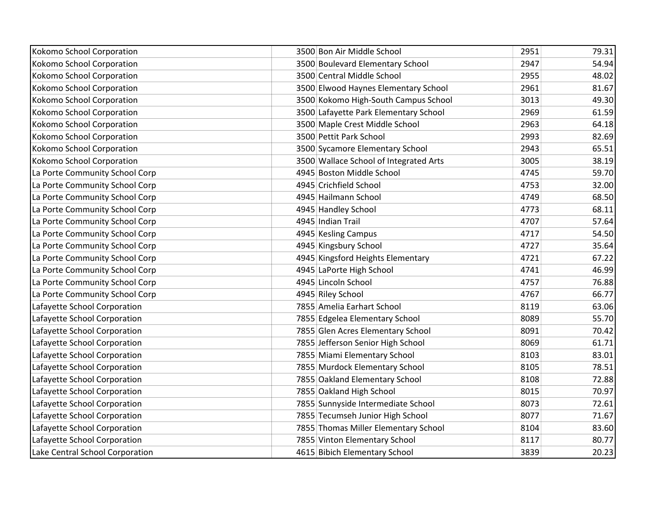| Kokomo School Corporation       | 3500 Bon Air Middle School             | 2951 | 79.31 |
|---------------------------------|----------------------------------------|------|-------|
| Kokomo School Corporation       | 3500 Boulevard Elementary School       | 2947 | 54.94 |
| Kokomo School Corporation       | 3500 Central Middle School             | 2955 | 48.02 |
| Kokomo School Corporation       | 3500 Elwood Haynes Elementary School   | 2961 | 81.67 |
| Kokomo School Corporation       | 3500 Kokomo High-South Campus School   | 3013 | 49.30 |
| Kokomo School Corporation       | 3500 Lafayette Park Elementary School  | 2969 | 61.59 |
| Kokomo School Corporation       | 3500 Maple Crest Middle School         | 2963 | 64.18 |
| Kokomo School Corporation       | 3500 Pettit Park School                | 2993 | 82.69 |
| Kokomo School Corporation       | 3500 Sycamore Elementary School        | 2943 | 65.51 |
| Kokomo School Corporation       | 3500 Wallace School of Integrated Arts | 3005 | 38.19 |
| La Porte Community School Corp  | 4945 Boston Middle School              | 4745 | 59.70 |
| La Porte Community School Corp  | 4945 Crichfield School                 | 4753 | 32.00 |
| La Porte Community School Corp  | 4945 Hailmann School                   | 4749 | 68.50 |
| La Porte Community School Corp  | 4945 Handley School                    | 4773 | 68.11 |
| La Porte Community School Corp  | 4945 Indian Trail                      | 4707 | 57.64 |
| La Porte Community School Corp  | 4945 Kesling Campus                    | 4717 | 54.50 |
| La Porte Community School Corp  | 4945 Kingsbury School                  | 4727 | 35.64 |
| La Porte Community School Corp  | 4945 Kingsford Heights Elementary      | 4721 | 67.22 |
| La Porte Community School Corp  | 4945 LaPorte High School               | 4741 | 46.99 |
| La Porte Community School Corp  | 4945 Lincoln School                    | 4757 | 76.88 |
| La Porte Community School Corp  | 4945 Riley School                      | 4767 | 66.77 |
| Lafayette School Corporation    | 7855 Amelia Earhart School             | 8119 | 63.06 |
| Lafayette School Corporation    | 7855 Edgelea Elementary School         | 8089 | 55.70 |
| Lafayette School Corporation    | 7855 Glen Acres Elementary School      | 8091 | 70.42 |
| Lafayette School Corporation    | 7855 Jefferson Senior High School      | 8069 | 61.71 |
| Lafayette School Corporation    | 7855 Miami Elementary School           | 8103 | 83.01 |
| Lafayette School Corporation    | 7855 Murdock Elementary School         | 8105 | 78.51 |
| Lafayette School Corporation    | 7855 Oakland Elementary School         | 8108 | 72.88 |
| Lafayette School Corporation    | 7855 Oakland High School               | 8015 | 70.97 |
| Lafayette School Corporation    | 7855 Sunnyside Intermediate School     | 8073 | 72.61 |
| Lafayette School Corporation    | 7855 Tecumseh Junior High School       | 8077 | 71.67 |
| Lafayette School Corporation    | 7855 Thomas Miller Elementary School   | 8104 | 83.60 |
| Lafayette School Corporation    | 7855 Vinton Elementary School          | 8117 | 80.77 |
| Lake Central School Corporation | 4615 Bibich Elementary School          | 3839 | 20.23 |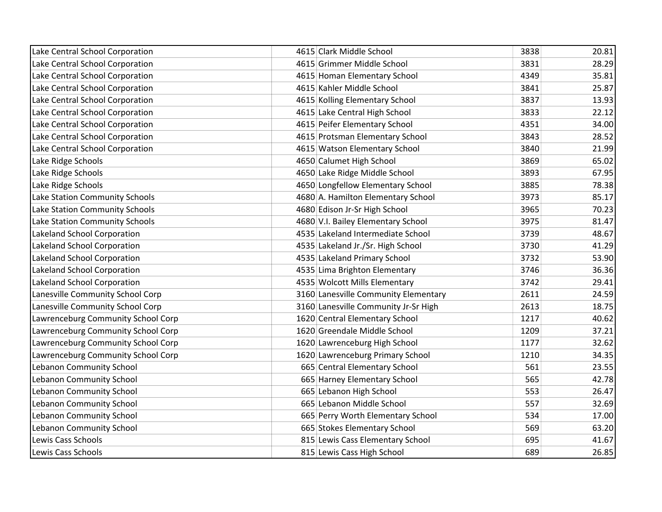| Lake Central School Corporation    | 4615 Clark Middle School             | 3838 | 20.81 |
|------------------------------------|--------------------------------------|------|-------|
| Lake Central School Corporation    | 4615 Grimmer Middle School           | 3831 | 28.29 |
| Lake Central School Corporation    | 4615 Homan Elementary School         | 4349 | 35.81 |
| Lake Central School Corporation    | 4615 Kahler Middle School            | 3841 | 25.87 |
| Lake Central School Corporation    | 4615 Kolling Elementary School       | 3837 | 13.93 |
| Lake Central School Corporation    | 4615 Lake Central High School        | 3833 | 22.12 |
| Lake Central School Corporation    | 4615 Peifer Elementary School        | 4351 | 34.00 |
| Lake Central School Corporation    | 4615 Protsman Elementary School      | 3843 | 28.52 |
| Lake Central School Corporation    | 4615 Watson Elementary School        | 3840 | 21.99 |
|                                    |                                      | 3869 | 65.02 |
| Lake Ridge Schools                 | 4650 Calumet High School             |      |       |
| Lake Ridge Schools                 | 4650 Lake Ridge Middle School        | 3893 | 67.95 |
| Lake Ridge Schools                 | 4650 Longfellow Elementary School    | 3885 | 78.38 |
| Lake Station Community Schools     | 4680 A. Hamilton Elementary School   | 3973 | 85.17 |
| Lake Station Community Schools     | 4680 Edison Jr-Sr High School        | 3965 | 70.23 |
| Lake Station Community Schools     | 4680 V.I. Bailey Elementary School   | 3975 | 81.47 |
| Lakeland School Corporation        | 4535 Lakeland Intermediate School    | 3739 | 48.67 |
| Lakeland School Corporation        | 4535 Lakeland Jr./Sr. High School    | 3730 | 41.29 |
| Lakeland School Corporation        | 4535 Lakeland Primary School         | 3732 | 53.90 |
| Lakeland School Corporation        | 4535 Lima Brighton Elementary        | 3746 | 36.36 |
| Lakeland School Corporation        | 4535 Wolcott Mills Elementary        | 3742 | 29.41 |
| Lanesville Community School Corp   | 3160 Lanesville Community Elementary | 2611 | 24.59 |
| Lanesville Community School Corp   | 3160 Lanesville Community Jr-Sr High | 2613 | 18.75 |
| Lawrenceburg Community School Corp | 1620 Central Elementary School       | 1217 | 40.62 |
| Lawrenceburg Community School Corp | 1620 Greendale Middle School         | 1209 | 37.21 |
| Lawrenceburg Community School Corp | 1620 Lawrenceburg High School        | 1177 | 32.62 |
| Lawrenceburg Community School Corp | 1620 Lawrenceburg Primary School     | 1210 | 34.35 |
| Lebanon Community School           | 665 Central Elementary School        | 561  | 23.55 |
| Lebanon Community School           | 665 Harney Elementary School         | 565  | 42.78 |
| <b>Lebanon Community School</b>    | 665 Lebanon High School              | 553  | 26.47 |
| Lebanon Community School           | 665 Lebanon Middle School            | 557  | 32.69 |
| Lebanon Community School           | 665 Perry Worth Elementary School    | 534  | 17.00 |
| Lebanon Community School           | 665 Stokes Elementary School         | 569  | 63.20 |
| Lewis Cass Schools                 | 815 Lewis Cass Elementary School     | 695  | 41.67 |
| Lewis Cass Schools                 | 815 Lewis Cass High School           | 689  | 26.85 |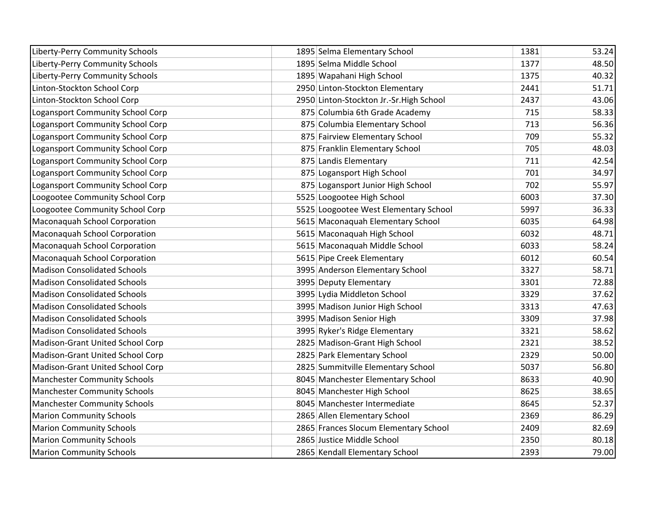| Liberty-Perry Community Schools     | 1895 Selma Elementary School            | 1381 | 53.24 |
|-------------------------------------|-----------------------------------------|------|-------|
| Liberty-Perry Community Schools     | 1895 Selma Middle School                | 1377 | 48.50 |
| Liberty-Perry Community Schools     | 1895 Wapahani High School               | 1375 | 40.32 |
| Linton-Stockton School Corp         | 2950 Linton-Stockton Elementary         | 2441 | 51.71 |
| Linton-Stockton School Corp         | 2950 Linton-Stockton Jr.-Sr.High School | 2437 | 43.06 |
| Logansport Community School Corp    | 875 Columbia 6th Grade Academy          | 715  | 58.33 |
| Logansport Community School Corp    | 875 Columbia Elementary School          | 713  | 56.36 |
| Logansport Community School Corp    | 875 Fairview Elementary School          | 709  | 55.32 |
| Logansport Community School Corp    | 875 Franklin Elementary School          | 705  | 48.03 |
| Logansport Community School Corp    | 875 Landis Elementary                   | 711  | 42.54 |
| Logansport Community School Corp    | 875 Logansport High School              | 701  | 34.97 |
| Logansport Community School Corp    | 875 Logansport Junior High School       | 702  | 55.97 |
| Loogootee Community School Corp     | 5525 Loogootee High School              | 6003 | 37.30 |
| Loogootee Community School Corp     | 5525 Loogootee West Elementary School   | 5997 | 36.33 |
| Maconaquah School Corporation       | 5615 Maconaquah Elementary School       | 6035 | 64.98 |
| Maconaquah School Corporation       | 5615 Maconaquah High School             | 6032 | 48.71 |
| Maconaquah School Corporation       | 5615 Maconaquah Middle School           | 6033 | 58.24 |
| Maconaquah School Corporation       | 5615 Pipe Creek Elementary              | 6012 | 60.54 |
| <b>Madison Consolidated Schools</b> | 3995 Anderson Elementary School         | 3327 | 58.71 |
| <b>Madison Consolidated Schools</b> | 3995 Deputy Elementary                  | 3301 | 72.88 |
| <b>Madison Consolidated Schools</b> | 3995 Lydia Middleton School             | 3329 | 37.62 |
| <b>Madison Consolidated Schools</b> | 3995 Madison Junior High School         | 3313 | 47.63 |
| <b>Madison Consolidated Schools</b> | 3995 Madison Senior High                | 3309 | 37.98 |
| <b>Madison Consolidated Schools</b> | 3995 Ryker's Ridge Elementary           | 3321 | 58.62 |
| Madison-Grant United School Corp    | 2825 Madison-Grant High School          | 2321 | 38.52 |
| Madison-Grant United School Corp    | 2825 Park Elementary School             | 2329 | 50.00 |
| Madison-Grant United School Corp    | 2825 Summitville Elementary School      | 5037 | 56.80 |
| <b>Manchester Community Schools</b> | 8045 Manchester Elementary School       | 8633 | 40.90 |
| <b>Manchester Community Schools</b> | 8045 Manchester High School             | 8625 | 38.65 |
| <b>Manchester Community Schools</b> | 8045 Manchester Intermediate            | 8645 | 52.37 |
| <b>Marion Community Schools</b>     | 2865 Allen Elementary School            | 2369 | 86.29 |
| <b>Marion Community Schools</b>     | 2865 Frances Slocum Elementary School   | 2409 | 82.69 |
| <b>Marion Community Schools</b>     | 2865 Justice Middle School              | 2350 | 80.18 |
| <b>Marion Community Schools</b>     | 2865 Kendall Elementary School          | 2393 | 79.00 |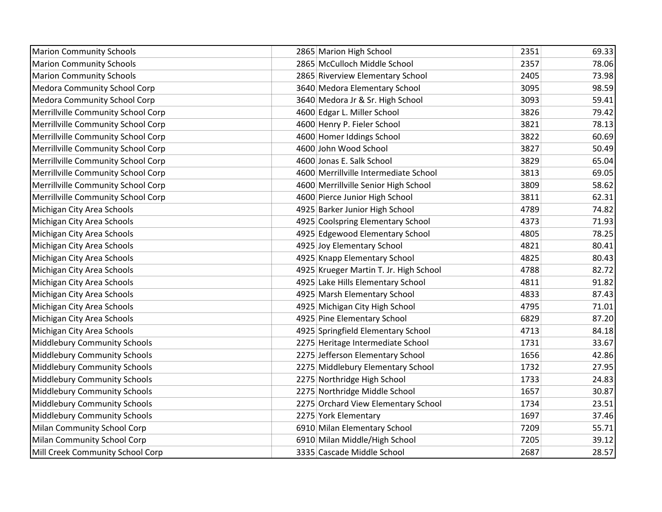| <b>Marion Community Schools</b>     | 2865 Marion High School                | 2351 | 69.33 |
|-------------------------------------|----------------------------------------|------|-------|
| <b>Marion Community Schools</b>     | 2865 McCulloch Middle School           | 2357 | 78.06 |
| <b>Marion Community Schools</b>     | 2865 Riverview Elementary School       | 2405 | 73.98 |
| Medora Community School Corp        | 3640 Medora Elementary School          | 3095 | 98.59 |
| <b>Medora Community School Corp</b> | 3640 Medora Jr & Sr. High School       | 3093 | 59.41 |
| Merrillville Community School Corp  | 4600 Edgar L. Miller School            | 3826 | 79.42 |
| Merrillville Community School Corp  | 4600 Henry P. Fieler School            | 3821 | 78.13 |
| Merrillville Community School Corp  | 4600 Homer Iddings School              | 3822 | 60.69 |
| Merrillville Community School Corp  | 4600 John Wood School                  | 3827 | 50.49 |
| Merrillville Community School Corp  | 4600 Jonas E. Salk School              | 3829 | 65.04 |
| Merrillville Community School Corp  | 4600 Merrillville Intermediate School  | 3813 | 69.05 |
| Merrillville Community School Corp  | 4600 Merrillville Senior High School   | 3809 | 58.62 |
| Merrillville Community School Corp  | 4600 Pierce Junior High School         | 3811 | 62.31 |
| Michigan City Area Schools          | 4925 Barker Junior High School         | 4789 | 74.82 |
| Michigan City Area Schools          | 4925 Coolspring Elementary School      | 4373 | 71.93 |
| Michigan City Area Schools          | 4925 Edgewood Elementary School        | 4805 | 78.25 |
| Michigan City Area Schools          | 4925 Joy Elementary School             | 4821 | 80.41 |
| Michigan City Area Schools          | 4925 Knapp Elementary School           | 4825 | 80.43 |
| Michigan City Area Schools          | 4925 Krueger Martin T. Jr. High School | 4788 | 82.72 |
| Michigan City Area Schools          | 4925 Lake Hills Elementary School      | 4811 | 91.82 |
| Michigan City Area Schools          | 4925 Marsh Elementary School           | 4833 | 87.43 |
| Michigan City Area Schools          | 4925 Michigan City High School         | 4795 | 71.01 |
| Michigan City Area Schools          | 4925 Pine Elementary School            | 6829 | 87.20 |
| Michigan City Area Schools          | 4925 Springfield Elementary School     | 4713 | 84.18 |
| Middlebury Community Schools        | 2275 Heritage Intermediate School      | 1731 | 33.67 |
| Middlebury Community Schools        | 2275 Jefferson Elementary School       | 1656 | 42.86 |
| Middlebury Community Schools        | 2275 Middlebury Elementary School      | 1732 | 27.95 |
| Middlebury Community Schools        | 2275 Northridge High School            | 1733 | 24.83 |
| Middlebury Community Schools        | 2275 Northridge Middle School          | 1657 | 30.87 |
| Middlebury Community Schools        | 2275 Orchard View Elementary School    | 1734 | 23.51 |
| Middlebury Community Schools        | 2275 York Elementary                   | 1697 | 37.46 |
| Milan Community School Corp         | 6910 Milan Elementary School           | 7209 | 55.71 |
| Milan Community School Corp         | 6910 Milan Middle/High School          | 7205 | 39.12 |
| Mill Creek Community School Corp    | 3335 Cascade Middle School             | 2687 | 28.57 |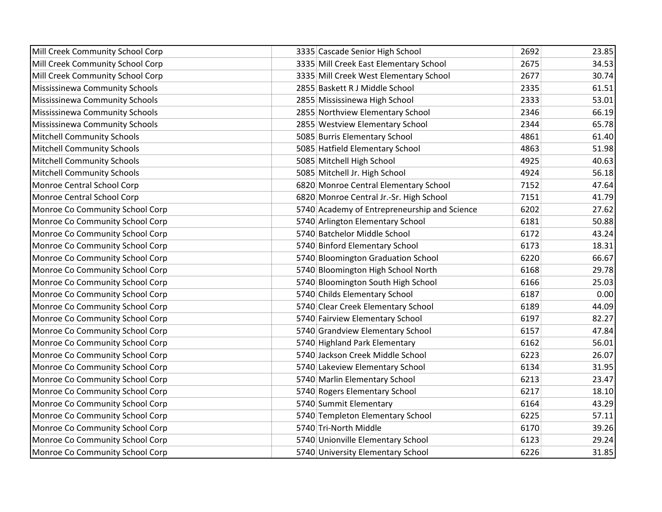| Mill Creek Community School Corp | 3335 Cascade Senior High School              | 2692 | 23.85 |
|----------------------------------|----------------------------------------------|------|-------|
| Mill Creek Community School Corp | 3335 Mill Creek East Elementary School       | 2675 | 34.53 |
| Mill Creek Community School Corp | 3335 Mill Creek West Elementary School       | 2677 | 30.74 |
| Mississinewa Community Schools   | 2855 Baskett R J Middle School               | 2335 | 61.51 |
| Mississinewa Community Schools   | 2855 Mississinewa High School                | 2333 | 53.01 |
| Mississinewa Community Schools   | 2855 Northview Elementary School             | 2346 | 66.19 |
| Mississinewa Community Schools   | 2855 Westview Elementary School              | 2344 | 65.78 |
| Mitchell Community Schools       | 5085 Burris Elementary School                | 4861 | 61.40 |
| Mitchell Community Schools       | 5085 Hatfield Elementary School              | 4863 | 51.98 |
| Mitchell Community Schools       | 5085 Mitchell High School                    | 4925 | 40.63 |
| Mitchell Community Schools       | 5085 Mitchell Jr. High School                | 4924 | 56.18 |
| Monroe Central School Corp       | 6820 Monroe Central Elementary School        | 7152 | 47.64 |
| Monroe Central School Corp       | 6820 Monroe Central Jr.-Sr. High School      | 7151 | 41.79 |
| Monroe Co Community School Corp  | 5740 Academy of Entrepreneurship and Science | 6202 | 27.62 |
| Monroe Co Community School Corp  | 5740 Arlington Elementary School             | 6181 | 50.88 |
| Monroe Co Community School Corp  | 5740 Batchelor Middle School                 | 6172 | 43.24 |
| Monroe Co Community School Corp  | 5740 Binford Elementary School               | 6173 | 18.31 |
| Monroe Co Community School Corp  | 5740 Bloomington Graduation School           | 6220 | 66.67 |
| Monroe Co Community School Corp  | 5740 Bloomington High School North           | 6168 | 29.78 |
| Monroe Co Community School Corp  | 5740 Bloomington South High School           | 6166 | 25.03 |
| Monroe Co Community School Corp  | 5740 Childs Elementary School                | 6187 | 0.00  |
| Monroe Co Community School Corp  | 5740 Clear Creek Elementary School           | 6189 | 44.09 |
| Monroe Co Community School Corp  | 5740 Fairview Elementary School              | 6197 | 82.27 |
| Monroe Co Community School Corp  | 5740 Grandview Elementary School             | 6157 | 47.84 |
| Monroe Co Community School Corp  | 5740 Highland Park Elementary                | 6162 | 56.01 |
| Monroe Co Community School Corp  | 5740 Jackson Creek Middle School             | 6223 | 26.07 |
| Monroe Co Community School Corp  | 5740 Lakeview Elementary School              | 6134 | 31.95 |
| Monroe Co Community School Corp  | 5740 Marlin Elementary School                | 6213 | 23.47 |
| Monroe Co Community School Corp  | 5740 Rogers Elementary School                | 6217 | 18.10 |
| Monroe Co Community School Corp  | 5740 Summit Elementary                       | 6164 | 43.29 |
| Monroe Co Community School Corp  | 5740 Templeton Elementary School             | 6225 | 57.11 |
| Monroe Co Community School Corp  | 5740 Tri-North Middle                        | 6170 | 39.26 |
| Monroe Co Community School Corp  | 5740 Unionville Elementary School            | 6123 | 29.24 |
| Monroe Co Community School Corp  | 5740 University Elementary School            | 6226 | 31.85 |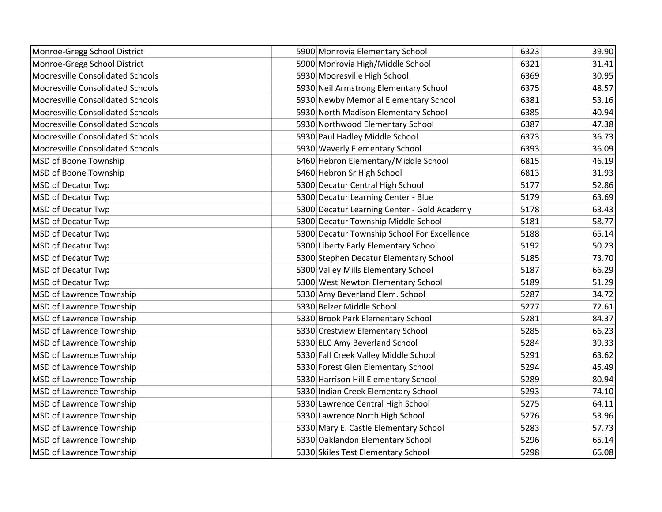| Monroe-Gregg School District     | 5900 Monrovia Elementary School             | 6323 | 39.90 |
|----------------------------------|---------------------------------------------|------|-------|
| Monroe-Gregg School District     | 5900 Monrovia High/Middle School            | 6321 | 31.41 |
| Mooresville Consolidated Schools | 5930 Mooresville High School                | 6369 | 30.95 |
| Mooresville Consolidated Schools | 5930 Neil Armstrong Elementary School       | 6375 | 48.57 |
| Mooresville Consolidated Schools | 5930 Newby Memorial Elementary School       | 6381 | 53.16 |
| Mooresville Consolidated Schools | 5930 North Madison Elementary School        | 6385 | 40.94 |
| Mooresville Consolidated Schools | 5930 Northwood Elementary School            | 6387 | 47.38 |
| Mooresville Consolidated Schools | 5930 Paul Hadley Middle School              | 6373 | 36.73 |
| Mooresville Consolidated Schools | 5930 Waverly Elementary School              | 6393 | 36.09 |
| MSD of Boone Township            | 6460 Hebron Elementary/Middle School        | 6815 | 46.19 |
| MSD of Boone Township            | 6460 Hebron Sr High School                  | 6813 | 31.93 |
| MSD of Decatur Twp               | 5300 Decatur Central High School            | 5177 | 52.86 |
| <b>MSD of Decatur Twp</b>        | 5300 Decatur Learning Center - Blue         | 5179 | 63.69 |
| <b>MSD of Decatur Twp</b>        | 5300 Decatur Learning Center - Gold Academy | 5178 | 63.43 |
| MSD of Decatur Twp               | 5300 Decatur Township Middle School         | 5181 | 58.77 |
| MSD of Decatur Twp               | 5300 Decatur Township School For Excellence | 5188 | 65.14 |
| MSD of Decatur Twp               | 5300 Liberty Early Elementary School        | 5192 | 50.23 |
| MSD of Decatur Twp               | 5300 Stephen Decatur Elementary School      | 5185 | 73.70 |
| MSD of Decatur Twp               | 5300 Valley Mills Elementary School         | 5187 | 66.29 |
| MSD of Decatur Twp               | 5300 West Newton Elementary School          | 5189 | 51.29 |
| MSD of Lawrence Township         | 5330 Amy Beverland Elem. School             | 5287 | 34.72 |
| MSD of Lawrence Township         | 5330 Belzer Middle School                   | 5277 | 72.61 |
| MSD of Lawrence Township         | 5330 Brook Park Elementary School           | 5281 | 84.37 |
| MSD of Lawrence Township         | 5330 Crestview Elementary School            | 5285 | 66.23 |
| MSD of Lawrence Township         | 5330 ELC Amy Beverland School               | 5284 | 39.33 |
| MSD of Lawrence Township         | 5330 Fall Creek Valley Middle School        | 5291 | 63.62 |
| MSD of Lawrence Township         | 5330 Forest Glen Elementary School          | 5294 | 45.49 |
| MSD of Lawrence Township         | 5330 Harrison Hill Elementary School        | 5289 | 80.94 |
| <b>MSD of Lawrence Township</b>  | 5330 Indian Creek Elementary School         | 5293 | 74.10 |
| MSD of Lawrence Township         | 5330 Lawrence Central High School           | 5275 | 64.11 |
| MSD of Lawrence Township         | 5330 Lawrence North High School             | 5276 | 53.96 |
| MSD of Lawrence Township         | 5330 Mary E. Castle Elementary School       | 5283 | 57.73 |
| MSD of Lawrence Township         | 5330 Oaklandon Elementary School            | 5296 | 65.14 |
| <b>MSD of Lawrence Township</b>  | 5330 Skiles Test Elementary School          | 5298 | 66.08 |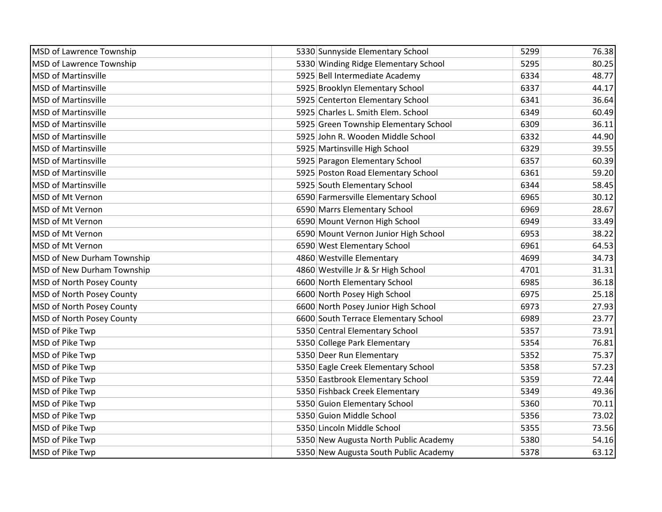| MSD of Lawrence Township         | 5330 Sunnyside Elementary School      | 5299 | 76.38 |
|----------------------------------|---------------------------------------|------|-------|
| MSD of Lawrence Township         | 5330 Winding Ridge Elementary School  | 5295 | 80.25 |
| <b>MSD of Martinsville</b>       | 5925 Bell Intermediate Academy        | 6334 | 48.77 |
| <b>MSD of Martinsville</b>       | 5925 Brooklyn Elementary School       | 6337 | 44.17 |
| <b>MSD of Martinsville</b>       | 5925 Centerton Elementary School      | 6341 | 36.64 |
| <b>MSD of Martinsville</b>       | 5925 Charles L. Smith Elem. School    | 6349 | 60.49 |
| <b>MSD of Martinsville</b>       | 5925 Green Township Elementary School | 6309 | 36.11 |
| <b>MSD of Martinsville</b>       | 5925 John R. Wooden Middle School     | 6332 | 44.90 |
| <b>MSD of Martinsville</b>       | 5925 Martinsville High School         | 6329 | 39.55 |
| <b>MSD of Martinsville</b>       | 5925 Paragon Elementary School        | 6357 | 60.39 |
| <b>MSD of Martinsville</b>       | 5925 Poston Road Elementary School    | 6361 | 59.20 |
| <b>MSD of Martinsville</b>       | 5925 South Elementary School          | 6344 | 58.45 |
| MSD of Mt Vernon                 | 6590 Farmersville Elementary School   | 6965 | 30.12 |
| MSD of Mt Vernon                 | 6590 Marrs Elementary School          | 6969 | 28.67 |
| MSD of Mt Vernon                 | 6590 Mount Vernon High School         | 6949 | 33.49 |
| MSD of Mt Vernon                 | 6590 Mount Vernon Junior High School  | 6953 | 38.22 |
| MSD of Mt Vernon                 | 6590 West Elementary School           | 6961 | 64.53 |
| MSD of New Durham Township       | 4860 Westville Elementary             | 4699 | 34.73 |
| MSD of New Durham Township       | 4860 Westville Jr & Sr High School    | 4701 | 31.31 |
| MSD of North Posey County        | 6600 North Elementary School          | 6985 | 36.18 |
| <b>MSD of North Posey County</b> | 6600 North Posey High School          | 6975 | 25.18 |
| MSD of North Posey County        | 6600 North Posey Junior High School   | 6973 | 27.93 |
| MSD of North Posey County        | 6600 South Terrace Elementary School  | 6989 | 23.77 |
| MSD of Pike Twp                  | 5350 Central Elementary School        | 5357 | 73.91 |
| MSD of Pike Twp                  | 5350 College Park Elementary          | 5354 | 76.81 |
| MSD of Pike Twp                  | 5350 Deer Run Elementary              | 5352 | 75.37 |
| MSD of Pike Twp                  | 5350 Eagle Creek Elementary School    | 5358 | 57.23 |
| MSD of Pike Twp                  | 5350 Eastbrook Elementary School      | 5359 | 72.44 |
| MSD of Pike Twp                  | 5350 Fishback Creek Elementary        | 5349 | 49.36 |
| MSD of Pike Twp                  | 5350 Guion Elementary School          | 5360 | 70.11 |
| MSD of Pike Twp                  | 5350 Guion Middle School              | 5356 | 73.02 |
| MSD of Pike Twp                  | 5350 Lincoln Middle School            | 5355 | 73.56 |
| MSD of Pike Twp                  | 5350 New Augusta North Public Academy | 5380 | 54.16 |
| MSD of Pike Twp                  | 5350 New Augusta South Public Academy | 5378 | 63.12 |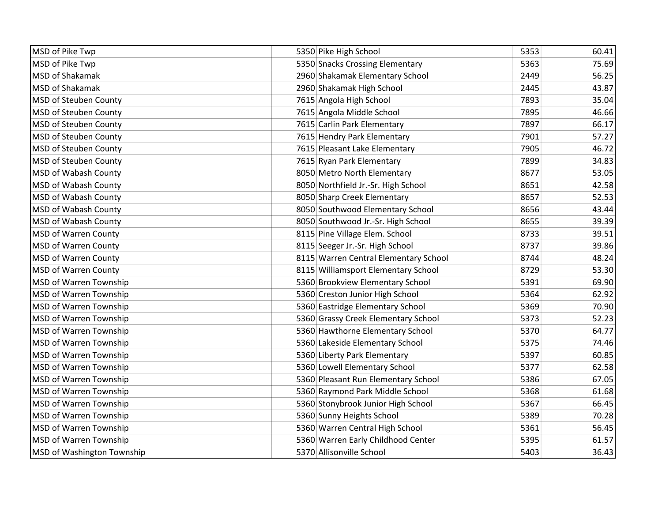| MSD of Pike Twp               | 5350 Pike High School                 | 5353 | 60.41 |
|-------------------------------|---------------------------------------|------|-------|
| MSD of Pike Twp               | 5350 Snacks Crossing Elementary       | 5363 | 75.69 |
| <b>MSD of Shakamak</b>        | 2960 Shakamak Elementary School       | 2449 | 56.25 |
| MSD of Shakamak               | 2960 Shakamak High School             | 2445 | 43.87 |
| <b>MSD of Steuben County</b>  | 7615 Angola High School               | 7893 | 35.04 |
| <b>MSD of Steuben County</b>  | 7615 Angola Middle School             | 7895 | 46.66 |
| MSD of Steuben County         | 7615 Carlin Park Elementary           | 7897 | 66.17 |
| MSD of Steuben County         | 7615 Hendry Park Elementary           | 7901 | 57.27 |
| MSD of Steuben County         | 7615 Pleasant Lake Elementary         | 7905 | 46.72 |
| <b>MSD of Steuben County</b>  | 7615 Ryan Park Elementary             | 7899 | 34.83 |
| <b>MSD of Wabash County</b>   | 8050 Metro North Elementary           | 8677 | 53.05 |
| MSD of Wabash County          | 8050 Northfield Jr.-Sr. High School   | 8651 | 42.58 |
| MSD of Wabash County          | 8050 Sharp Creek Elementary           | 8657 | 52.53 |
| MSD of Wabash County          | 8050 Southwood Elementary School      | 8656 | 43.44 |
| MSD of Wabash County          | 8050 Southwood Jr.-Sr. High School    | 8655 | 39.39 |
| <b>MSD of Warren County</b>   | 8115 Pine Village Elem. School        | 8733 | 39.51 |
| <b>MSD of Warren County</b>   | 8115 Seeger Jr.-Sr. High School       | 8737 | 39.86 |
| MSD of Warren County          | 8115 Warren Central Elementary School | 8744 | 48.24 |
| MSD of Warren County          | 8115 Williamsport Elementary School   | 8729 | 53.30 |
| MSD of Warren Township        | 5360 Brookview Elementary School      | 5391 | 69.90 |
| <b>MSD of Warren Township</b> | 5360 Creston Junior High School       | 5364 | 62.92 |
| MSD of Warren Township        | 5360 Eastridge Elementary School      | 5369 | 70.90 |
| MSD of Warren Township        | 5360 Grassy Creek Elementary School   | 5373 | 52.23 |
| MSD of Warren Township        | 5360 Hawthorne Elementary School      | 5370 | 64.77 |
| <b>MSD of Warren Township</b> | 5360 Lakeside Elementary School       | 5375 | 74.46 |
| MSD of Warren Township        | 5360 Liberty Park Elementary          | 5397 | 60.85 |
| MSD of Warren Township        | 5360 Lowell Elementary School         | 5377 | 62.58 |
| MSD of Warren Township        | 5360 Pleasant Run Elementary School   | 5386 | 67.05 |
| MSD of Warren Township        | 5360 Raymond Park Middle School       | 5368 | 61.68 |
| MSD of Warren Township        | 5360 Stonybrook Junior High School    | 5367 | 66.45 |
| <b>MSD of Warren Township</b> | 5360 Sunny Heights School             | 5389 | 70.28 |
| MSD of Warren Township        | 5360 Warren Central High School       | 5361 | 56.45 |
| MSD of Warren Township        | 5360 Warren Early Childhood Center    | 5395 | 61.57 |
| MSD of Washington Township    | 5370 Allisonville School              | 5403 | 36.43 |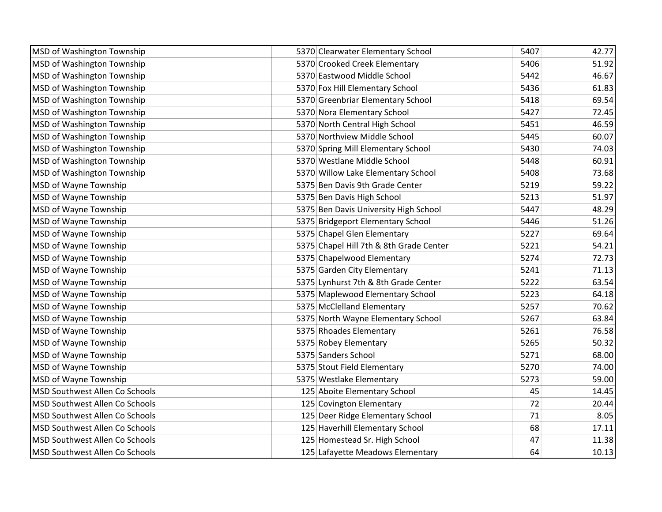| MSD of Washington Township            | 5370 Clearwater Elementary School       | 5407 | 42.77 |
|---------------------------------------|-----------------------------------------|------|-------|
| <b>MSD of Washington Township</b>     | 5370 Crooked Creek Elementary           | 5406 | 51.92 |
| MSD of Washington Township            | 5370 Eastwood Middle School             | 5442 | 46.67 |
| MSD of Washington Township            | 5370 Fox Hill Elementary School         | 5436 | 61.83 |
| MSD of Washington Township            | 5370 Greenbriar Elementary School       | 5418 | 69.54 |
| MSD of Washington Township            | 5370 Nora Elementary School             | 5427 | 72.45 |
| MSD of Washington Township            | 5370 North Central High School          | 5451 | 46.59 |
| MSD of Washington Township            | 5370 Northview Middle School            | 5445 | 60.07 |
| MSD of Washington Township            | 5370 Spring Mill Elementary School      | 5430 | 74.03 |
| MSD of Washington Township            | 5370 Westlane Middle School             | 5448 | 60.91 |
| <b>MSD of Washington Township</b>     | 5370 Willow Lake Elementary School      | 5408 | 73.68 |
| MSD of Wayne Township                 | 5375 Ben Davis 9th Grade Center         | 5219 | 59.22 |
| MSD of Wayne Township                 | 5375 Ben Davis High School              | 5213 | 51.97 |
| MSD of Wayne Township                 | 5375 Ben Davis University High School   | 5447 | 48.29 |
| MSD of Wayne Township                 | 5375 Bridgeport Elementary School       | 5446 | 51.26 |
| MSD of Wayne Township                 | 5375 Chapel Glen Elementary             | 5227 | 69.64 |
| MSD of Wayne Township                 | 5375 Chapel Hill 7th & 8th Grade Center | 5221 | 54.21 |
| MSD of Wayne Township                 | 5375 Chapelwood Elementary              | 5274 | 72.73 |
| MSD of Wayne Township                 | 5375 Garden City Elementary             | 5241 | 71.13 |
| MSD of Wayne Township                 | 5375 Lynhurst 7th & 8th Grade Center    | 5222 | 63.54 |
| MSD of Wayne Township                 | 5375 Maplewood Elementary School        | 5223 | 64.18 |
| MSD of Wayne Township                 | 5375 McClelland Elementary              | 5257 | 70.62 |
| MSD of Wayne Township                 | 5375 North Wayne Elementary School      | 5267 | 63.84 |
| MSD of Wayne Township                 | 5375 Rhoades Elementary                 | 5261 | 76.58 |
| MSD of Wayne Township                 | 5375 Robey Elementary                   | 5265 | 50.32 |
| MSD of Wayne Township                 | 5375 Sanders School                     | 5271 | 68.00 |
| MSD of Wayne Township                 | 5375 Stout Field Elementary             | 5270 | 74.00 |
| MSD of Wayne Township                 | 5375 Westlake Elementary                | 5273 | 59.00 |
| MSD Southwest Allen Co Schools        | 125 Aboite Elementary School            | 45   | 14.45 |
| MSD Southwest Allen Co Schools        | 125 Covington Elementary                | 72   | 20.44 |
| MSD Southwest Allen Co Schools        | 125 Deer Ridge Elementary School        | 71   | 8.05  |
| <b>MSD Southwest Allen Co Schools</b> | 125 Haverhill Elementary School         | 68   | 17.11 |
| <b>MSD Southwest Allen Co Schools</b> | 125 Homestead Sr. High School           | 47   | 11.38 |
| MSD Southwest Allen Co Schools        | 125 Lafayette Meadows Elementary        | 64   | 10.13 |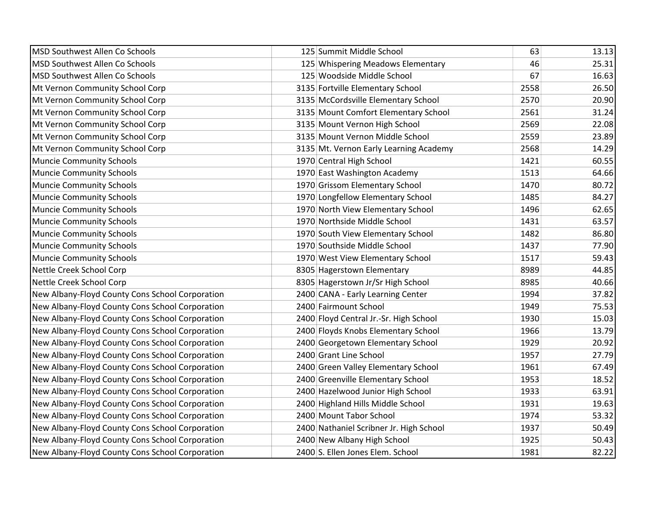| MSD Southwest Allen Co Schools                  | 125 Summit Middle School                | 63   | 13.13 |
|-------------------------------------------------|-----------------------------------------|------|-------|
| MSD Southwest Allen Co Schools                  | 125 Whispering Meadows Elementary       | 46   | 25.31 |
| MSD Southwest Allen Co Schools                  | 125 Woodside Middle School              | 67   | 16.63 |
| Mt Vernon Community School Corp                 | 3135 Fortville Elementary School        | 2558 | 26.50 |
| Mt Vernon Community School Corp                 | 3135 McCordsville Elementary School     | 2570 | 20.90 |
| Mt Vernon Community School Corp                 | 3135 Mount Comfort Elementary School    | 2561 | 31.24 |
| Mt Vernon Community School Corp                 | 3135 Mount Vernon High School           | 2569 | 22.08 |
| Mt Vernon Community School Corp                 | 3135 Mount Vernon Middle School         | 2559 | 23.89 |
| Mt Vernon Community School Corp                 | 3135 Mt. Vernon Early Learning Academy  | 2568 | 14.29 |
| <b>Muncie Community Schools</b>                 | 1970 Central High School                | 1421 | 60.55 |
| <b>Muncie Community Schools</b>                 | 1970 East Washington Academy            | 1513 | 64.66 |
| <b>Muncie Community Schools</b>                 | 1970 Grissom Elementary School          | 1470 | 80.72 |
| <b>Muncie Community Schools</b>                 | 1970 Longfellow Elementary School       | 1485 | 84.27 |
| <b>Muncie Community Schools</b>                 | 1970 North View Elementary School       | 1496 | 62.65 |
| <b>Muncie Community Schools</b>                 | 1970 Northside Middle School            | 1431 | 63.57 |
| <b>Muncie Community Schools</b>                 | 1970 South View Elementary School       | 1482 | 86.80 |
| <b>Muncie Community Schools</b>                 | 1970 Southside Middle School            | 1437 | 77.90 |
| <b>Muncie Community Schools</b>                 | 1970 West View Elementary School        | 1517 | 59.43 |
| Nettle Creek School Corp                        | 8305 Hagerstown Elementary              | 8989 | 44.85 |
| Nettle Creek School Corp                        | 8305 Hagerstown Jr/Sr High School       | 8985 | 40.66 |
| New Albany-Floyd County Cons School Corporation | 2400 CANA - Early Learning Center       | 1994 | 37.82 |
| New Albany-Floyd County Cons School Corporation | 2400 Fairmount School                   | 1949 | 75.53 |
| New Albany-Floyd County Cons School Corporation | 2400 Floyd Central Jr.-Sr. High School  | 1930 | 15.03 |
| New Albany-Floyd County Cons School Corporation | 2400 Floyds Knobs Elementary School     | 1966 | 13.79 |
| New Albany-Floyd County Cons School Corporation | 2400 Georgetown Elementary School       | 1929 | 20.92 |
| New Albany-Floyd County Cons School Corporation | 2400 Grant Line School                  | 1957 | 27.79 |
| New Albany-Floyd County Cons School Corporation | 2400 Green Valley Elementary School     | 1961 | 67.49 |
| New Albany-Floyd County Cons School Corporation | 2400 Greenville Elementary School       | 1953 | 18.52 |
| New Albany-Floyd County Cons School Corporation | 2400 Hazelwood Junior High School       | 1933 | 63.91 |
| New Albany-Floyd County Cons School Corporation | 2400 Highland Hills Middle School       | 1931 | 19.63 |
| New Albany-Floyd County Cons School Corporation | 2400 Mount Tabor School                 | 1974 | 53.32 |
| New Albany-Floyd County Cons School Corporation | 2400 Nathaniel Scribner Jr. High School | 1937 | 50.49 |
| New Albany-Floyd County Cons School Corporation | 2400 New Albany High School             | 1925 | 50.43 |
| New Albany-Floyd County Cons School Corporation | 2400 S. Ellen Jones Elem. School        | 1981 | 82.22 |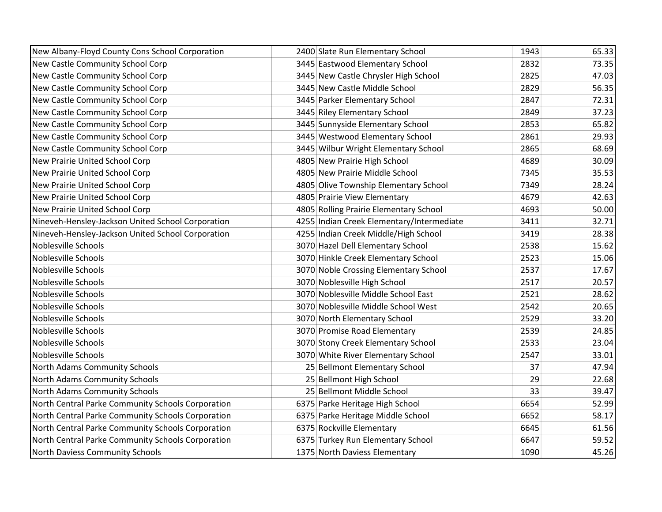| New Albany-Floyd County Cons School Corporation   | 2400 Slate Run Elementary School          | 1943 | 65.33 |
|---------------------------------------------------|-------------------------------------------|------|-------|
| New Castle Community School Corp                  | 3445 Eastwood Elementary School           | 2832 | 73.35 |
| New Castle Community School Corp                  | 3445 New Castle Chrysler High School      | 2825 | 47.03 |
| New Castle Community School Corp                  | 3445 New Castle Middle School             | 2829 | 56.35 |
| New Castle Community School Corp                  | 3445 Parker Elementary School             | 2847 | 72.31 |
| New Castle Community School Corp                  | 3445 Riley Elementary School              | 2849 | 37.23 |
| New Castle Community School Corp                  | 3445 Sunnyside Elementary School          | 2853 | 65.82 |
| New Castle Community School Corp                  | 3445 Westwood Elementary School           | 2861 | 29.93 |
| New Castle Community School Corp                  | 3445 Wilbur Wright Elementary School      | 2865 | 68.69 |
| New Prairie United School Corp                    | 4805 New Prairie High School              | 4689 | 30.09 |
| New Prairie United School Corp                    | 4805 New Prairie Middle School            | 7345 | 35.53 |
| New Prairie United School Corp                    | 4805 Olive Township Elementary School     | 7349 | 28.24 |
| New Prairie United School Corp                    | 4805 Prairie View Elementary              | 4679 | 42.63 |
| New Prairie United School Corp                    | 4805 Rolling Prairie Elementary School    | 4693 | 50.00 |
| Nineveh-Hensley-Jackson United School Corporation | 4255 Indian Creek Elementary/Intermediate | 3411 | 32.71 |
| Nineveh-Hensley-Jackson United School Corporation | 4255 Indian Creek Middle/High School      | 3419 | 28.38 |
| Noblesville Schools                               | 3070 Hazel Dell Elementary School         | 2538 | 15.62 |
| Noblesville Schools                               | 3070 Hinkle Creek Elementary School       | 2523 | 15.06 |
| Noblesville Schools                               | 3070 Noble Crossing Elementary School     | 2537 | 17.67 |
| Noblesville Schools                               | 3070 Noblesville High School              | 2517 | 20.57 |
| Noblesville Schools                               | 3070 Noblesville Middle School East       | 2521 | 28.62 |
| Noblesville Schools                               | 3070 Noblesville Middle School West       | 2542 | 20.65 |
| Noblesville Schools                               | 3070 North Elementary School              | 2529 | 33.20 |
| Noblesville Schools                               | 3070 Promise Road Elementary              | 2539 | 24.85 |
| Noblesville Schools                               | 3070 Stony Creek Elementary School        | 2533 | 23.04 |
| Noblesville Schools                               | 3070 White River Elementary School        | 2547 | 33.01 |
| North Adams Community Schools                     | 25 Bellmont Elementary School             | 37   | 47.94 |
| North Adams Community Schools                     | 25 Bellmont High School                   | 29   | 22.68 |
| North Adams Community Schools                     | 25 Bellmont Middle School                 | 33   | 39.47 |
| North Central Parke Community Schools Corporation | 6375 Parke Heritage High School           | 6654 | 52.99 |
| North Central Parke Community Schools Corporation | 6375 Parke Heritage Middle School         | 6652 | 58.17 |
| North Central Parke Community Schools Corporation | 6375 Rockville Elementary                 | 6645 | 61.56 |
| North Central Parke Community Schools Corporation | 6375 Turkey Run Elementary School         | 6647 | 59.52 |
| North Daviess Community Schools                   | 1375 North Daviess Elementary             | 1090 | 45.26 |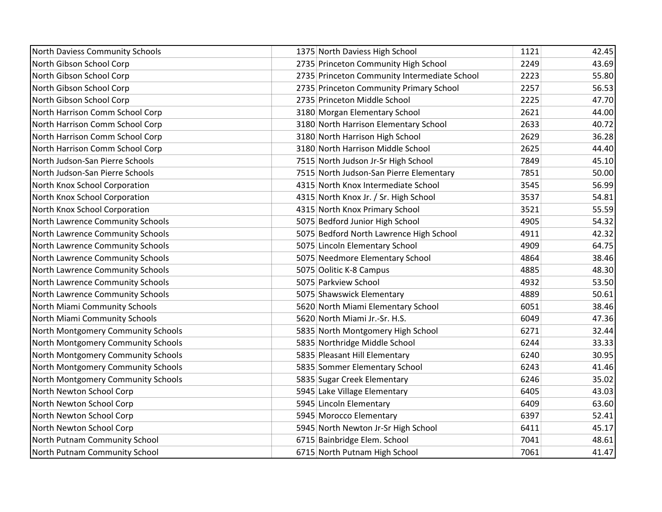| North Daviess Community Schools    | 1375 North Daviess High School               | 1121 | 42.45 |
|------------------------------------|----------------------------------------------|------|-------|
| North Gibson School Corp           | 2735 Princeton Community High School         | 2249 | 43.69 |
| North Gibson School Corp           | 2735 Princeton Community Intermediate School | 2223 | 55.80 |
| North Gibson School Corp           | 2735 Princeton Community Primary School      | 2257 | 56.53 |
| North Gibson School Corp           | 2735 Princeton Middle School                 | 2225 | 47.70 |
| North Harrison Comm School Corp    | 3180 Morgan Elementary School                | 2621 | 44.00 |
| North Harrison Comm School Corp    | 3180 North Harrison Elementary School        | 2633 | 40.72 |
| North Harrison Comm School Corp    | 3180 North Harrison High School              | 2629 | 36.28 |
| North Harrison Comm School Corp    | 3180 North Harrison Middle School            | 2625 | 44.40 |
| North Judson-San Pierre Schools    | 7515 North Judson Jr-Sr High School          | 7849 | 45.10 |
| North Judson-San Pierre Schools    | 7515 North Judson-San Pierre Elementary      | 7851 | 50.00 |
| North Knox School Corporation      | 4315 North Knox Intermediate School          | 3545 | 56.99 |
| North Knox School Corporation      | 4315 North Knox Jr. / Sr. High School        | 3537 | 54.81 |
| North Knox School Corporation      | 4315 North Knox Primary School               | 3521 | 55.59 |
| North Lawrence Community Schools   | 5075 Bedford Junior High School              | 4905 | 54.32 |
| North Lawrence Community Schools   | 5075 Bedford North Lawrence High School      | 4911 | 42.32 |
| North Lawrence Community Schools   | 5075 Lincoln Elementary School               | 4909 | 64.75 |
| North Lawrence Community Schools   | 5075 Needmore Elementary School              | 4864 | 38.46 |
| North Lawrence Community Schools   | 5075 Oolitic K-8 Campus                      | 4885 | 48.30 |
| North Lawrence Community Schools   | 5075 Parkview School                         | 4932 | 53.50 |
| North Lawrence Community Schools   | 5075 Shawswick Elementary                    | 4889 | 50.61 |
| North Miami Community Schools      | 5620 North Miami Elementary School           | 6051 | 38.46 |
| North Miami Community Schools      | 5620 North Miami Jr.-Sr. H.S.                | 6049 | 47.36 |
| North Montgomery Community Schools | 5835 North Montgomery High School            | 6271 | 32.44 |
| North Montgomery Community Schools | 5835 Northridge Middle School                | 6244 | 33.33 |
| North Montgomery Community Schools | 5835 Pleasant Hill Elementary                | 6240 | 30.95 |
| North Montgomery Community Schools | 5835 Sommer Elementary School                | 6243 | 41.46 |
| North Montgomery Community Schools | 5835 Sugar Creek Elementary                  | 6246 | 35.02 |
| North Newton School Corp           | 5945 Lake Village Elementary                 | 6405 | 43.03 |
| North Newton School Corp           | 5945 Lincoln Elementary                      | 6409 | 63.60 |
| North Newton School Corp           | 5945 Morocco Elementary                      | 6397 | 52.41 |
| North Newton School Corp           | 5945 North Newton Jr-Sr High School          | 6411 | 45.17 |
| North Putnam Community School      | 6715 Bainbridge Elem. School                 | 7041 | 48.61 |
| North Putnam Community School      | 6715 North Putnam High School                | 7061 | 41.47 |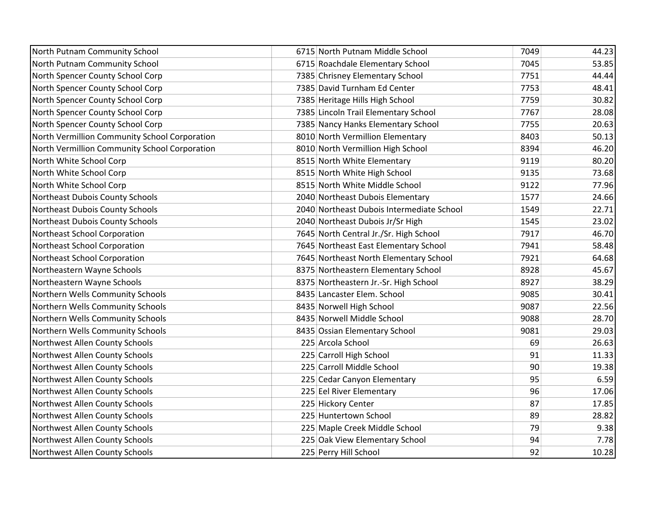| North Putnam Community School                 | 6715 North Putnam Middle School           | 7049 | 44.23 |
|-----------------------------------------------|-------------------------------------------|------|-------|
| North Putnam Community School                 | 6715 Roachdale Elementary School          | 7045 | 53.85 |
| North Spencer County School Corp              | 7385 Chrisney Elementary School           | 7751 | 44.44 |
| North Spencer County School Corp              | 7385 David Turnham Ed Center              | 7753 | 48.41 |
| North Spencer County School Corp              | 7385 Heritage Hills High School           | 7759 | 30.82 |
| North Spencer County School Corp              | 7385 Lincoln Trail Elementary School      | 7767 | 28.08 |
| North Spencer County School Corp              | 7385 Nancy Hanks Elementary School        | 7755 | 20.63 |
| North Vermillion Community School Corporation | 8010 North Vermillion Elementary          | 8403 | 50.13 |
| North Vermillion Community School Corporation | 8010 North Vermillion High School         | 8394 | 46.20 |
| North White School Corp                       | 8515 North White Elementary               | 9119 | 80.20 |
| North White School Corp                       | 8515 North White High School              | 9135 | 73.68 |
| North White School Corp                       | 8515 North White Middle School            | 9122 | 77.96 |
| Northeast Dubois County Schools               | 2040 Northeast Dubois Elementary          | 1577 | 24.66 |
| Northeast Dubois County Schools               | 2040 Northeast Dubois Intermediate School | 1549 | 22.71 |
| Northeast Dubois County Schools               | 2040 Northeast Dubois Jr/Sr High          | 1545 | 23.02 |
| Northeast School Corporation                  | 7645 North Central Jr./Sr. High School    | 7917 | 46.70 |
| Northeast School Corporation                  | 7645 Northeast East Elementary School     | 7941 | 58.48 |
| Northeast School Corporation                  | 7645 Northeast North Elementary School    | 7921 | 64.68 |
| Northeastern Wayne Schools                    | 8375 Northeastern Elementary School       | 8928 | 45.67 |
| Northeastern Wayne Schools                    | 8375 Northeastern Jr.-Sr. High School     | 8927 | 38.29 |
| Northern Wells Community Schools              | 8435 Lancaster Elem. School               | 9085 | 30.41 |
| Northern Wells Community Schools              | 8435 Norwell High School                  | 9087 | 22.56 |
| Northern Wells Community Schools              | 8435 Norwell Middle School                | 9088 | 28.70 |
| Northern Wells Community Schools              | 8435 Ossian Elementary School             | 9081 | 29.03 |
| Northwest Allen County Schools                | 225 Arcola School                         | 69   | 26.63 |
| Northwest Allen County Schools                | 225 Carroll High School                   | 91   | 11.33 |
| Northwest Allen County Schools                | 225 Carroll Middle School                 | 90   | 19.38 |
| Northwest Allen County Schools                | 225 Cedar Canyon Elementary               | 95   | 6.59  |
| Northwest Allen County Schools                | 225 Eel River Elementary                  | 96   | 17.06 |
| Northwest Allen County Schools                | 225 Hickory Center                        | 87   | 17.85 |
| Northwest Allen County Schools                | 225 Huntertown School                     | 89   | 28.82 |
| Northwest Allen County Schools                | 225 Maple Creek Middle School             | 79   | 9.38  |
| Northwest Allen County Schools                | 225 Oak View Elementary School            | 94   | 7.78  |
| Northwest Allen County Schools                | 225 Perry Hill School                     | 92   | 10.28 |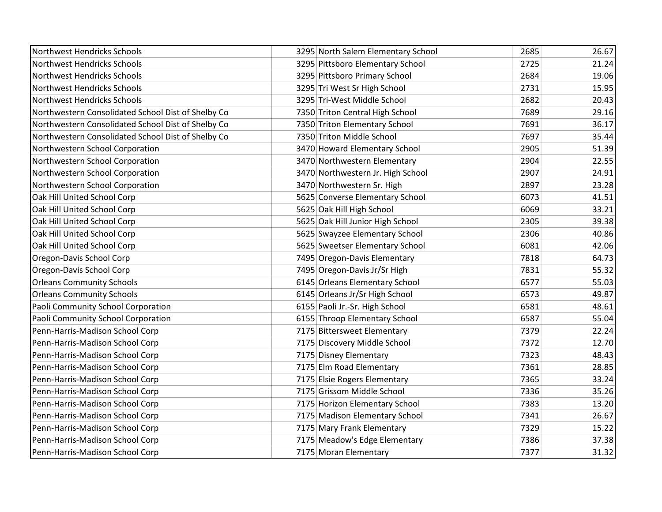| Northwest Hendricks Schools                        | 3295 North Salem Elementary School | 2685 | 26.67 |
|----------------------------------------------------|------------------------------------|------|-------|
| Northwest Hendricks Schools                        | 3295 Pittsboro Elementary School   | 2725 | 21.24 |
| Northwest Hendricks Schools                        | 3295 Pittsboro Primary School      | 2684 | 19.06 |
| Northwest Hendricks Schools                        | 3295 Tri West Sr High School       | 2731 | 15.95 |
| Northwest Hendricks Schools                        | 3295 Tri-West Middle School        | 2682 | 20.43 |
| Northwestern Consolidated School Dist of Shelby Co | 7350 Triton Central High School    | 7689 | 29.16 |
| Northwestern Consolidated School Dist of Shelby Co | 7350 Triton Elementary School      | 7691 | 36.17 |
| Northwestern Consolidated School Dist of Shelby Co | 7350 Triton Middle School          | 7697 | 35.44 |
| Northwestern School Corporation                    | 3470 Howard Elementary School      | 2905 | 51.39 |
| Northwestern School Corporation                    | 3470 Northwestern Elementary       | 2904 | 22.55 |
| Northwestern School Corporation                    | 3470 Northwestern Jr. High School  | 2907 | 24.91 |
| Northwestern School Corporation                    | 3470 Northwestern Sr. High         | 2897 | 23.28 |
| Oak Hill United School Corp                        | 5625 Converse Elementary School    | 6073 | 41.51 |
| Oak Hill United School Corp                        | 5625 Oak Hill High School          | 6069 | 33.21 |
| Oak Hill United School Corp                        | 5625 Oak Hill Junior High School   | 2305 | 39.38 |
| Oak Hill United School Corp                        | 5625 Swayzee Elementary School     | 2306 | 40.86 |
| Oak Hill United School Corp                        | 5625 Sweetser Elementary School    | 6081 | 42.06 |
| Oregon-Davis School Corp                           | 7495 Oregon-Davis Elementary       | 7818 | 64.73 |
| Oregon-Davis School Corp                           | 7495 Oregon-Davis Jr/Sr High       | 7831 | 55.32 |
| <b>Orleans Community Schools</b>                   | 6145 Orleans Elementary School     | 6577 | 55.03 |
| <b>Orleans Community Schools</b>                   | 6145 Orleans Jr/Sr High School     | 6573 | 49.87 |
| Paoli Community School Corporation                 | 6155 Paoli Jr.-Sr. High School     | 6581 | 48.61 |
| Paoli Community School Corporation                 | 6155 Throop Elementary School      | 6587 | 55.04 |
| Penn-Harris-Madison School Corp                    | 7175 Bittersweet Elementary        | 7379 | 22.24 |
| Penn-Harris-Madison School Corp                    | 7175 Discovery Middle School       | 7372 | 12.70 |
| Penn-Harris-Madison School Corp                    | 7175 Disney Elementary             | 7323 | 48.43 |
| Penn-Harris-Madison School Corp                    | 7175 Elm Road Elementary           | 7361 | 28.85 |
| Penn-Harris-Madison School Corp                    | 7175 Elsie Rogers Elementary       | 7365 | 33.24 |
| Penn-Harris-Madison School Corp                    | 7175 Grissom Middle School         | 7336 | 35.26 |
| Penn-Harris-Madison School Corp                    | 7175 Horizon Elementary School     | 7383 | 13.20 |
| Penn-Harris-Madison School Corp                    | 7175 Madison Elementary School     | 7341 | 26.67 |
| Penn-Harris-Madison School Corp                    | 7175 Mary Frank Elementary         | 7329 | 15.22 |
| Penn-Harris-Madison School Corp                    | 7175 Meadow's Edge Elementary      | 7386 | 37.38 |
| Penn-Harris-Madison School Corp                    | 7175 Moran Elementary              | 7377 | 31.32 |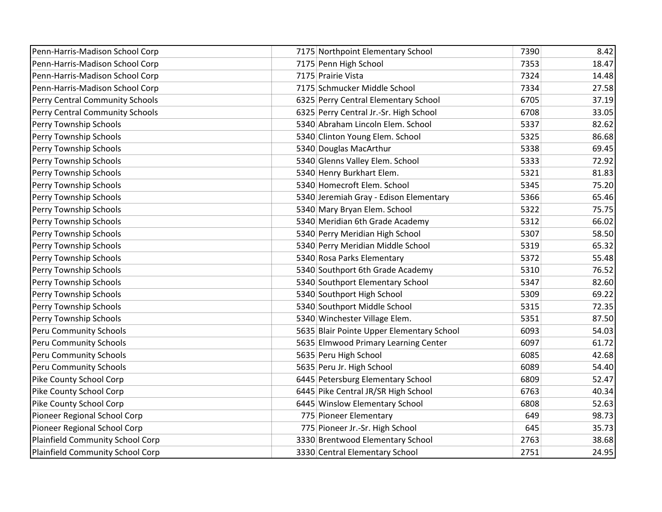| Penn-Harris-Madison School Corp  | 7175 Northpoint Elementary School         | 7390 | 8.42  |
|----------------------------------|-------------------------------------------|------|-------|
| Penn-Harris-Madison School Corp  | 7175 Penn High School                     | 7353 | 18.47 |
| Penn-Harris-Madison School Corp  | 7175 Prairie Vista                        | 7324 | 14.48 |
| Penn-Harris-Madison School Corp  | 7175 Schmucker Middle School              | 7334 | 27.58 |
| Perry Central Community Schools  | 6325 Perry Central Elementary School      | 6705 | 37.19 |
| Perry Central Community Schools  | 6325 Perry Central Jr.-Sr. High School    | 6708 | 33.05 |
| Perry Township Schools           | 5340 Abraham Lincoln Elem. School         | 5337 | 82.62 |
| Perry Township Schools           | 5340 Clinton Young Elem. School           | 5325 | 86.68 |
| Perry Township Schools           | 5340 Douglas MacArthur                    | 5338 | 69.45 |
| Perry Township Schools           | 5340 Glenns Valley Elem. School           | 5333 | 72.92 |
| Perry Township Schools           | 5340 Henry Burkhart Elem.                 | 5321 | 81.83 |
| Perry Township Schools           | 5340 Homecroft Elem. School               | 5345 | 75.20 |
| Perry Township Schools           | 5340 Jeremiah Gray - Edison Elementary    | 5366 | 65.46 |
| Perry Township Schools           | 5340 Mary Bryan Elem. School              | 5322 | 75.75 |
| Perry Township Schools           | 5340 Meridian 6th Grade Academy           | 5312 | 66.02 |
| Perry Township Schools           | 5340 Perry Meridian High School           | 5307 | 58.50 |
| Perry Township Schools           | 5340 Perry Meridian Middle School         | 5319 | 65.32 |
| Perry Township Schools           | 5340 Rosa Parks Elementary                | 5372 | 55.48 |
| Perry Township Schools           | 5340 Southport 6th Grade Academy          | 5310 | 76.52 |
| Perry Township Schools           | 5340 Southport Elementary School          | 5347 | 82.60 |
| Perry Township Schools           | 5340 Southport High School                | 5309 | 69.22 |
| Perry Township Schools           | 5340 Southport Middle School              | 5315 | 72.35 |
| Perry Township Schools           | 5340 Winchester Village Elem.             | 5351 | 87.50 |
| Peru Community Schools           | 5635 Blair Pointe Upper Elementary School | 6093 | 54.03 |
| <b>Peru Community Schools</b>    | 5635 Elmwood Primary Learning Center      | 6097 | 61.72 |
| Peru Community Schools           | 5635 Peru High School                     | 6085 | 42.68 |
| Peru Community Schools           | 5635 Peru Jr. High School                 | 6089 | 54.40 |
| Pike County School Corp          | 6445 Petersburg Elementary School         | 6809 | 52.47 |
| Pike County School Corp          | 6445 Pike Central JR/SR High School       | 6763 | 40.34 |
| Pike County School Corp          | 6445 Winslow Elementary School            | 6808 | 52.63 |
| Pioneer Regional School Corp     | 775 Pioneer Elementary                    | 649  | 98.73 |
| Pioneer Regional School Corp     | 775 Pioneer Jr.-Sr. High School           | 645  | 35.73 |
| Plainfield Community School Corp | 3330 Brentwood Elementary School          | 2763 | 38.68 |
| Plainfield Community School Corp | 3330 Central Elementary School            | 2751 | 24.95 |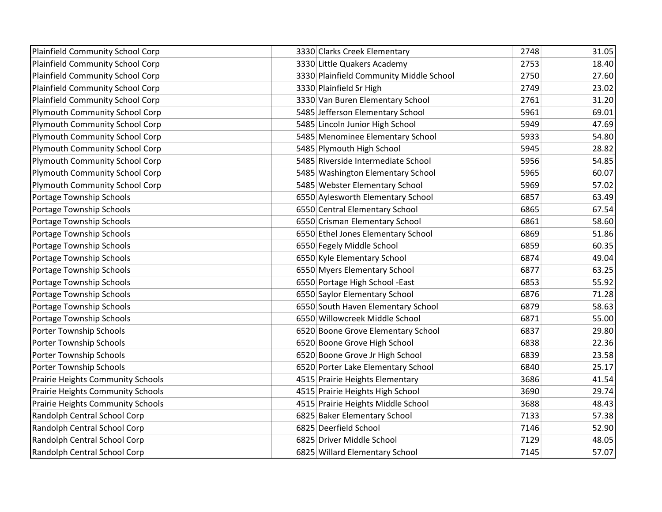| Plainfield Community School Corp         | 3330 Clarks Creek Elementary            | 2748 | 31.05 |
|------------------------------------------|-----------------------------------------|------|-------|
| Plainfield Community School Corp         | 3330 Little Quakers Academy             | 2753 | 18.40 |
| <b>Plainfield Community School Corp</b>  | 3330 Plainfield Community Middle School | 2750 | 27.60 |
| Plainfield Community School Corp         | 3330 Plainfield Sr High                 | 2749 | 23.02 |
| Plainfield Community School Corp         | 3330 Van Buren Elementary School        | 2761 | 31.20 |
| <b>Plymouth Community School Corp</b>    | 5485 Jefferson Elementary School        | 5961 | 69.01 |
| <b>Plymouth Community School Corp</b>    | 5485 Lincoln Junior High School         | 5949 | 47.69 |
| <b>Plymouth Community School Corp</b>    | 5485 Menominee Elementary School        | 5933 | 54.80 |
| Plymouth Community School Corp           | 5485 Plymouth High School               | 5945 | 28.82 |
| Plymouth Community School Corp           | 5485 Riverside Intermediate School      | 5956 | 54.85 |
| <b>Plymouth Community School Corp</b>    | 5485 Washington Elementary School       | 5965 | 60.07 |
| <b>Plymouth Community School Corp</b>    | 5485 Webster Elementary School          | 5969 | 57.02 |
| Portage Township Schools                 | 6550 Aylesworth Elementary School       | 6857 | 63.49 |
| Portage Township Schools                 | 6550 Central Elementary School          | 6865 | 67.54 |
| Portage Township Schools                 | 6550 Crisman Elementary School          | 6861 | 58.60 |
| Portage Township Schools                 | 6550 Ethel Jones Elementary School      | 6869 | 51.86 |
| Portage Township Schools                 | 6550 Fegely Middle School               | 6859 | 60.35 |
| Portage Township Schools                 | 6550 Kyle Elementary School             | 6874 | 49.04 |
| Portage Township Schools                 | 6550 Myers Elementary School            | 6877 | 63.25 |
| Portage Township Schools                 | 6550 Portage High School -East          | 6853 | 55.92 |
| Portage Township Schools                 | 6550 Saylor Elementary School           | 6876 | 71.28 |
| Portage Township Schools                 | 6550 South Haven Elementary School      | 6879 | 58.63 |
| Portage Township Schools                 | 6550 Willowcreek Middle School          | 6871 | 55.00 |
| Porter Township Schools                  | 6520 Boone Grove Elementary School      | 6837 | 29.80 |
| Porter Township Schools                  | 6520 Boone Grove High School            | 6838 | 22.36 |
| Porter Township Schools                  | 6520 Boone Grove Jr High School         | 6839 | 23.58 |
| Porter Township Schools                  | 6520 Porter Lake Elementary School      | 6840 | 25.17 |
| <b>Prairie Heights Community Schools</b> | 4515 Prairie Heights Elementary         | 3686 | 41.54 |
| Prairie Heights Community Schools        | 4515 Prairie Heights High School        | 3690 | 29.74 |
| <b>Prairie Heights Community Schools</b> | 4515 Prairie Heights Middle School      | 3688 | 48.43 |
| Randolph Central School Corp             | 6825 Baker Elementary School            | 7133 | 57.38 |
| Randolph Central School Corp             | 6825 Deerfield School                   | 7146 | 52.90 |
| Randolph Central School Corp             | 6825 Driver Middle School               | 7129 | 48.05 |
| Randolph Central School Corp             | 6825 Willard Elementary School          | 7145 | 57.07 |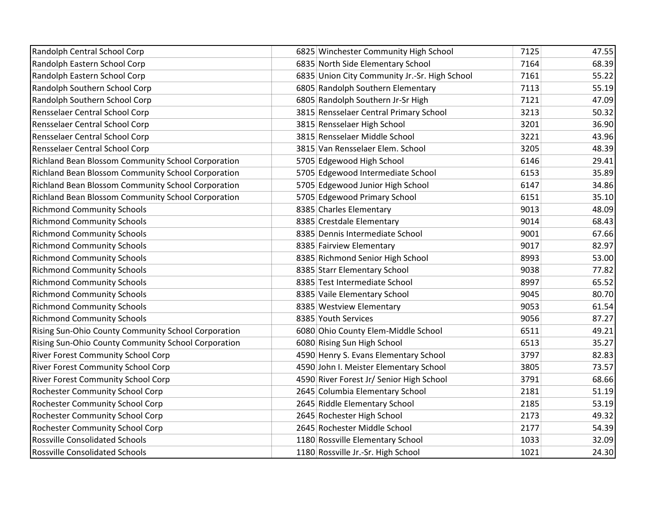| Randolph Central School Corp                              | 6825 Winchester Community High School         | 7125 | 47.55 |
|-----------------------------------------------------------|-----------------------------------------------|------|-------|
| Randolph Eastern School Corp                              | 6835 North Side Elementary School             | 7164 | 68.39 |
| Randolph Eastern School Corp                              | 6835 Union City Community Jr.-Sr. High School | 7161 | 55.22 |
| Randolph Southern School Corp                             | 6805 Randolph Southern Elementary             | 7113 | 55.19 |
| Randolph Southern School Corp                             | 6805 Randolph Southern Jr-Sr High             | 7121 | 47.09 |
| Rensselaer Central School Corp                            | 3815 Rensselaer Central Primary School        | 3213 | 50.32 |
| Rensselaer Central School Corp                            | 3815 Rensselaer High School                   | 3201 | 36.90 |
| Rensselaer Central School Corp                            | 3815 Rensselaer Middle School                 | 3221 | 43.96 |
| Rensselaer Central School Corp                            | 3815 Van Rensselaer Elem. School              | 3205 | 48.39 |
| Richland Bean Blossom Community School Corporation        | 5705 Edgewood High School                     | 6146 | 29.41 |
| Richland Bean Blossom Community School Corporation        | 5705 Edgewood Intermediate School             | 6153 | 35.89 |
| Richland Bean Blossom Community School Corporation        | 5705 Edgewood Junior High School              | 6147 | 34.86 |
| <b>Richland Bean Blossom Community School Corporation</b> | 5705 Edgewood Primary School                  | 6151 | 35.10 |
| <b>Richmond Community Schools</b>                         | 8385 Charles Elementary                       | 9013 | 48.09 |
| <b>Richmond Community Schools</b>                         | 8385 Crestdale Elementary                     | 9014 | 68.43 |
| <b>Richmond Community Schools</b>                         | 8385 Dennis Intermediate School               | 9001 | 67.66 |
| <b>Richmond Community Schools</b>                         | 8385 Fairview Elementary                      | 9017 | 82.97 |
| <b>Richmond Community Schools</b>                         | 8385 Richmond Senior High School              | 8993 | 53.00 |
| <b>Richmond Community Schools</b>                         | 8385 Starr Elementary School                  | 9038 | 77.82 |
| <b>Richmond Community Schools</b>                         | 8385 Test Intermediate School                 | 8997 | 65.52 |
| <b>Richmond Community Schools</b>                         | 8385 Vaile Elementary School                  | 9045 | 80.70 |
| <b>Richmond Community Schools</b>                         | 8385 Westview Elementary                      | 9053 | 61.54 |
| <b>Richmond Community Schools</b>                         | 8385 Youth Services                           | 9056 | 87.27 |
| Rising Sun-Ohio County Community School Corporation       | 6080 Ohio County Elem-Middle School           | 6511 | 49.21 |
| Rising Sun-Ohio County Community School Corporation       | 6080 Rising Sun High School                   | 6513 | 35.27 |
| <b>River Forest Community School Corp</b>                 | 4590 Henry S. Evans Elementary School         | 3797 | 82.83 |
| <b>River Forest Community School Corp</b>                 | 4590 John I. Meister Elementary School        | 3805 | 73.57 |
| <b>River Forest Community School Corp</b>                 | 4590 River Forest Jr/ Senior High School      | 3791 | 68.66 |
| <b>Rochester Community School Corp</b>                    | 2645 Columbia Elementary School               | 2181 | 51.19 |
| <b>Rochester Community School Corp</b>                    | 2645 Riddle Elementary School                 | 2185 | 53.19 |
| <b>Rochester Community School Corp</b>                    | 2645 Rochester High School                    | 2173 | 49.32 |
| Rochester Community School Corp                           | 2645 Rochester Middle School                  | 2177 | 54.39 |
| <b>Rossville Consolidated Schools</b>                     | 1180 Rossville Elementary School              | 1033 | 32.09 |
| <b>Rossville Consolidated Schools</b>                     | 1180 Rossville Jr.-Sr. High School            | 1021 | 24.30 |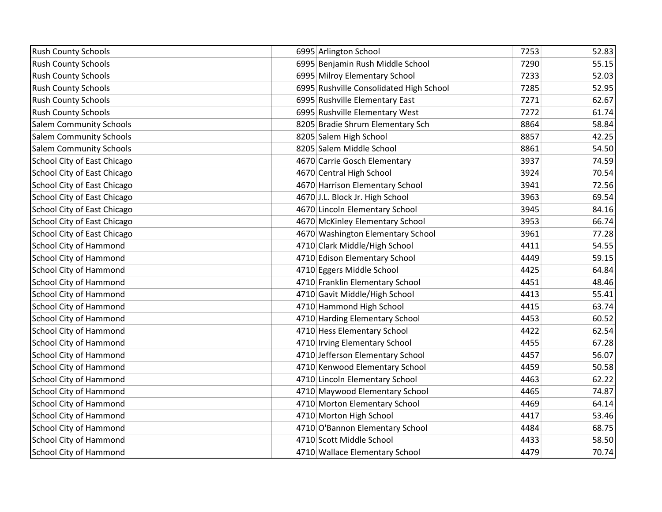| <b>Rush County Schools</b>         | 6995 Arlington School                   | 7253 | 52.83 |
|------------------------------------|-----------------------------------------|------|-------|
| <b>Rush County Schools</b>         | 6995 Benjamin Rush Middle School        | 7290 | 55.15 |
| <b>Rush County Schools</b>         | 6995 Milroy Elementary School           | 7233 | 52.03 |
| <b>Rush County Schools</b>         | 6995 Rushville Consolidated High School | 7285 | 52.95 |
| <b>Rush County Schools</b>         | 6995 Rushville Elementary East          | 7271 | 62.67 |
| <b>Rush County Schools</b>         | 6995 Rushville Elementary West          | 7272 | 61.74 |
| <b>Salem Community Schools</b>     | 8205 Bradie Shrum Elementary Sch        | 8864 | 58.84 |
| <b>Salem Community Schools</b>     | 8205 Salem High School                  | 8857 | 42.25 |
| <b>Salem Community Schools</b>     | 8205 Salem Middle School                | 8861 | 54.50 |
| School City of East Chicago        | 4670 Carrie Gosch Elementary            | 3937 | 74.59 |
| School City of East Chicago        | 4670 Central High School                | 3924 | 70.54 |
| School City of East Chicago        | 4670 Harrison Elementary School         | 3941 | 72.56 |
| School City of East Chicago        | 4670 J.L. Block Jr. High School         | 3963 | 69.54 |
| School City of East Chicago        | 4670 Lincoln Elementary School          | 3945 | 84.16 |
| School City of East Chicago        | 4670 McKinley Elementary School         | 3953 | 66.74 |
| <b>School City of East Chicago</b> | 4670 Washington Elementary School       | 3961 | 77.28 |
| <b>School City of Hammond</b>      | 4710 Clark Middle/High School           | 4411 | 54.55 |
| <b>School City of Hammond</b>      | 4710 Edison Elementary School           | 4449 | 59.15 |
| <b>School City of Hammond</b>      | 4710 Eggers Middle School               | 4425 | 64.84 |
| <b>School City of Hammond</b>      | 4710 Franklin Elementary School         | 4451 | 48.46 |
| School City of Hammond             | 4710 Gavit Middle/High School           | 4413 | 55.41 |
| <b>School City of Hammond</b>      | 4710 Hammond High School                | 4415 | 63.74 |
| <b>School City of Hammond</b>      | 4710 Harding Elementary School          | 4453 | 60.52 |
| <b>School City of Hammond</b>      | 4710 Hess Elementary School             | 4422 | 62.54 |
| <b>School City of Hammond</b>      | 4710 Irving Elementary School           | 4455 | 67.28 |
| <b>School City of Hammond</b>      | 4710 Jefferson Elementary School        | 4457 | 56.07 |
| <b>School City of Hammond</b>      | 4710 Kenwood Elementary School          | 4459 | 50.58 |
| <b>School City of Hammond</b>      | 4710 Lincoln Elementary School          | 4463 | 62.22 |
| <b>School City of Hammond</b>      | 4710 Maywood Elementary School          | 4465 | 74.87 |
| <b>School City of Hammond</b>      | 4710 Morton Elementary School           | 4469 | 64.14 |
| <b>School City of Hammond</b>      | 4710 Morton High School                 | 4417 | 53.46 |
| <b>School City of Hammond</b>      | 4710 O'Bannon Elementary School         | 4484 | 68.75 |
| <b>School City of Hammond</b>      | 4710 Scott Middle School                | 4433 | 58.50 |
| <b>School City of Hammond</b>      | 4710 Wallace Elementary School          | 4479 | 70.74 |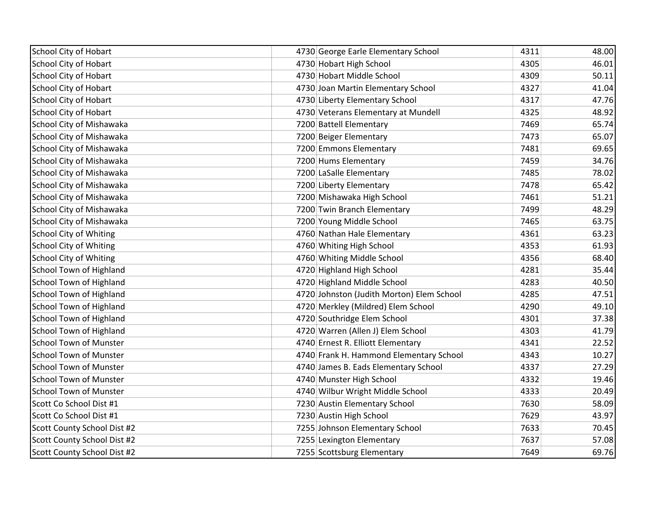| School City of Hobart         | 4730 George Earle Elementary School       | 4311 | 48.00 |
|-------------------------------|-------------------------------------------|------|-------|
| School City of Hobart         | 4730 Hobart High School                   | 4305 | 46.01 |
| <b>School City of Hobart</b>  | 4730 Hobart Middle School                 | 4309 | 50.11 |
| <b>School City of Hobart</b>  | 4730 Joan Martin Elementary School        | 4327 | 41.04 |
| School City of Hobart         | 4730 Liberty Elementary School            | 4317 | 47.76 |
| <b>School City of Hobart</b>  | 4730 Veterans Elementary at Mundell       | 4325 | 48.92 |
| School City of Mishawaka      | 7200 Battell Elementary                   | 7469 | 65.74 |
| School City of Mishawaka      | 7200 Beiger Elementary                    | 7473 | 65.07 |
| School City of Mishawaka      | 7200 Emmons Elementary                    | 7481 | 69.65 |
| School City of Mishawaka      | 7200 Hums Elementary                      | 7459 | 34.76 |
| School City of Mishawaka      | 7200 LaSalle Elementary                   | 7485 | 78.02 |
| School City of Mishawaka      | 7200 Liberty Elementary                   | 7478 | 65.42 |
| School City of Mishawaka      | 7200 Mishawaka High School                | 7461 | 51.21 |
| School City of Mishawaka      | 7200 Twin Branch Elementary               | 7499 | 48.29 |
| School City of Mishawaka      | 7200 Young Middle School                  | 7465 | 63.75 |
| <b>School City of Whiting</b> | 4760 Nathan Hale Elementary               | 4361 | 63.23 |
| <b>School City of Whiting</b> | 4760 Whiting High School                  | 4353 | 61.93 |
| <b>School City of Whiting</b> | 4760 Whiting Middle School                | 4356 | 68.40 |
| School Town of Highland       | 4720 Highland High School                 | 4281 | 35.44 |
| School Town of Highland       | 4720 Highland Middle School               | 4283 | 40.50 |
| School Town of Highland       | 4720 Johnston (Judith Morton) Elem School | 4285 | 47.51 |
| School Town of Highland       | 4720 Merkley (Mildred) Elem School        | 4290 | 49.10 |
| School Town of Highland       | 4720 Southridge Elem School               | 4301 | 37.38 |
| School Town of Highland       | 4720 Warren (Allen J) Elem School         | 4303 | 41.79 |
| <b>School Town of Munster</b> | 4740 Ernest R. Elliott Elementary         | 4341 | 22.52 |
| <b>School Town of Munster</b> | 4740 Frank H. Hammond Elementary School   | 4343 | 10.27 |
| School Town of Munster        | 4740 James B. Eads Elementary School      | 4337 | 27.29 |
| <b>School Town of Munster</b> | 4740 Munster High School                  | 4332 | 19.46 |
| School Town of Munster        | 4740 Wilbur Wright Middle School          | 4333 | 20.49 |
| Scott Co School Dist #1       | 7230 Austin Elementary School             | 7630 | 58.09 |
| Scott Co School Dist #1       | 7230 Austin High School                   | 7629 | 43.97 |
| Scott County School Dist #2   | 7255 Johnson Elementary School            | 7633 | 70.45 |
| Scott County School Dist #2   | 7255 Lexington Elementary                 | 7637 | 57.08 |
| Scott County School Dist #2   | 7255 Scottsburg Elementary                | 7649 | 69.76 |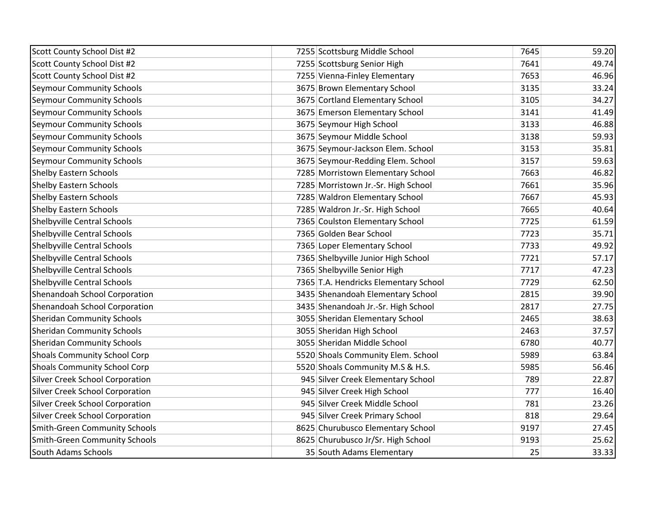| Scott County School Dist #2            | 7255 Scottsburg Middle School         | 7645 | 59.20 |
|----------------------------------------|---------------------------------------|------|-------|
| Scott County School Dist #2            | 7255 Scottsburg Senior High           | 7641 | 49.74 |
| Scott County School Dist #2            | 7255 Vienna-Finley Elementary         | 7653 | 46.96 |
| <b>Seymour Community Schools</b>       | 3675 Brown Elementary School          | 3135 | 33.24 |
| Seymour Community Schools              | 3675 Cortland Elementary School       | 3105 | 34.27 |
| Seymour Community Schools              | 3675 Emerson Elementary School        | 3141 | 41.49 |
| <b>Seymour Community Schools</b>       | 3675 Seymour High School              | 3133 | 46.88 |
| <b>Seymour Community Schools</b>       | 3675 Seymour Middle School            | 3138 | 59.93 |
| <b>Seymour Community Schools</b>       | 3675 Seymour-Jackson Elem. School     | 3153 | 35.81 |
| Seymour Community Schools              | 3675 Seymour-Redding Elem. School     | 3157 | 59.63 |
| <b>Shelby Eastern Schools</b>          | 7285 Morristown Elementary School     | 7663 | 46.82 |
| <b>Shelby Eastern Schools</b>          | 7285 Morristown Jr.-Sr. High School   | 7661 | 35.96 |
| <b>Shelby Eastern Schools</b>          | 7285 Waldron Elementary School        | 7667 | 45.93 |
| <b>Shelby Eastern Schools</b>          | 7285 Waldron Jr.-Sr. High School      | 7665 | 40.64 |
| Shelbyville Central Schools            | 7365 Coulston Elementary School       | 7725 | 61.59 |
| Shelbyville Central Schools            | 7365 Golden Bear School               | 7723 | 35.71 |
| Shelbyville Central Schools            | 7365 Loper Elementary School          | 7733 | 49.92 |
| Shelbyville Central Schools            | 7365 Shelbyville Junior High School   | 7721 | 57.17 |
| Shelbyville Central Schools            | 7365 Shelbyville Senior High          | 7717 | 47.23 |
| Shelbyville Central Schools            | 7365 T.A. Hendricks Elementary School | 7729 | 62.50 |
| Shenandoah School Corporation          | 3435 Shenandoah Elementary School     | 2815 | 39.90 |
| Shenandoah School Corporation          | 3435 Shenandoah Jr.-Sr. High School   | 2817 | 27.75 |
| <b>Sheridan Community Schools</b>      | 3055 Sheridan Elementary School       | 2465 | 38.63 |
| <b>Sheridan Community Schools</b>      | 3055 Sheridan High School             | 2463 | 37.57 |
| <b>Sheridan Community Schools</b>      | 3055 Sheridan Middle School           | 6780 | 40.77 |
| <b>Shoals Community School Corp</b>    | 5520 Shoals Community Elem. School    | 5989 | 63.84 |
| <b>Shoals Community School Corp</b>    | 5520 Shoals Community M.S & H.S.      | 5985 | 56.46 |
| Silver Creek School Corporation        | 945 Silver Creek Elementary School    | 789  | 22.87 |
| <b>Silver Creek School Corporation</b> | 945 Silver Creek High School          | 777  | 16.40 |
| <b>Silver Creek School Corporation</b> | 945 Silver Creek Middle School        | 781  | 23.26 |
| <b>Silver Creek School Corporation</b> | 945 Silver Creek Primary School       | 818  | 29.64 |
| <b>Smith-Green Community Schools</b>   | 8625 Churubusco Elementary School     | 9197 | 27.45 |
| <b>Smith-Green Community Schools</b>   | 8625 Churubusco Jr/Sr. High School    | 9193 | 25.62 |
| <b>South Adams Schools</b>             | 35 South Adams Elementary             | 25   | 33.33 |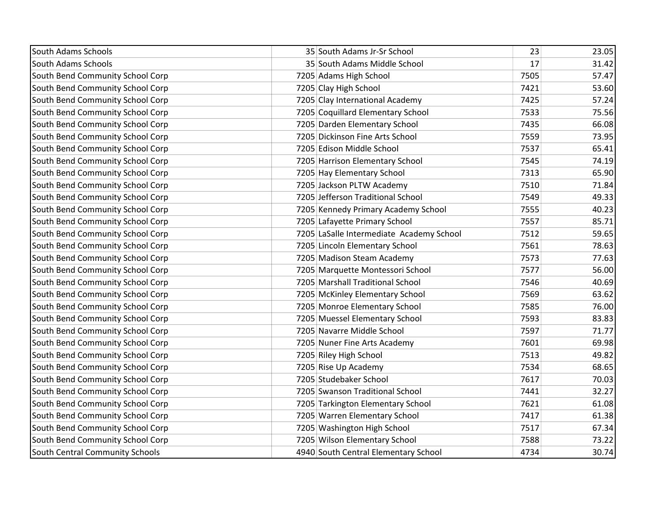| <b>South Adams Schools</b>       | 35 South Adams Jr-Sr School              | 23   | 23.05 |
|----------------------------------|------------------------------------------|------|-------|
| <b>South Adams Schools</b>       | 35 South Adams Middle School             | 17   | 31.42 |
| South Bend Community School Corp | 7205 Adams High School                   | 7505 | 57.47 |
| South Bend Community School Corp | 7205 Clay High School                    | 7421 | 53.60 |
| South Bend Community School Corp | 7205 Clay International Academy          | 7425 | 57.24 |
| South Bend Community School Corp | 7205 Coquillard Elementary School        | 7533 | 75.56 |
| South Bend Community School Corp | 7205 Darden Elementary School            | 7435 | 66.08 |
| South Bend Community School Corp | 7205 Dickinson Fine Arts School          | 7559 | 73.95 |
| South Bend Community School Corp | 7205 Edison Middle School                | 7537 | 65.41 |
| South Bend Community School Corp | 7205 Harrison Elementary School          | 7545 | 74.19 |
| South Bend Community School Corp | 7205 Hay Elementary School               | 7313 | 65.90 |
| South Bend Community School Corp | 7205 Jackson PLTW Academy                | 7510 | 71.84 |
| South Bend Community School Corp | 7205 Jefferson Traditional School        | 7549 | 49.33 |
| South Bend Community School Corp | 7205 Kennedy Primary Academy School      | 7555 | 40.23 |
| South Bend Community School Corp | 7205 Lafayette Primary School            | 7557 | 85.71 |
| South Bend Community School Corp | 7205 LaSalle Intermediate Academy School | 7512 | 59.65 |
| South Bend Community School Corp | 7205 Lincoln Elementary School           | 7561 | 78.63 |
| South Bend Community School Corp | 7205 Madison Steam Academy               | 7573 | 77.63 |
| South Bend Community School Corp | 7205 Marquette Montessori School         | 7577 | 56.00 |
| South Bend Community School Corp | 7205 Marshall Traditional School         | 7546 | 40.69 |
| South Bend Community School Corp | 7205 McKinley Elementary School          | 7569 | 63.62 |
| South Bend Community School Corp | 7205 Monroe Elementary School            | 7585 | 76.00 |
| South Bend Community School Corp | 7205 Muessel Elementary School           | 7593 | 83.83 |
| South Bend Community School Corp | 7205 Navarre Middle School               | 7597 | 71.77 |
| South Bend Community School Corp | 7205 Nuner Fine Arts Academy             | 7601 | 69.98 |
| South Bend Community School Corp | 7205 Riley High School                   | 7513 | 49.82 |
| South Bend Community School Corp | 7205 Rise Up Academy                     | 7534 | 68.65 |
| South Bend Community School Corp | 7205 Studebaker School                   | 7617 | 70.03 |
| South Bend Community School Corp | 7205 Swanson Traditional School          | 7441 | 32.27 |
| South Bend Community School Corp | 7205 Tarkington Elementary School        | 7621 | 61.08 |
| South Bend Community School Corp | 7205 Warren Elementary School            | 7417 | 61.38 |
| South Bend Community School Corp | 7205 Washington High School              | 7517 | 67.34 |
| South Bend Community School Corp | 7205 Wilson Elementary School            | 7588 | 73.22 |
| South Central Community Schools  | 4940 South Central Elementary School     | 4734 | 30.74 |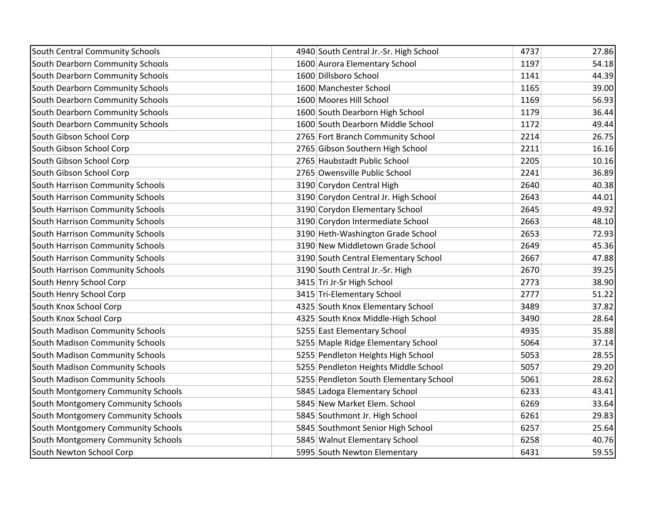| South Central Community Schools    | 4940 South Central Jr.-Sr. High School | 4737 | 27.86 |
|------------------------------------|----------------------------------------|------|-------|
| South Dearborn Community Schools   | 1600 Aurora Elementary School          | 1197 | 54.18 |
| South Dearborn Community Schools   | 1600 Dillsboro School                  | 1141 | 44.39 |
| South Dearborn Community Schools   | 1600 Manchester School                 | 1165 | 39.00 |
| South Dearborn Community Schools   | 1600 Moores Hill School                | 1169 | 56.93 |
| South Dearborn Community Schools   | 1600 South Dearborn High School        | 1179 | 36.44 |
| South Dearborn Community Schools   | 1600 South Dearborn Middle School      | 1172 | 49.44 |
| South Gibson School Corp           | 2765 Fort Branch Community School      | 2214 | 26.75 |
| South Gibson School Corp           | 2765 Gibson Southern High School       | 2211 | 16.16 |
| South Gibson School Corp           | 2765 Haubstadt Public School           | 2205 | 10.16 |
| South Gibson School Corp           | 2765 Owensville Public School          | 2241 | 36.89 |
| South Harrison Community Schools   | 3190 Corydon Central High              | 2640 | 40.38 |
| South Harrison Community Schools   | 3190 Corydon Central Jr. High School   | 2643 | 44.01 |
| South Harrison Community Schools   | 3190 Corydon Elementary School         | 2645 | 49.92 |
| South Harrison Community Schools   | 3190 Corydon Intermediate School       | 2663 | 48.10 |
| South Harrison Community Schools   | 3190 Heth-Washington Grade School      | 2653 | 72.93 |
| South Harrison Community Schools   | 3190 New Middletown Grade School       | 2649 | 45.36 |
| South Harrison Community Schools   | 3190 South Central Elementary School   | 2667 | 47.88 |
| South Harrison Community Schools   | 3190 South Central Jr.-Sr. High        | 2670 | 39.25 |
| South Henry School Corp            | 3415 Tri Jr-Sr High School             | 2773 | 38.90 |
| South Henry School Corp            | 3415 Tri-Elementary School             | 2777 | 51.22 |
| South Knox School Corp             | 4325 South Knox Elementary School      | 3489 | 37.82 |
| South Knox School Corp             | 4325 South Knox Middle-High School     | 3490 | 28.64 |
| South Madison Community Schools    | 5255 East Elementary School            | 4935 | 35.88 |
| South Madison Community Schools    | 5255 Maple Ridge Elementary School     | 5064 | 37.14 |
| South Madison Community Schools    | 5255 Pendleton Heights High School     | 5053 | 28.55 |
| South Madison Community Schools    | 5255 Pendleton Heights Middle School   | 5057 | 29.20 |
| South Madison Community Schools    | 5255 Pendleton South Elementary School | 5061 | 28.62 |
| South Montgomery Community Schools | 5845 Ladoga Elementary School          | 6233 | 43.41 |
| South Montgomery Community Schools | 5845 New Market Elem. School           | 6269 | 33.64 |
| South Montgomery Community Schools | 5845 Southmont Jr. High School         | 6261 | 29.83 |
| South Montgomery Community Schools | 5845 Southmont Senior High School      | 6257 | 25.64 |
| South Montgomery Community Schools | 5845 Walnut Elementary School          | 6258 | 40.76 |
| South Newton School Corp           | 5995 South Newton Elementary           | 6431 | 59.55 |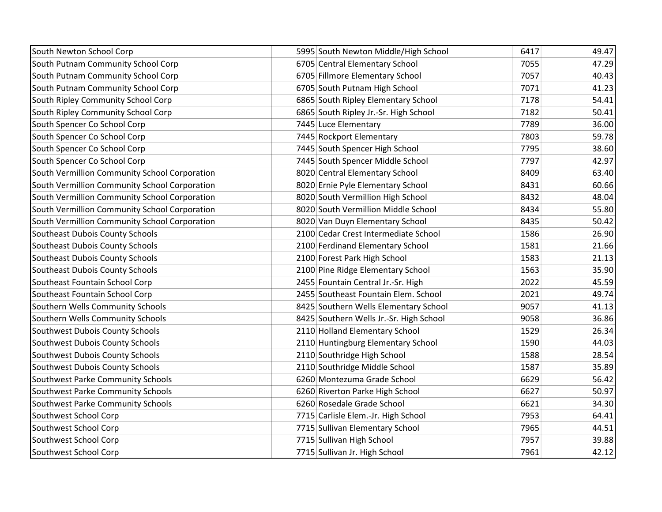| South Newton School Corp                      | 5995 South Newton Middle/High School    | 6417 | 49.47 |
|-----------------------------------------------|-----------------------------------------|------|-------|
| South Putnam Community School Corp            | 6705 Central Elementary School          | 7055 | 47.29 |
| South Putnam Community School Corp            | 6705 Fillmore Elementary School         | 7057 | 40.43 |
| South Putnam Community School Corp            | 6705 South Putnam High School           | 7071 | 41.23 |
| South Ripley Community School Corp            | 6865 South Ripley Elementary School     | 7178 | 54.41 |
| South Ripley Community School Corp            | 6865 South Ripley Jr.-Sr. High School   | 7182 | 50.41 |
| South Spencer Co School Corp                  | 7445 Luce Elementary                    | 7789 | 36.00 |
| South Spencer Co School Corp                  | 7445 Rockport Elementary                | 7803 | 59.78 |
| South Spencer Co School Corp                  | 7445 South Spencer High School          | 7795 | 38.60 |
| South Spencer Co School Corp                  | 7445 South Spencer Middle School        | 7797 | 42.97 |
| South Vermillion Community School Corporation | 8020 Central Elementary School          | 8409 | 63.40 |
| South Vermillion Community School Corporation | 8020 Ernie Pyle Elementary School       | 8431 | 60.66 |
| South Vermillion Community School Corporation | 8020 South Vermillion High School       | 8432 | 48.04 |
| South Vermillion Community School Corporation | 8020 South Vermillion Middle School     | 8434 | 55.80 |
| South Vermillion Community School Corporation | 8020 Van Duyn Elementary School         | 8435 | 50.42 |
| Southeast Dubois County Schools               | 2100 Cedar Crest Intermediate School    | 1586 | 26.90 |
| Southeast Dubois County Schools               | 2100 Ferdinand Elementary School        | 1581 | 21.66 |
| Southeast Dubois County Schools               | 2100 Forest Park High School            | 1583 | 21.13 |
| Southeast Dubois County Schools               | 2100 Pine Ridge Elementary School       | 1563 | 35.90 |
| Southeast Fountain School Corp                | 2455 Fountain Central Jr.-Sr. High      | 2022 | 45.59 |
| Southeast Fountain School Corp                | 2455 Southeast Fountain Elem. School    | 2021 | 49.74 |
| Southern Wells Community Schools              | 8425 Southern Wells Elementary School   | 9057 | 41.13 |
| Southern Wells Community Schools              | 8425 Southern Wells Jr.-Sr. High School | 9058 | 36.86 |
| Southwest Dubois County Schools               | 2110 Holland Elementary School          | 1529 | 26.34 |
| Southwest Dubois County Schools               | 2110 Huntingburg Elementary School      | 1590 | 44.03 |
| Southwest Dubois County Schools               | 2110 Southridge High School             | 1588 | 28.54 |
| Southwest Dubois County Schools               | 2110 Southridge Middle School           | 1587 | 35.89 |
| Southwest Parke Community Schools             | 6260 Montezuma Grade School             | 6629 | 56.42 |
| Southwest Parke Community Schools             | 6260 Riverton Parke High School         | 6627 | 50.97 |
| Southwest Parke Community Schools             | 6260 Rosedale Grade School              | 6621 | 34.30 |
| Southwest School Corp                         | 7715 Carlisle Elem.-Jr. High School     | 7953 | 64.41 |
| Southwest School Corp                         | 7715 Sullivan Elementary School         | 7965 | 44.51 |
| Southwest School Corp                         | 7715 Sullivan High School               | 7957 | 39.88 |
| Southwest School Corp                         | 7715 Sullivan Jr. High School           | 7961 | 42.12 |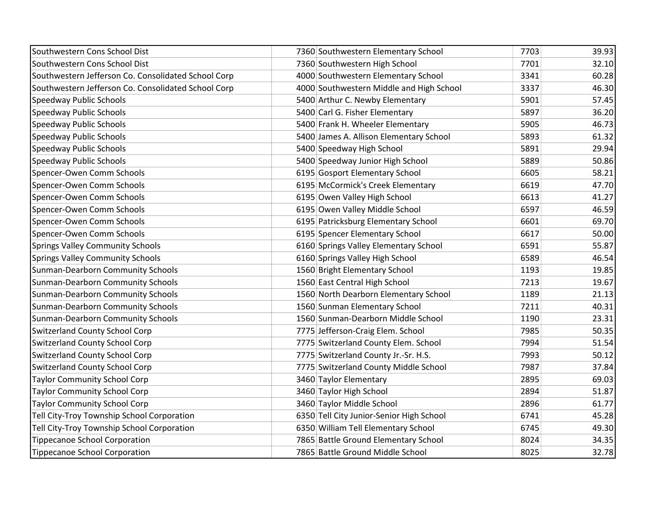| Southwestern Cons School Dist                       | 7360 Southwestern Elementary School      | 7703 | 39.93 |
|-----------------------------------------------------|------------------------------------------|------|-------|
| Southwestern Cons School Dist                       | 7360 Southwestern High School            | 7701 | 32.10 |
| Southwestern Jefferson Co. Consolidated School Corp | 4000 Southwestern Elementary School      | 3341 | 60.28 |
| Southwestern Jefferson Co. Consolidated School Corp | 4000 Southwestern Middle and High School | 3337 | 46.30 |
| Speedway Public Schools                             | 5400 Arthur C. Newby Elementary          | 5901 | 57.45 |
| Speedway Public Schools                             | 5400 Carl G. Fisher Elementary           | 5897 | 36.20 |
| Speedway Public Schools                             | 5400 Frank H. Wheeler Elementary         | 5905 | 46.73 |
| Speedway Public Schools                             | 5400 James A. Allison Elementary School  | 5893 | 61.32 |
| Speedway Public Schools                             | 5400 Speedway High School                | 5891 | 29.94 |
| Speedway Public Schools                             | 5400 Speedway Junior High School         | 5889 | 50.86 |
| Spencer-Owen Comm Schools                           | 6195 Gosport Elementary School           | 6605 | 58.21 |
| Spencer-Owen Comm Schools                           | 6195 McCormick's Creek Elementary        | 6619 | 47.70 |
| Spencer-Owen Comm Schools                           | 6195 Owen Valley High School             | 6613 | 41.27 |
| Spencer-Owen Comm Schools                           | 6195 Owen Valley Middle School           | 6597 | 46.59 |
| Spencer-Owen Comm Schools                           | 6195 Patricksburg Elementary School      | 6601 | 69.70 |
| Spencer-Owen Comm Schools                           | 6195 Spencer Elementary School           | 6617 | 50.00 |
| <b>Springs Valley Community Schools</b>             | 6160 Springs Valley Elementary School    | 6591 | 55.87 |
| <b>Springs Valley Community Schools</b>             | 6160 Springs Valley High School          | 6589 | 46.54 |
| <b>Sunman-Dearborn Community Schools</b>            | 1560 Bright Elementary School            | 1193 | 19.85 |
| <b>Sunman-Dearborn Community Schools</b>            | 1560 East Central High School            | 7213 | 19.67 |
| <b>Sunman-Dearborn Community Schools</b>            | 1560 North Dearborn Elementary School    | 1189 | 21.13 |
| <b>Sunman-Dearborn Community Schools</b>            | 1560 Sunman Elementary School            | 7211 | 40.31 |
| <b>Sunman-Dearborn Community Schools</b>            | 1560 Sunman-Dearborn Middle School       | 1190 | 23.31 |
| <b>Switzerland County School Corp</b>               | 7775 Jefferson-Craig Elem. School        | 7985 | 50.35 |
| <b>Switzerland County School Corp</b>               | 7775 Switzerland County Elem. School     | 7994 | 51.54 |
| <b>Switzerland County School Corp</b>               | 7775 Switzerland County Jr.-Sr. H.S.     | 7993 | 50.12 |
| <b>Switzerland County School Corp</b>               | 7775 Switzerland County Middle School    | 7987 | 37.84 |
| <b>Taylor Community School Corp</b>                 | 3460 Taylor Elementary                   | 2895 | 69.03 |
| <b>Taylor Community School Corp</b>                 | 3460 Taylor High School                  | 2894 | 51.87 |
| <b>Taylor Community School Corp</b>                 | 3460 Taylor Middle School                | 2896 | 61.77 |
| Tell City-Troy Township School Corporation          | 6350 Tell City Junior-Senior High School | 6741 | 45.28 |
| Tell City-Troy Township School Corporation          | 6350 William Tell Elementary School      | 6745 | 49.30 |
| <b>Tippecanoe School Corporation</b>                | 7865 Battle Ground Elementary School     | 8024 | 34.35 |
| <b>Tippecanoe School Corporation</b>                | 7865 Battle Ground Middle School         | 8025 | 32.78 |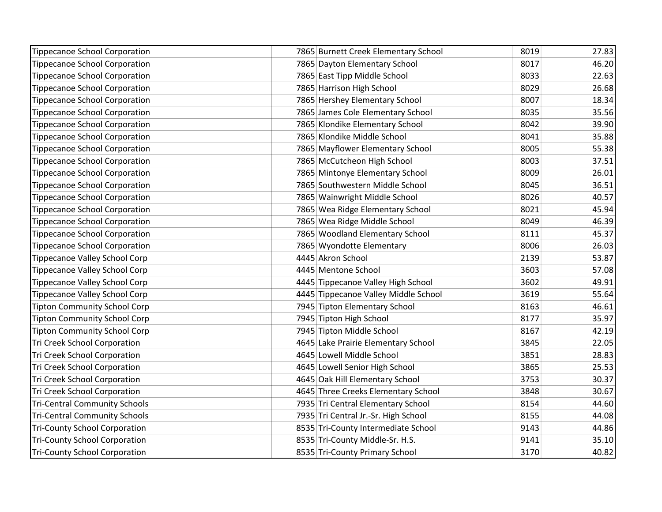| <b>Tippecanoe School Corporation</b> | 7865 Burnett Creek Elementary School | 8019 | 27.83 |
|--------------------------------------|--------------------------------------|------|-------|
| Tippecanoe School Corporation        | 7865 Dayton Elementary School        | 8017 | 46.20 |
| Tippecanoe School Corporation        | 7865 East Tipp Middle School         | 8033 | 22.63 |
| Tippecanoe School Corporation        | 7865 Harrison High School            | 8029 | 26.68 |
| Tippecanoe School Corporation        | 7865 Hershey Elementary School       | 8007 | 18.34 |
| Tippecanoe School Corporation        | 7865 James Cole Elementary School    | 8035 | 35.56 |
| Tippecanoe School Corporation        | 7865 Klondike Elementary School      | 8042 | 39.90 |
| Tippecanoe School Corporation        | 7865 Klondike Middle School          | 8041 | 35.88 |
| <b>Tippecanoe School Corporation</b> | 7865 Mayflower Elementary School     | 8005 | 55.38 |
| <b>Tippecanoe School Corporation</b> | 7865 McCutcheon High School          | 8003 | 37.51 |
| Tippecanoe School Corporation        | 7865 Mintonye Elementary School      | 8009 | 26.01 |
| Tippecanoe School Corporation        | 7865 Southwestern Middle School      | 8045 | 36.51 |
| Tippecanoe School Corporation        | 7865 Wainwright Middle School        | 8026 | 40.57 |
| Tippecanoe School Corporation        | 7865 Wea Ridge Elementary School     | 8021 | 45.94 |
| Tippecanoe School Corporation        | 7865 Wea Ridge Middle School         | 8049 | 46.39 |
| Tippecanoe School Corporation        | 7865 Woodland Elementary School      | 8111 | 45.37 |
| Tippecanoe School Corporation        | 7865 Wyondotte Elementary            | 8006 | 26.03 |
| Tippecanoe Valley School Corp        | 4445 Akron School                    | 2139 | 53.87 |
| <b>Tippecanoe Valley School Corp</b> | 4445 Mentone School                  | 3603 | 57.08 |
| Tippecanoe Valley School Corp        | 4445 Tippecanoe Valley High School   | 3602 | 49.91 |
| Tippecanoe Valley School Corp        | 4445 Tippecanoe Valley Middle School | 3619 | 55.64 |
| <b>Tipton Community School Corp</b>  | 7945 Tipton Elementary School        | 8163 | 46.61 |
| <b>Tipton Community School Corp</b>  | 7945 Tipton High School              | 8177 | 35.97 |
| <b>Tipton Community School Corp</b>  | 7945 Tipton Middle School            | 8167 | 42.19 |
| Tri Creek School Corporation         | 4645 Lake Prairie Elementary School  | 3845 | 22.05 |
| Tri Creek School Corporation         | 4645 Lowell Middle School            | 3851 | 28.83 |
| <b>Tri Creek School Corporation</b>  | 4645 Lowell Senior High School       | 3865 | 25.53 |
| <b>Tri Creek School Corporation</b>  | 4645 Oak Hill Elementary School      | 3753 | 30.37 |
| <b>Tri Creek School Corporation</b>  | 4645 Three Creeks Elementary School  | 3848 | 30.67 |
| <b>Tri-Central Community Schools</b> | 7935 Tri Central Elementary School   | 8154 | 44.60 |
| <b>Tri-Central Community Schools</b> | 7935 Tri Central Jr.-Sr. High School | 8155 | 44.08 |
| <b>Tri-County School Corporation</b> | 8535 Tri-County Intermediate School  | 9143 | 44.86 |
| <b>Tri-County School Corporation</b> | 8535 Tri-County Middle-Sr. H.S.      | 9141 | 35.10 |
| <b>Tri-County School Corporation</b> | 8535 Tri-County Primary School       | 3170 | 40.82 |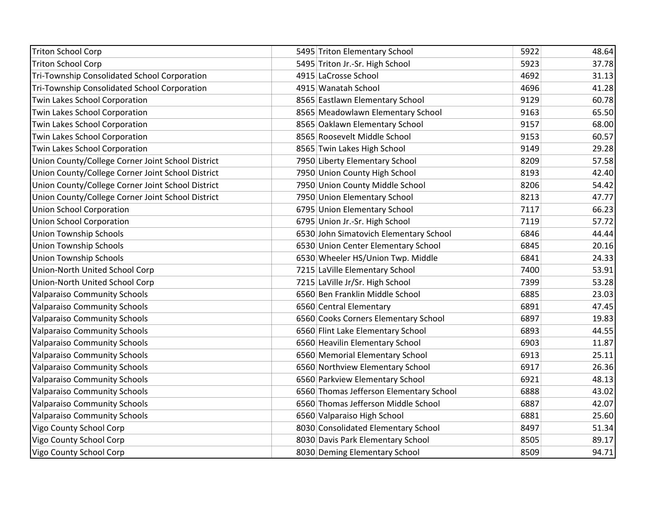| <b>Triton School Corp</b>                         | 5495 Triton Elementary School           | 5922 | 48.64 |
|---------------------------------------------------|-----------------------------------------|------|-------|
| <b>Triton School Corp</b>                         | 5495 Triton Jr.-Sr. High School         | 5923 | 37.78 |
| Tri-Township Consolidated School Corporation      | 4915 LaCrosse School                    | 4692 | 31.13 |
| Tri-Township Consolidated School Corporation      | 4915 Wanatah School                     | 4696 | 41.28 |
| Twin Lakes School Corporation                     | 8565 Eastlawn Elementary School         | 9129 | 60.78 |
| Twin Lakes School Corporation                     | 8565 Meadowlawn Elementary School       | 9163 | 65.50 |
| Twin Lakes School Corporation                     | 8565 Oaklawn Elementary School          | 9157 | 68.00 |
| Twin Lakes School Corporation                     | 8565 Roosevelt Middle School            | 9153 | 60.57 |
| Twin Lakes School Corporation                     | 8565 Twin Lakes High School             | 9149 | 29.28 |
| Union County/College Corner Joint School District | 7950 Liberty Elementary School          | 8209 | 57.58 |
| Union County/College Corner Joint School District | 7950 Union County High School           | 8193 | 42.40 |
| Union County/College Corner Joint School District | 7950 Union County Middle School         | 8206 | 54.42 |
| Union County/College Corner Joint School District | 7950 Union Elementary School            | 8213 | 47.77 |
| <b>Union School Corporation</b>                   | 6795 Union Elementary School            | 7117 | 66.23 |
| <b>Union School Corporation</b>                   | 6795 Union Jr.-Sr. High School          | 7119 | 57.72 |
| <b>Union Township Schools</b>                     | 6530 John Simatovich Elementary School  | 6846 | 44.44 |
| <b>Union Township Schools</b>                     | 6530 Union Center Elementary School     | 6845 | 20.16 |
| <b>Union Township Schools</b>                     | 6530 Wheeler HS/Union Twp. Middle       | 6841 | 24.33 |
| Union-North United School Corp                    | 7215 LaVille Elementary School          | 7400 | 53.91 |
| Union-North United School Corp                    | 7215 LaVille Jr/Sr. High School         | 7399 | 53.28 |
| <b>Valparaiso Community Schools</b>               | 6560 Ben Franklin Middle School         | 6885 | 23.03 |
| <b>Valparaiso Community Schools</b>               | 6560 Central Elementary                 | 6891 | 47.45 |
| <b>Valparaiso Community Schools</b>               | 6560 Cooks Corners Elementary School    | 6897 | 19.83 |
| <b>Valparaiso Community Schools</b>               | 6560 Flint Lake Elementary School       | 6893 | 44.55 |
| <b>Valparaiso Community Schools</b>               | 6560 Heavilin Elementary School         | 6903 | 11.87 |
| <b>Valparaiso Community Schools</b>               | 6560 Memorial Elementary School         | 6913 | 25.11 |
| <b>Valparaiso Community Schools</b>               | 6560 Northview Elementary School        | 6917 | 26.36 |
| <b>Valparaiso Community Schools</b>               | 6560 Parkview Elementary School         | 6921 | 48.13 |
| <b>Valparaiso Community Schools</b>               | 6560 Thomas Jefferson Elementary School | 6888 | 43.02 |
| <b>Valparaiso Community Schools</b>               | 6560 Thomas Jefferson Middle School     | 6887 | 42.07 |
| <b>Valparaiso Community Schools</b>               | 6560 Valparaiso High School             | 6881 | 25.60 |
| Vigo County School Corp                           | 8030 Consolidated Elementary School     | 8497 | 51.34 |
| Vigo County School Corp                           | 8030 Davis Park Elementary School       | 8505 | 89.17 |
| Vigo County School Corp                           | 8030 Deming Elementary School           | 8509 | 94.71 |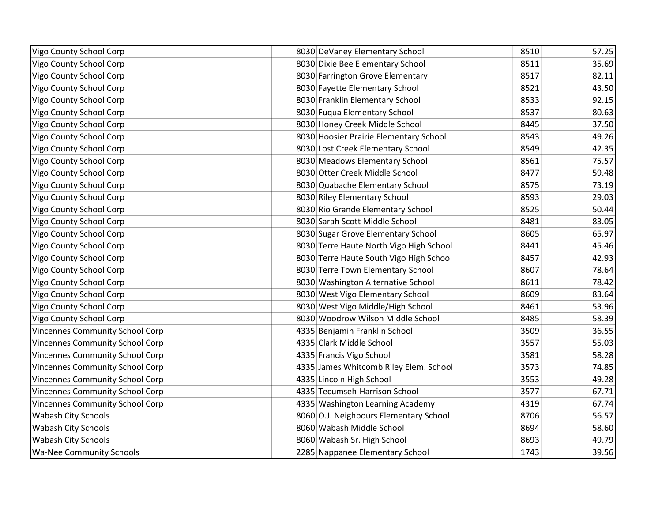| Vigo County School Corp                | 8030 DeVaney Elementary School          | 8510 | 57.25 |
|----------------------------------------|-----------------------------------------|------|-------|
| Vigo County School Corp                | 8030 Dixie Bee Elementary School        | 8511 | 35.69 |
| Vigo County School Corp                | 8030 Farrington Grove Elementary        | 8517 | 82.11 |
| Vigo County School Corp                | 8030 Fayette Elementary School          | 8521 | 43.50 |
| Vigo County School Corp                | 8030 Franklin Elementary School         | 8533 | 92.15 |
| Vigo County School Corp                | 8030 Fuqua Elementary School            | 8537 | 80.63 |
| Vigo County School Corp                | 8030 Honey Creek Middle School          | 8445 | 37.50 |
| Vigo County School Corp                | 8030 Hoosier Prairie Elementary School  | 8543 | 49.26 |
| Vigo County School Corp                | 8030 Lost Creek Elementary School       | 8549 | 42.35 |
| Vigo County School Corp                | 8030 Meadows Elementary School          | 8561 | 75.57 |
| Vigo County School Corp                | 8030 Otter Creek Middle School          | 8477 | 59.48 |
| Vigo County School Corp                | 8030 Quabache Elementary School         | 8575 | 73.19 |
| Vigo County School Corp                | 8030 Riley Elementary School            | 8593 | 29.03 |
| Vigo County School Corp                | 8030 Rio Grande Elementary School       | 8525 | 50.44 |
| Vigo County School Corp                | 8030 Sarah Scott Middle School          | 8481 | 83.05 |
| Vigo County School Corp                | 8030 Sugar Grove Elementary School      | 8605 | 65.97 |
| Vigo County School Corp                | 8030 Terre Haute North Vigo High School | 8441 | 45.46 |
| Vigo County School Corp                | 8030 Terre Haute South Vigo High School | 8457 | 42.93 |
| Vigo County School Corp                | 8030 Terre Town Elementary School       | 8607 | 78.64 |
| Vigo County School Corp                | 8030 Washington Alternative School      | 8611 | 78.42 |
| Vigo County School Corp                | 8030 West Vigo Elementary School        | 8609 | 83.64 |
| Vigo County School Corp                | 8030 West Vigo Middle/High School       | 8461 | 53.96 |
| Vigo County School Corp                | 8030 Woodrow Wilson Middle School       | 8485 | 58.39 |
| <b>Vincennes Community School Corp</b> | 4335 Benjamin Franklin School           | 3509 | 36.55 |
| Vincennes Community School Corp        | 4335 Clark Middle School                | 3557 | 55.03 |
| Vincennes Community School Corp        | 4335 Francis Vigo School                | 3581 | 58.28 |
| Vincennes Community School Corp        | 4335 James Whitcomb Riley Elem. School  | 3573 | 74.85 |
| <b>Vincennes Community School Corp</b> | 4335 Lincoln High School                | 3553 | 49.28 |
| Vincennes Community School Corp        | 4335 Tecumseh-Harrison School           | 3577 | 67.71 |
| <b>Vincennes Community School Corp</b> | 4335 Washington Learning Academy        | 4319 | 67.74 |
| <b>Wabash City Schools</b>             | 8060 O.J. Neighbours Elementary School  | 8706 | 56.57 |
| <b>Wabash City Schools</b>             | 8060 Wabash Middle School               | 8694 | 58.60 |
| <b>Wabash City Schools</b>             | 8060 Wabash Sr. High School             | 8693 | 49.79 |
| <b>Wa-Nee Community Schools</b>        | 2285 Nappanee Elementary School         | 1743 | 39.56 |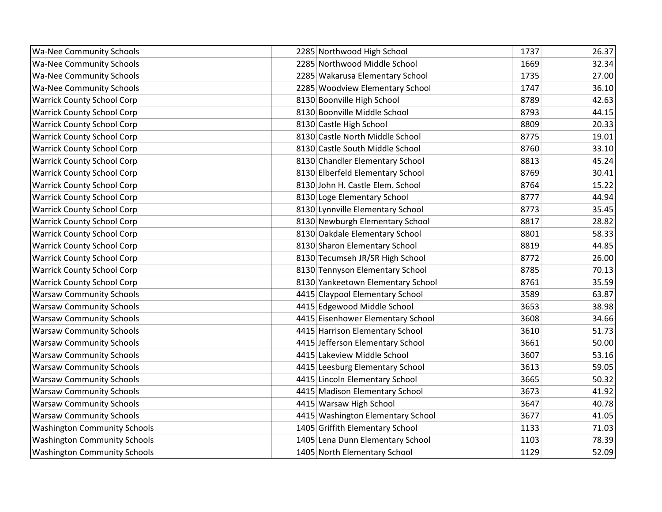| <b>Wa-Nee Community Schools</b>     | 2285 Northwood High School        | 1737 | 26.37 |
|-------------------------------------|-----------------------------------|------|-------|
| <b>Wa-Nee Community Schools</b>     | 2285 Northwood Middle School      | 1669 | 32.34 |
| <b>Wa-Nee Community Schools</b>     | 2285 Wakarusa Elementary School   | 1735 | 27.00 |
| <b>Wa-Nee Community Schools</b>     | 2285 Woodview Elementary School   | 1747 | 36.10 |
| <b>Warrick County School Corp</b>   | 8130 Boonville High School        | 8789 | 42.63 |
| <b>Warrick County School Corp</b>   | 8130 Boonville Middle School      | 8793 | 44.15 |
| <b>Warrick County School Corp</b>   | 8130 Castle High School           | 8809 | 20.33 |
| <b>Warrick County School Corp</b>   | 8130 Castle North Middle School   | 8775 | 19.01 |
| <b>Warrick County School Corp</b>   | 8130 Castle South Middle School   | 8760 | 33.10 |
| <b>Warrick County School Corp</b>   | 8130 Chandler Elementary School   | 8813 | 45.24 |
| <b>Warrick County School Corp</b>   | 8130 Elberfeld Elementary School  | 8769 | 30.41 |
| <b>Warrick County School Corp</b>   | 8130 John H. Castle Elem. School  | 8764 | 15.22 |
| <b>Warrick County School Corp</b>   | 8130 Loge Elementary School       | 8777 | 44.94 |
| <b>Warrick County School Corp</b>   | 8130 Lynnville Elementary School  | 8773 | 35.45 |
| <b>Warrick County School Corp</b>   | 8130 Newburgh Elementary School   | 8817 | 28.82 |
| <b>Warrick County School Corp</b>   | 8130 Oakdale Elementary School    | 8801 | 58.33 |
| <b>Warrick County School Corp</b>   | 8130 Sharon Elementary School     | 8819 | 44.85 |
| <b>Warrick County School Corp</b>   | 8130 Tecumseh JR/SR High School   | 8772 | 26.00 |
| <b>Warrick County School Corp</b>   | 8130 Tennyson Elementary School   | 8785 | 70.13 |
| <b>Warrick County School Corp</b>   | 8130 Yankeetown Elementary School | 8761 | 35.59 |
| <b>Warsaw Community Schools</b>     | 4415 Claypool Elementary School   | 3589 | 63.87 |
| <b>Warsaw Community Schools</b>     | 4415 Edgewood Middle School       | 3653 | 38.98 |
| <b>Warsaw Community Schools</b>     | 4415 Eisenhower Elementary School | 3608 | 34.66 |
| <b>Warsaw Community Schools</b>     | 4415 Harrison Elementary School   | 3610 | 51.73 |
| <b>Warsaw Community Schools</b>     | 4415 Jefferson Elementary School  | 3661 | 50.00 |
| <b>Warsaw Community Schools</b>     | 4415 Lakeview Middle School       | 3607 | 53.16 |
| <b>Warsaw Community Schools</b>     | 4415 Leesburg Elementary School   | 3613 | 59.05 |
| <b>Warsaw Community Schools</b>     | 4415 Lincoln Elementary School    | 3665 | 50.32 |
| <b>Warsaw Community Schools</b>     | 4415 Madison Elementary School    | 3673 | 41.92 |
| <b>Warsaw Community Schools</b>     | 4415 Warsaw High School           | 3647 | 40.78 |
| <b>Warsaw Community Schools</b>     | 4415 Washington Elementary School | 3677 | 41.05 |
| <b>Washington Community Schools</b> | 1405 Griffith Elementary School   | 1133 | 71.03 |
| <b>Washington Community Schools</b> | 1405 Lena Dunn Elementary School  | 1103 | 78.39 |
| <b>Washington Community Schools</b> | 1405 North Elementary School      | 1129 | 52.09 |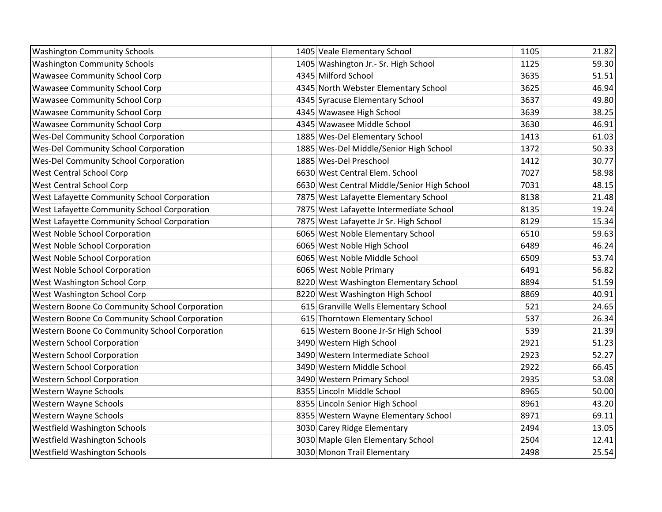| <b>Washington Community Schools</b>           | 1405 Veale Elementary School                | 1105 | 21.82 |
|-----------------------------------------------|---------------------------------------------|------|-------|
| <b>Washington Community Schools</b>           | 1405 Washington Jr.- Sr. High School        | 1125 | 59.30 |
| <b>Wawasee Community School Corp</b>          | 4345 Milford School                         | 3635 | 51.51 |
| <b>Wawasee Community School Corp</b>          | 4345 North Webster Elementary School        | 3625 | 46.94 |
| <b>Wawasee Community School Corp</b>          | 4345 Syracuse Elementary School             | 3637 | 49.80 |
| <b>Wawasee Community School Corp</b>          | 4345 Wawasee High School                    | 3639 | 38.25 |
| <b>Wawasee Community School Corp</b>          | 4345 Wawasee Middle School                  | 3630 | 46.91 |
| <b>Wes-Del Community School Corporation</b>   | 1885 Wes-Del Elementary School              | 1413 | 61.03 |
| <b>Wes-Del Community School Corporation</b>   | 1885 Wes-Del Middle/Senior High School      | 1372 | 50.33 |
| <b>Wes-Del Community School Corporation</b>   | 1885 Wes-Del Preschool                      | 1412 | 30.77 |
| <b>West Central School Corp</b>               | 6630 West Central Elem. School              | 7027 | 58.98 |
| <b>West Central School Corp</b>               | 6630 West Central Middle/Senior High School | 7031 | 48.15 |
| West Lafayette Community School Corporation   | 7875 West Lafayette Elementary School       | 8138 | 21.48 |
| West Lafayette Community School Corporation   | 7875 West Lafayette Intermediate School     | 8135 | 19.24 |
| West Lafayette Community School Corporation   | 7875 West Lafayette Jr Sr. High School      | 8129 | 15.34 |
| West Noble School Corporation                 | 6065 West Noble Elementary School           | 6510 | 59.63 |
| <b>West Noble School Corporation</b>          | 6065 West Noble High School                 | 6489 | 46.24 |
| <b>West Noble School Corporation</b>          | 6065 West Noble Middle School               | 6509 | 53.74 |
| West Noble School Corporation                 | 6065 West Noble Primary                     | 6491 | 56.82 |
| West Washington School Corp                   | 8220 West Washington Elementary School      | 8894 | 51.59 |
| West Washington School Corp                   | 8220 West Washington High School            | 8869 | 40.91 |
| Western Boone Co Community School Corporation | 615 Granville Wells Elementary School       | 521  | 24.65 |
| Western Boone Co Community School Corporation | 615 Thorntown Elementary School             | 537  | 26.34 |
| Western Boone Co Community School Corporation | 615 Western Boone Jr-Sr High School         | 539  | 21.39 |
| <b>Western School Corporation</b>             | 3490 Western High School                    | 2921 | 51.23 |
| <b>Western School Corporation</b>             | 3490 Western Intermediate School            | 2923 | 52.27 |
| <b>Western School Corporation</b>             | 3490 Western Middle School                  | 2922 | 66.45 |
| <b>Western School Corporation</b>             | 3490 Western Primary School                 | 2935 | 53.08 |
| Western Wayne Schools                         | 8355 Lincoln Middle School                  | 8965 | 50.00 |
| Western Wayne Schools                         | 8355 Lincoln Senior High School             | 8961 | 43.20 |
| Western Wayne Schools                         | 8355 Western Wayne Elementary School        | 8971 | 69.11 |
| Westfield Washington Schools                  | 3030 Carey Ridge Elementary                 | 2494 | 13.05 |
| <b>Westfield Washington Schools</b>           | 3030 Maple Glen Elementary School           | 2504 | 12.41 |
| <b>Westfield Washington Schools</b>           | 3030 Monon Trail Elementary                 | 2498 | 25.54 |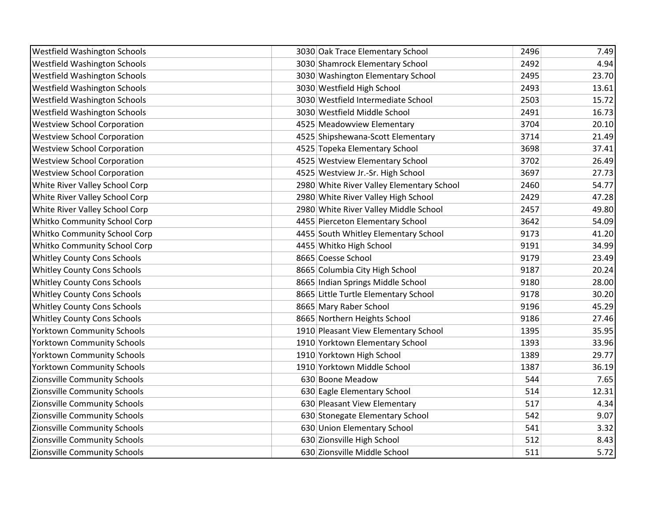| Westfield Washington Schools        | 3030 Oak Trace Elementary School          | 2496 | 7.49  |
|-------------------------------------|-------------------------------------------|------|-------|
| <b>Westfield Washington Schools</b> | 3030 Shamrock Elementary School           | 2492 | 4.94  |
| Westfield Washington Schools        | 3030 Washington Elementary School         | 2495 | 23.70 |
| <b>Westfield Washington Schools</b> | 3030 Westfield High School                | 2493 | 13.61 |
| <b>Westfield Washington Schools</b> | 3030 Westfield Intermediate School        | 2503 | 15.72 |
| <b>Westfield Washington Schools</b> | 3030 Westfield Middle School              | 2491 | 16.73 |
| <b>Westview School Corporation</b>  | 4525 Meadowview Elementary                | 3704 | 20.10 |
| <b>Westview School Corporation</b>  | 4525 Shipshewana-Scott Elementary         | 3714 | 21.49 |
| <b>Westview School Corporation</b>  | 4525 Topeka Elementary School             | 3698 | 37.41 |
| <b>Westview School Corporation</b>  | 4525 Westview Elementary School           | 3702 | 26.49 |
| <b>Westview School Corporation</b>  | 4525 Westview Jr.-Sr. High School         | 3697 | 27.73 |
| White River Valley School Corp      | 2980 White River Valley Elementary School | 2460 | 54.77 |
| White River Valley School Corp      | 2980 White River Valley High School       | 2429 | 47.28 |
| White River Valley School Corp      | 2980 White River Valley Middle School     | 2457 | 49.80 |
| Whitko Community School Corp        | 4455 Pierceton Elementary School          | 3642 | 54.09 |
| Whitko Community School Corp        | 4455 South Whitley Elementary School      | 9173 | 41.20 |
| Whitko Community School Corp        | 4455 Whitko High School                   | 9191 | 34.99 |
| <b>Whitley County Cons Schools</b>  | 8665 Coesse School                        | 9179 | 23.49 |
| <b>Whitley County Cons Schools</b>  | 8665 Columbia City High School            | 9187 | 20.24 |
| <b>Whitley County Cons Schools</b>  | 8665 Indian Springs Middle School         | 9180 | 28.00 |
| <b>Whitley County Cons Schools</b>  | 8665 Little Turtle Elementary School      | 9178 | 30.20 |
| <b>Whitley County Cons Schools</b>  | 8665 Mary Raber School                    | 9196 | 45.29 |
| <b>Whitley County Cons Schools</b>  | 8665 Northern Heights School              | 9186 | 27.46 |
| <b>Yorktown Community Schools</b>   | 1910 Pleasant View Elementary School      | 1395 | 35.95 |
| <b>Yorktown Community Schools</b>   | 1910 Yorktown Elementary School           | 1393 | 33.96 |
| <b>Yorktown Community Schools</b>   | 1910 Yorktown High School                 | 1389 | 29.77 |
| <b>Yorktown Community Schools</b>   | 1910 Yorktown Middle School               | 1387 | 36.19 |
| Zionsville Community Schools        | 630 Boone Meadow                          | 544  | 7.65  |
| Zionsville Community Schools        | 630 Eagle Elementary School               | 514  | 12.31 |
| Zionsville Community Schools        | 630 Pleasant View Elementary              | 517  | 4.34  |
| Zionsville Community Schools        | 630 Stonegate Elementary School           | 542  | 9.07  |
| Zionsville Community Schools        | 630 Union Elementary School               | 541  | 3.32  |
| Zionsville Community Schools        | 630 Zionsville High School                | 512  | 8.43  |
| Zionsville Community Schools        | 630 Zionsville Middle School              | 511  | 5.72  |